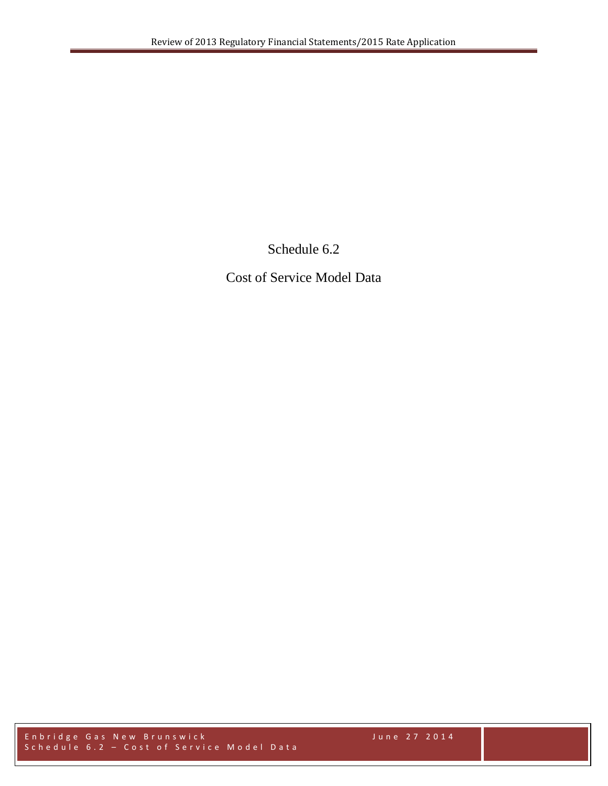Schedule 6.2

Cost of Service Model Data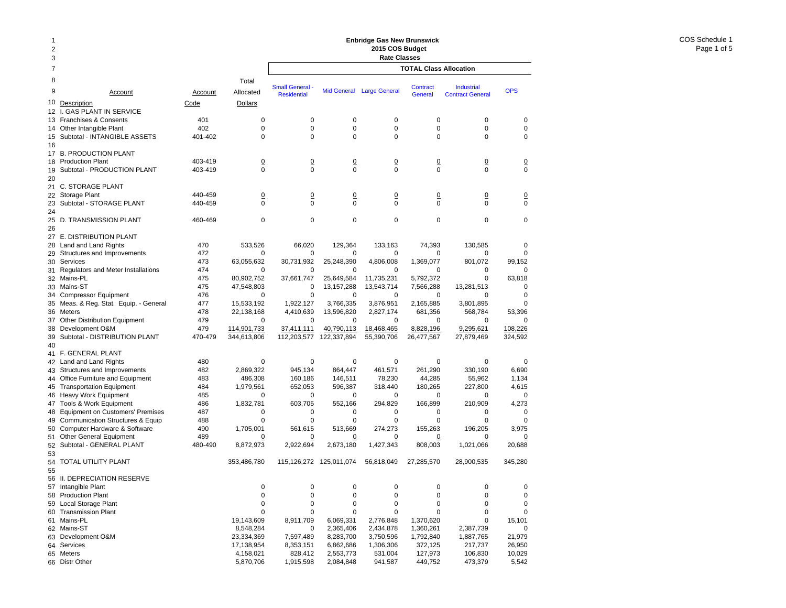### 2378 Total9 Account Account Allocated10 <u>Description</u> and Code Dollars Code Dollars 12 I. GAS PLANT IN SERVICE 13 Franchises & Consents 401 0 14 Other Intangible Plant 402 0 15 Subtotal - INTANGIBLE ASSETS 401-402 0 16 17 B. PRODUCTION PLANT 18 Production Plant 18 and 103-419 18 and 103-419 10 19 Subtotal - PRODUCTION PLANT 403-419 0 2021 C. STORAGE PLANT 22 Storage Plant 120 0 0 0 0 440-459 0 0 0 0 0 0 0  $\frac{0}{0}$ 23 Subtotal - STORAGE PLANT 440-459 0 2425 D. TRANSMISSION PLANT 460-469 0 26 27 E. DISTRIBUTION PLANT 28 Land and Land Rights 470 533,526 29 Structures and Improvements 472 0 30 Services 473 63,055,632 31 Regulators and Meter Installations 474 0 32 Mains-PL 475 80,902,752 33 Mains-ST 475 47,548,803 34 Compressor Equipment 476 0 35 Meas. & Reg. Stat. Equip. - General 477 15,533,192 36 Meters Meters 478 22,138,168 37 Other Distribution Equipment 479 0 38 Development O&M 479 479 114,901,733 39 Subtotal - DISTRIBUTION PLANT 470-479 344,613,806 40 41 F. GENERAL PLANT 42 Land and Land Rights 480 0 43 Structures and Improvements 482 2,869,322 44 Office Furniture and Equipment 483 486,308 45 Transportation Equipment 484 1,979,561 46 Heavy Work Equipment 485 0 47 Tools & Work Equipment 486 1,832,781 48 Equipment on Customers' Premises  $487$  0 49 Communication Structures & Equip 488 0 50 Computer Hardware & Software  $490$  1,705,001 51 Other General Equipment 489 0 52 Subtotal - GENERAL PLANT 480-490 8,872,973 5354 TOTAL UTILITY PLANT 353,486,780 55 56 II. DEPRECIATION RESERVE 57 Intangible Plant 0 58 Production Plant 0 59 Local Storage Plant 0 60 Transmission Plant 0 61 Mains-PL 19,143,609 62 Mains-ST 8,548,284 63 Development O&M 23,334,369 64 Services 17,138,954 65 Meters Meters 4,158,021 **TOTAL Class AllocationEnbridge Gas New Brunswick 2015 COS Budget Rate Classes Industrial** Contract GeneralSmall General - Mid General Large General Contract - Industrial - OPS<br>Residential - Mid General Large General - General - Contract General 0 0 0 0 000 0 0 0 000 0 0 0 000 0 0 0 0 0 0 0 0 0 000 0 0 0 0 0 0 0 0 0 000 0 0 0 0066,020 129,364 133,163 74,393 130,585 0 0 0 0 0 0030,731,932 25,248,390 4,806,008 1,369,077 801,072 99,152 0 0 0 0 0037,661,747 25,649,584 11,735,231 5,792,372 0 63,818 0 13,157,288 13,543,714 7,566,288 13,281,513 0 0 0 0 0 001,922,127 3,766,335 3,876,951 2,165,885 3,801,895 0 4,410,639 13,596,820 2,827,174 681,356 568,784 53,396 0 0 0 0 00108.226 37,411,111 40,790,113 18,468,465 8,828,196 9,295,621 112,203,577 122,337,894 55,390,706 26,477,567 27,879,469 324,592 0 0 0 0 00945,134 864,447 461,571 261,290 330,190 6,690 160,186 146,511 78,230 44,285 55,962 1,134 652,053 596,387 318,440 180,265 227,800 4,615 0 0 0 0 00603,705 552,166 294,829 166,899 210,909 4,273 0 0 0 0 000 0 0 0 00561,615 513,669 274,273 155,263 196,205 3,975 0 0 0 0 0 0 2,922,694 2,673,180 1,427,343 808,003 1,021,066 20,688 115,126,272 125,011,074 56,818,049 27,285,570 28,900,535 345,280 0 0 0 0 00 $\Omega$ 0 0 0 0 000 0 0 0 000 0 0 0 008,911,709 6,069,331 2,776,848 1,370,620 0 15,101 0 2,365,406 2,434,878 1,360,261 2,387,739 0 7,597,489 8,283,700 3,750,596 1,792,840 1,887,765 21,979 8,353,151 6,862,686 1,306,306 372,125 217,737 26,950 828,412 2,553,773 531,004 127,973 106,830 10,029 1,915,598 2,084,848 941,587 449,752 473,379 5,542

66 Distr Other 5,870,706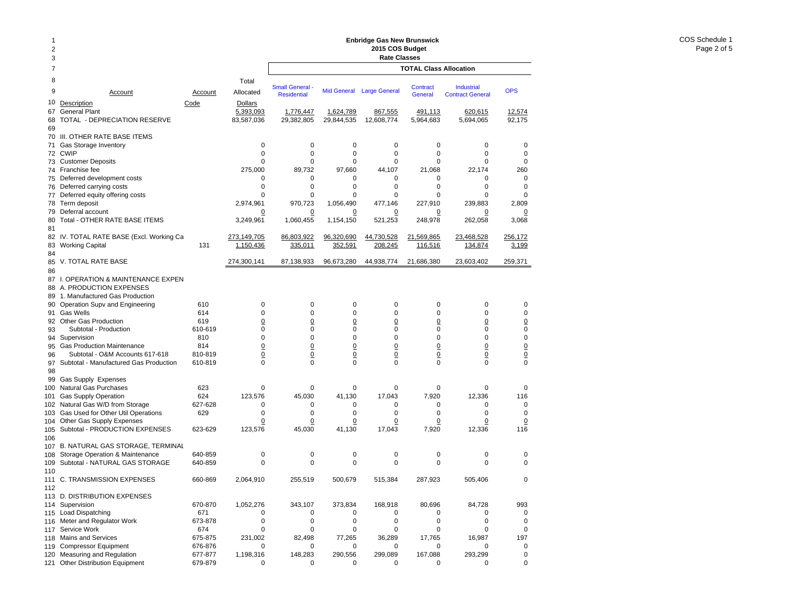# **Enbridge Gas New Brunswick 2015 COS Budget**

| 2015 COS Budget<br>3<br><b>Rate Classes</b><br>7<br><b>TOTAL Class Allocation</b><br>8<br>Total<br><b>Small General</b><br>Contract<br>Industrial<br><b>OPS</b><br>9<br><b>Mid General</b><br><b>Large General</b><br>Allocated<br>Account<br>Account<br><b>Residential</b><br>General<br><b>Contract General</b><br>10<br>Description<br>Code<br>Dollars<br><b>General Plant</b><br>5,393,093<br>1,624,789<br>491,113<br>620,615<br>67<br>1,776,447<br>867,555<br>12,574<br>TOTAL - DEPRECIATION RESERVE<br>83,587,036<br>29,844,535<br>5,964,683<br>92,175<br>68<br>29,382,805<br>12,608,774<br>5,694,065<br>69<br>III. OTHER RATE BASE ITEMS<br>70<br>$\mathbf 0$<br>$\mathbf 0$<br>$\mathbf 0$<br>0<br>0<br>Gas Storage Inventory<br>0<br>0<br>71<br>$\mathbf 0$<br><b>CWIP</b><br>$\Omega$<br>0<br>$\mathbf 0$<br>0<br>0<br>$\mathbf 0$<br>72<br>0<br><b>Customer Deposits</b><br>0<br>0<br>0<br>0<br>$\Omega$<br>0<br>73<br>275,000<br>260<br>Franchise fee<br>89,732<br>97,660<br>44,107<br>21,068<br>22,174<br>74<br>Deferred development costs<br>0<br>$\mathbf 0$<br>0<br>0<br>0<br>0<br>0<br>75<br>0<br>0<br>0<br>$\mathbf 0$<br>0<br>$\mathbf 0$<br>Deferred carrying costs<br>0<br>76<br>Deferred equity offering costs<br>$\Omega$<br>$\Omega$<br>0<br>0<br>0<br>$\Omega$<br>$\Omega$<br>77<br>Term deposit<br>2,974,961<br>970,723<br>1,056,490<br>477,146<br>227,910<br>239,883<br>2,809<br>78<br>Deferral account<br>79<br>0<br>0<br>0<br>0<br>0<br>0<br>0<br>Total - OTHER RATE BASE ITEMS<br>3,249,961<br>1,060,455<br>1,154,150<br>521,253<br>248,978<br>262,058<br>3,068<br>80<br>81<br>82 IV. TOTAL RATE BASE (Excl. Working Ca<br>273,149,705<br>86,803,922<br>96,320,690<br>44,730,528<br>21,569,865<br>23,468,528<br>256,172<br><b>Working Capital</b><br>131<br>1,150,436<br>352,591<br>208,245<br>83<br>335,011<br><u>116,516</u><br>134,874<br><u>3,199</u><br>84<br>V. TOTAL RATE BASE<br>274,300,141<br>87,138,933<br>96,673,280<br>44,938,774<br>21,686,380<br>23,603,402<br>259,371<br>85<br>86<br>I. OPERATION & MAINTENANCE EXPEN<br>87<br>A. PRODUCTION EXPENSES<br>88<br>1. Manufactured Gas Production<br>89<br>0<br>0<br>0<br>Operation Supv and Engineering<br>610<br>$\mathbf 0$<br>0<br>0<br>0<br>90<br>$\mathbf 0$<br>0<br>$\mathbf 0$<br><b>Gas Wells</b><br>614<br>0<br>0<br>0<br>0<br>91<br>$\underline{0}$<br>$\overline{0}$<br>$\overline{0}$<br>$\underline{0}$<br>92 Other Gas Production<br>619<br>$\overline{0}$<br>$\overline{0}$<br>0<br>$\mathbf 0$<br>Subtotal - Production<br>610-619<br>0<br>0<br>0<br>0<br>0<br>0<br>93<br>$\mathbf 0$<br>$\mathbf 0$<br>0<br>0<br>$\mathbf 0$<br>Supervision<br>810<br>$\mathbf 0$<br>0<br>94<br>$\overline{0}$<br>$\overline{0}$<br>$\underline{0}$<br>$\overline{0}$<br>$\overline{0}$<br>$\overline{0}$<br>$\frac{0}{0}$<br><b>Gas Production Maintenance</b><br>814<br>95<br>$\overline{0}$<br>$\underline{0}$<br>$\overline{0}$<br>$\overline{0}$<br>$\overline{0}$<br>Subtotal - O&M Accounts 617-618<br>810-819<br>$\overline{0}$<br>96<br>$\mathbf 0$<br>$\mathbf 0$<br>$\mathbf 0$<br>$\mathbf 0$<br>0<br>$\mathbf 0$<br>0<br>Subtotal - Manufactured Gas Production<br>610-819<br>97<br>98<br>99<br><b>Gas Supply Expenses</b><br>Natural Gas Purchases<br>623<br>$\mathbf 0$<br>0<br>0<br>0<br>0<br>0<br>0<br>100<br>7,920<br>Gas Supply Operation<br>624<br>123,576<br>45,030<br>41,130<br>17,043<br>12,336<br>116<br>101<br>$\mathbf 0$<br>627-628<br>0<br>0<br>0<br>102<br>Natural Gas W/D from Storage<br>0<br>0<br>0<br>Gas Used for Other Util Operations<br>629<br>0<br>0<br>0<br>0<br>0<br>0<br>0<br>103<br>Other Gas Supply Expenses<br>$\overline{0}$<br>$\overline{0}$<br>0<br>$\overline{0}$<br>104<br><u>0</u><br><u>0</u><br><u>0</u><br>Subtotal - PRODUCTION EXPENSES<br>623-629<br>123,576<br>7,920<br>12,336<br>45,030<br>41,130<br>17,043<br>116<br>105<br>106<br><b>B. NATURAL GAS STORAGE. TERMINAL</b><br>107<br>Storage Operation & Maintenance<br>640-859<br>0<br>0<br>0<br>0<br>0<br>0<br>0<br>108<br>$\mathbf 0$<br>0<br>Subtotal - NATURAL GAS STORAGE<br>640-859<br>$\Omega$<br>$\Omega$<br>$\Omega$<br>$\Omega$<br>0<br>109<br>110<br>111 C. TRANSMISSION EXPENSES<br>660-869<br>2,064,910<br>255,519<br>500,679<br>515,384<br>287,923<br>505.406<br>$\mathbf 0$<br>112<br>113 D. DISTRIBUTION EXPENSES<br>Supervision<br>373,834<br>114<br>670-870<br>1,052,276<br>343,107<br>168,918<br>80,696<br>84,728<br>993<br>671<br>Load Dispatching<br>0<br>0<br>0<br>0<br>0<br>115<br>0<br>0<br>Meter and Regulator Work<br>0<br>0<br>0<br>0<br>673-878<br>0<br>0<br>$\mathbf 0$<br>116<br>Service Work<br>674<br>0<br>0<br>0<br>0<br>0<br>$\mathbf 0$<br>0<br>117<br>Mains and Services<br>675-875<br>231,002<br>77,265<br>16,987<br>197<br>82,498<br>36,289<br>17,765<br>118<br><b>Compressor Equipment</b><br>119<br>676-876<br>0<br>0<br>0<br>0<br>0<br>0<br>$\mathbf 0$<br>Measuring and Regulation<br>677-877<br>1,198,316<br>148,283<br>290,556<br>299,089<br>167,088<br>293,299<br>0<br>120<br>Other Distribution Equipment<br>679-879<br>0<br>0<br>0<br>0<br>0<br>0<br>121<br>0 | $\overline{2}$ |  |  | Enbridge Gas New Brunswick |  |  |
|-----------------------------------------------------------------------------------------------------------------------------------------------------------------------------------------------------------------------------------------------------------------------------------------------------------------------------------------------------------------------------------------------------------------------------------------------------------------------------------------------------------------------------------------------------------------------------------------------------------------------------------------------------------------------------------------------------------------------------------------------------------------------------------------------------------------------------------------------------------------------------------------------------------------------------------------------------------------------------------------------------------------------------------------------------------------------------------------------------------------------------------------------------------------------------------------------------------------------------------------------------------------------------------------------------------------------------------------------------------------------------------------------------------------------------------------------------------------------------------------------------------------------------------------------------------------------------------------------------------------------------------------------------------------------------------------------------------------------------------------------------------------------------------------------------------------------------------------------------------------------------------------------------------------------------------------------------------------------------------------------------------------------------------------------------------------------------------------------------------------------------------------------------------------------------------------------------------------------------------------------------------------------------------------------------------------------------------------------------------------------------------------------------------------------------------------------------------------------------------------------------------------------------------------------------------------------------------------------------------------------------------------------------------------------------------------------------------------------------------------------------------------------------------------------------------------------------------------------------------------------------------------------------------------------------------------------------------------------------------------------------------------------------------------------------------------------------------------------------------------------------------------------------------------------------------------------------------------------------------------------------------------------------------------------------------------------------------------------------------------------------------------------------------------------------------------------------------------------------------------------------------------------------------------------------------------------------------------------------------------------------------------------------------------------------------------------------------------------------------------------------------------------------------------------------------------------------------------------------------------------------------------------------------------------------------------------------------------------------------------------------------------------------------------------------------------------------------------------------------------------------------------------------------------------------------------------------------------------------------------------------------------------------------------------------------------------------------------------------------------------------------------------------------------------------------------------------------------------------------------------------------------------------------------------------------------------------------------------------------------------------------------------------------------------------------------------------------------------------------------------------------------------------------------------------------------------------------------------------------------------------------------------------------------------------------------------------------------------------------------------------------------------------------------------------------------------------------------------------------------------|----------------|--|--|----------------------------|--|--|
|                                                                                                                                                                                                                                                                                                                                                                                                                                                                                                                                                                                                                                                                                                                                                                                                                                                                                                                                                                                                                                                                                                                                                                                                                                                                                                                                                                                                                                                                                                                                                                                                                                                                                                                                                                                                                                                                                                                                                                                                                                                                                                                                                                                                                                                                                                                                                                                                                                                                                                                                                                                                                                                                                                                                                                                                                                                                                                                                                                                                                                                                                                                                                                                                                                                                                                                                                                                                                                                                                                                                                                                                                                                                                                                                                                                                                                                                                                                                                                                                                                                                                                                                                                                                                                                                                                                                                                                                                                                                                                                                                                                                                                                                                                                                                                                                                                                                                                                                                                                                                                                                                                                       |                |  |  |                            |  |  |
|                                                                                                                                                                                                                                                                                                                                                                                                                                                                                                                                                                                                                                                                                                                                                                                                                                                                                                                                                                                                                                                                                                                                                                                                                                                                                                                                                                                                                                                                                                                                                                                                                                                                                                                                                                                                                                                                                                                                                                                                                                                                                                                                                                                                                                                                                                                                                                                                                                                                                                                                                                                                                                                                                                                                                                                                                                                                                                                                                                                                                                                                                                                                                                                                                                                                                                                                                                                                                                                                                                                                                                                                                                                                                                                                                                                                                                                                                                                                                                                                                                                                                                                                                                                                                                                                                                                                                                                                                                                                                                                                                                                                                                                                                                                                                                                                                                                                                                                                                                                                                                                                                                                       |                |  |  |                            |  |  |
|                                                                                                                                                                                                                                                                                                                                                                                                                                                                                                                                                                                                                                                                                                                                                                                                                                                                                                                                                                                                                                                                                                                                                                                                                                                                                                                                                                                                                                                                                                                                                                                                                                                                                                                                                                                                                                                                                                                                                                                                                                                                                                                                                                                                                                                                                                                                                                                                                                                                                                                                                                                                                                                                                                                                                                                                                                                                                                                                                                                                                                                                                                                                                                                                                                                                                                                                                                                                                                                                                                                                                                                                                                                                                                                                                                                                                                                                                                                                                                                                                                                                                                                                                                                                                                                                                                                                                                                                                                                                                                                                                                                                                                                                                                                                                                                                                                                                                                                                                                                                                                                                                                                       |                |  |  |                            |  |  |
|                                                                                                                                                                                                                                                                                                                                                                                                                                                                                                                                                                                                                                                                                                                                                                                                                                                                                                                                                                                                                                                                                                                                                                                                                                                                                                                                                                                                                                                                                                                                                                                                                                                                                                                                                                                                                                                                                                                                                                                                                                                                                                                                                                                                                                                                                                                                                                                                                                                                                                                                                                                                                                                                                                                                                                                                                                                                                                                                                                                                                                                                                                                                                                                                                                                                                                                                                                                                                                                                                                                                                                                                                                                                                                                                                                                                                                                                                                                                                                                                                                                                                                                                                                                                                                                                                                                                                                                                                                                                                                                                                                                                                                                                                                                                                                                                                                                                                                                                                                                                                                                                                                                       |                |  |  |                            |  |  |
|                                                                                                                                                                                                                                                                                                                                                                                                                                                                                                                                                                                                                                                                                                                                                                                                                                                                                                                                                                                                                                                                                                                                                                                                                                                                                                                                                                                                                                                                                                                                                                                                                                                                                                                                                                                                                                                                                                                                                                                                                                                                                                                                                                                                                                                                                                                                                                                                                                                                                                                                                                                                                                                                                                                                                                                                                                                                                                                                                                                                                                                                                                                                                                                                                                                                                                                                                                                                                                                                                                                                                                                                                                                                                                                                                                                                                                                                                                                                                                                                                                                                                                                                                                                                                                                                                                                                                                                                                                                                                                                                                                                                                                                                                                                                                                                                                                                                                                                                                                                                                                                                                                                       |                |  |  |                            |  |  |
|                                                                                                                                                                                                                                                                                                                                                                                                                                                                                                                                                                                                                                                                                                                                                                                                                                                                                                                                                                                                                                                                                                                                                                                                                                                                                                                                                                                                                                                                                                                                                                                                                                                                                                                                                                                                                                                                                                                                                                                                                                                                                                                                                                                                                                                                                                                                                                                                                                                                                                                                                                                                                                                                                                                                                                                                                                                                                                                                                                                                                                                                                                                                                                                                                                                                                                                                                                                                                                                                                                                                                                                                                                                                                                                                                                                                                                                                                                                                                                                                                                                                                                                                                                                                                                                                                                                                                                                                                                                                                                                                                                                                                                                                                                                                                                                                                                                                                                                                                                                                                                                                                                                       |                |  |  |                            |  |  |
|                                                                                                                                                                                                                                                                                                                                                                                                                                                                                                                                                                                                                                                                                                                                                                                                                                                                                                                                                                                                                                                                                                                                                                                                                                                                                                                                                                                                                                                                                                                                                                                                                                                                                                                                                                                                                                                                                                                                                                                                                                                                                                                                                                                                                                                                                                                                                                                                                                                                                                                                                                                                                                                                                                                                                                                                                                                                                                                                                                                                                                                                                                                                                                                                                                                                                                                                                                                                                                                                                                                                                                                                                                                                                                                                                                                                                                                                                                                                                                                                                                                                                                                                                                                                                                                                                                                                                                                                                                                                                                                                                                                                                                                                                                                                                                                                                                                                                                                                                                                                                                                                                                                       |                |  |  |                            |  |  |
|                                                                                                                                                                                                                                                                                                                                                                                                                                                                                                                                                                                                                                                                                                                                                                                                                                                                                                                                                                                                                                                                                                                                                                                                                                                                                                                                                                                                                                                                                                                                                                                                                                                                                                                                                                                                                                                                                                                                                                                                                                                                                                                                                                                                                                                                                                                                                                                                                                                                                                                                                                                                                                                                                                                                                                                                                                                                                                                                                                                                                                                                                                                                                                                                                                                                                                                                                                                                                                                                                                                                                                                                                                                                                                                                                                                                                                                                                                                                                                                                                                                                                                                                                                                                                                                                                                                                                                                                                                                                                                                                                                                                                                                                                                                                                                                                                                                                                                                                                                                                                                                                                                                       |                |  |  |                            |  |  |
|                                                                                                                                                                                                                                                                                                                                                                                                                                                                                                                                                                                                                                                                                                                                                                                                                                                                                                                                                                                                                                                                                                                                                                                                                                                                                                                                                                                                                                                                                                                                                                                                                                                                                                                                                                                                                                                                                                                                                                                                                                                                                                                                                                                                                                                                                                                                                                                                                                                                                                                                                                                                                                                                                                                                                                                                                                                                                                                                                                                                                                                                                                                                                                                                                                                                                                                                                                                                                                                                                                                                                                                                                                                                                                                                                                                                                                                                                                                                                                                                                                                                                                                                                                                                                                                                                                                                                                                                                                                                                                                                                                                                                                                                                                                                                                                                                                                                                                                                                                                                                                                                                                                       |                |  |  |                            |  |  |
|                                                                                                                                                                                                                                                                                                                                                                                                                                                                                                                                                                                                                                                                                                                                                                                                                                                                                                                                                                                                                                                                                                                                                                                                                                                                                                                                                                                                                                                                                                                                                                                                                                                                                                                                                                                                                                                                                                                                                                                                                                                                                                                                                                                                                                                                                                                                                                                                                                                                                                                                                                                                                                                                                                                                                                                                                                                                                                                                                                                                                                                                                                                                                                                                                                                                                                                                                                                                                                                                                                                                                                                                                                                                                                                                                                                                                                                                                                                                                                                                                                                                                                                                                                                                                                                                                                                                                                                                                                                                                                                                                                                                                                                                                                                                                                                                                                                                                                                                                                                                                                                                                                                       |                |  |  |                            |  |  |
|                                                                                                                                                                                                                                                                                                                                                                                                                                                                                                                                                                                                                                                                                                                                                                                                                                                                                                                                                                                                                                                                                                                                                                                                                                                                                                                                                                                                                                                                                                                                                                                                                                                                                                                                                                                                                                                                                                                                                                                                                                                                                                                                                                                                                                                                                                                                                                                                                                                                                                                                                                                                                                                                                                                                                                                                                                                                                                                                                                                                                                                                                                                                                                                                                                                                                                                                                                                                                                                                                                                                                                                                                                                                                                                                                                                                                                                                                                                                                                                                                                                                                                                                                                                                                                                                                                                                                                                                                                                                                                                                                                                                                                                                                                                                                                                                                                                                                                                                                                                                                                                                                                                       |                |  |  |                            |  |  |
|                                                                                                                                                                                                                                                                                                                                                                                                                                                                                                                                                                                                                                                                                                                                                                                                                                                                                                                                                                                                                                                                                                                                                                                                                                                                                                                                                                                                                                                                                                                                                                                                                                                                                                                                                                                                                                                                                                                                                                                                                                                                                                                                                                                                                                                                                                                                                                                                                                                                                                                                                                                                                                                                                                                                                                                                                                                                                                                                                                                                                                                                                                                                                                                                                                                                                                                                                                                                                                                                                                                                                                                                                                                                                                                                                                                                                                                                                                                                                                                                                                                                                                                                                                                                                                                                                                                                                                                                                                                                                                                                                                                                                                                                                                                                                                                                                                                                                                                                                                                                                                                                                                                       |                |  |  |                            |  |  |
|                                                                                                                                                                                                                                                                                                                                                                                                                                                                                                                                                                                                                                                                                                                                                                                                                                                                                                                                                                                                                                                                                                                                                                                                                                                                                                                                                                                                                                                                                                                                                                                                                                                                                                                                                                                                                                                                                                                                                                                                                                                                                                                                                                                                                                                                                                                                                                                                                                                                                                                                                                                                                                                                                                                                                                                                                                                                                                                                                                                                                                                                                                                                                                                                                                                                                                                                                                                                                                                                                                                                                                                                                                                                                                                                                                                                                                                                                                                                                                                                                                                                                                                                                                                                                                                                                                                                                                                                                                                                                                                                                                                                                                                                                                                                                                                                                                                                                                                                                                                                                                                                                                                       |                |  |  |                            |  |  |
|                                                                                                                                                                                                                                                                                                                                                                                                                                                                                                                                                                                                                                                                                                                                                                                                                                                                                                                                                                                                                                                                                                                                                                                                                                                                                                                                                                                                                                                                                                                                                                                                                                                                                                                                                                                                                                                                                                                                                                                                                                                                                                                                                                                                                                                                                                                                                                                                                                                                                                                                                                                                                                                                                                                                                                                                                                                                                                                                                                                                                                                                                                                                                                                                                                                                                                                                                                                                                                                                                                                                                                                                                                                                                                                                                                                                                                                                                                                                                                                                                                                                                                                                                                                                                                                                                                                                                                                                                                                                                                                                                                                                                                                                                                                                                                                                                                                                                                                                                                                                                                                                                                                       |                |  |  |                            |  |  |
|                                                                                                                                                                                                                                                                                                                                                                                                                                                                                                                                                                                                                                                                                                                                                                                                                                                                                                                                                                                                                                                                                                                                                                                                                                                                                                                                                                                                                                                                                                                                                                                                                                                                                                                                                                                                                                                                                                                                                                                                                                                                                                                                                                                                                                                                                                                                                                                                                                                                                                                                                                                                                                                                                                                                                                                                                                                                                                                                                                                                                                                                                                                                                                                                                                                                                                                                                                                                                                                                                                                                                                                                                                                                                                                                                                                                                                                                                                                                                                                                                                                                                                                                                                                                                                                                                                                                                                                                                                                                                                                                                                                                                                                                                                                                                                                                                                                                                                                                                                                                                                                                                                                       |                |  |  |                            |  |  |
|                                                                                                                                                                                                                                                                                                                                                                                                                                                                                                                                                                                                                                                                                                                                                                                                                                                                                                                                                                                                                                                                                                                                                                                                                                                                                                                                                                                                                                                                                                                                                                                                                                                                                                                                                                                                                                                                                                                                                                                                                                                                                                                                                                                                                                                                                                                                                                                                                                                                                                                                                                                                                                                                                                                                                                                                                                                                                                                                                                                                                                                                                                                                                                                                                                                                                                                                                                                                                                                                                                                                                                                                                                                                                                                                                                                                                                                                                                                                                                                                                                                                                                                                                                                                                                                                                                                                                                                                                                                                                                                                                                                                                                                                                                                                                                                                                                                                                                                                                                                                                                                                                                                       |                |  |  |                            |  |  |
|                                                                                                                                                                                                                                                                                                                                                                                                                                                                                                                                                                                                                                                                                                                                                                                                                                                                                                                                                                                                                                                                                                                                                                                                                                                                                                                                                                                                                                                                                                                                                                                                                                                                                                                                                                                                                                                                                                                                                                                                                                                                                                                                                                                                                                                                                                                                                                                                                                                                                                                                                                                                                                                                                                                                                                                                                                                                                                                                                                                                                                                                                                                                                                                                                                                                                                                                                                                                                                                                                                                                                                                                                                                                                                                                                                                                                                                                                                                                                                                                                                                                                                                                                                                                                                                                                                                                                                                                                                                                                                                                                                                                                                                                                                                                                                                                                                                                                                                                                                                                                                                                                                                       |                |  |  |                            |  |  |
|                                                                                                                                                                                                                                                                                                                                                                                                                                                                                                                                                                                                                                                                                                                                                                                                                                                                                                                                                                                                                                                                                                                                                                                                                                                                                                                                                                                                                                                                                                                                                                                                                                                                                                                                                                                                                                                                                                                                                                                                                                                                                                                                                                                                                                                                                                                                                                                                                                                                                                                                                                                                                                                                                                                                                                                                                                                                                                                                                                                                                                                                                                                                                                                                                                                                                                                                                                                                                                                                                                                                                                                                                                                                                                                                                                                                                                                                                                                                                                                                                                                                                                                                                                                                                                                                                                                                                                                                                                                                                                                                                                                                                                                                                                                                                                                                                                                                                                                                                                                                                                                                                                                       |                |  |  |                            |  |  |
|                                                                                                                                                                                                                                                                                                                                                                                                                                                                                                                                                                                                                                                                                                                                                                                                                                                                                                                                                                                                                                                                                                                                                                                                                                                                                                                                                                                                                                                                                                                                                                                                                                                                                                                                                                                                                                                                                                                                                                                                                                                                                                                                                                                                                                                                                                                                                                                                                                                                                                                                                                                                                                                                                                                                                                                                                                                                                                                                                                                                                                                                                                                                                                                                                                                                                                                                                                                                                                                                                                                                                                                                                                                                                                                                                                                                                                                                                                                                                                                                                                                                                                                                                                                                                                                                                                                                                                                                                                                                                                                                                                                                                                                                                                                                                                                                                                                                                                                                                                                                                                                                                                                       |                |  |  |                            |  |  |
|                                                                                                                                                                                                                                                                                                                                                                                                                                                                                                                                                                                                                                                                                                                                                                                                                                                                                                                                                                                                                                                                                                                                                                                                                                                                                                                                                                                                                                                                                                                                                                                                                                                                                                                                                                                                                                                                                                                                                                                                                                                                                                                                                                                                                                                                                                                                                                                                                                                                                                                                                                                                                                                                                                                                                                                                                                                                                                                                                                                                                                                                                                                                                                                                                                                                                                                                                                                                                                                                                                                                                                                                                                                                                                                                                                                                                                                                                                                                                                                                                                                                                                                                                                                                                                                                                                                                                                                                                                                                                                                                                                                                                                                                                                                                                                                                                                                                                                                                                                                                                                                                                                                       |                |  |  |                            |  |  |
|                                                                                                                                                                                                                                                                                                                                                                                                                                                                                                                                                                                                                                                                                                                                                                                                                                                                                                                                                                                                                                                                                                                                                                                                                                                                                                                                                                                                                                                                                                                                                                                                                                                                                                                                                                                                                                                                                                                                                                                                                                                                                                                                                                                                                                                                                                                                                                                                                                                                                                                                                                                                                                                                                                                                                                                                                                                                                                                                                                                                                                                                                                                                                                                                                                                                                                                                                                                                                                                                                                                                                                                                                                                                                                                                                                                                                                                                                                                                                                                                                                                                                                                                                                                                                                                                                                                                                                                                                                                                                                                                                                                                                                                                                                                                                                                                                                                                                                                                                                                                                                                                                                                       |                |  |  |                            |  |  |
|                                                                                                                                                                                                                                                                                                                                                                                                                                                                                                                                                                                                                                                                                                                                                                                                                                                                                                                                                                                                                                                                                                                                                                                                                                                                                                                                                                                                                                                                                                                                                                                                                                                                                                                                                                                                                                                                                                                                                                                                                                                                                                                                                                                                                                                                                                                                                                                                                                                                                                                                                                                                                                                                                                                                                                                                                                                                                                                                                                                                                                                                                                                                                                                                                                                                                                                                                                                                                                                                                                                                                                                                                                                                                                                                                                                                                                                                                                                                                                                                                                                                                                                                                                                                                                                                                                                                                                                                                                                                                                                                                                                                                                                                                                                                                                                                                                                                                                                                                                                                                                                                                                                       |                |  |  |                            |  |  |
|                                                                                                                                                                                                                                                                                                                                                                                                                                                                                                                                                                                                                                                                                                                                                                                                                                                                                                                                                                                                                                                                                                                                                                                                                                                                                                                                                                                                                                                                                                                                                                                                                                                                                                                                                                                                                                                                                                                                                                                                                                                                                                                                                                                                                                                                                                                                                                                                                                                                                                                                                                                                                                                                                                                                                                                                                                                                                                                                                                                                                                                                                                                                                                                                                                                                                                                                                                                                                                                                                                                                                                                                                                                                                                                                                                                                                                                                                                                                                                                                                                                                                                                                                                                                                                                                                                                                                                                                                                                                                                                                                                                                                                                                                                                                                                                                                                                                                                                                                                                                                                                                                                                       |                |  |  |                            |  |  |
|                                                                                                                                                                                                                                                                                                                                                                                                                                                                                                                                                                                                                                                                                                                                                                                                                                                                                                                                                                                                                                                                                                                                                                                                                                                                                                                                                                                                                                                                                                                                                                                                                                                                                                                                                                                                                                                                                                                                                                                                                                                                                                                                                                                                                                                                                                                                                                                                                                                                                                                                                                                                                                                                                                                                                                                                                                                                                                                                                                                                                                                                                                                                                                                                                                                                                                                                                                                                                                                                                                                                                                                                                                                                                                                                                                                                                                                                                                                                                                                                                                                                                                                                                                                                                                                                                                                                                                                                                                                                                                                                                                                                                                                                                                                                                                                                                                                                                                                                                                                                                                                                                                                       |                |  |  |                            |  |  |
|                                                                                                                                                                                                                                                                                                                                                                                                                                                                                                                                                                                                                                                                                                                                                                                                                                                                                                                                                                                                                                                                                                                                                                                                                                                                                                                                                                                                                                                                                                                                                                                                                                                                                                                                                                                                                                                                                                                                                                                                                                                                                                                                                                                                                                                                                                                                                                                                                                                                                                                                                                                                                                                                                                                                                                                                                                                                                                                                                                                                                                                                                                                                                                                                                                                                                                                                                                                                                                                                                                                                                                                                                                                                                                                                                                                                                                                                                                                                                                                                                                                                                                                                                                                                                                                                                                                                                                                                                                                                                                                                                                                                                                                                                                                                                                                                                                                                                                                                                                                                                                                                                                                       |                |  |  |                            |  |  |
|                                                                                                                                                                                                                                                                                                                                                                                                                                                                                                                                                                                                                                                                                                                                                                                                                                                                                                                                                                                                                                                                                                                                                                                                                                                                                                                                                                                                                                                                                                                                                                                                                                                                                                                                                                                                                                                                                                                                                                                                                                                                                                                                                                                                                                                                                                                                                                                                                                                                                                                                                                                                                                                                                                                                                                                                                                                                                                                                                                                                                                                                                                                                                                                                                                                                                                                                                                                                                                                                                                                                                                                                                                                                                                                                                                                                                                                                                                                                                                                                                                                                                                                                                                                                                                                                                                                                                                                                                                                                                                                                                                                                                                                                                                                                                                                                                                                                                                                                                                                                                                                                                                                       |                |  |  |                            |  |  |
|                                                                                                                                                                                                                                                                                                                                                                                                                                                                                                                                                                                                                                                                                                                                                                                                                                                                                                                                                                                                                                                                                                                                                                                                                                                                                                                                                                                                                                                                                                                                                                                                                                                                                                                                                                                                                                                                                                                                                                                                                                                                                                                                                                                                                                                                                                                                                                                                                                                                                                                                                                                                                                                                                                                                                                                                                                                                                                                                                                                                                                                                                                                                                                                                                                                                                                                                                                                                                                                                                                                                                                                                                                                                                                                                                                                                                                                                                                                                                                                                                                                                                                                                                                                                                                                                                                                                                                                                                                                                                                                                                                                                                                                                                                                                                                                                                                                                                                                                                                                                                                                                                                                       |                |  |  |                            |  |  |
|                                                                                                                                                                                                                                                                                                                                                                                                                                                                                                                                                                                                                                                                                                                                                                                                                                                                                                                                                                                                                                                                                                                                                                                                                                                                                                                                                                                                                                                                                                                                                                                                                                                                                                                                                                                                                                                                                                                                                                                                                                                                                                                                                                                                                                                                                                                                                                                                                                                                                                                                                                                                                                                                                                                                                                                                                                                                                                                                                                                                                                                                                                                                                                                                                                                                                                                                                                                                                                                                                                                                                                                                                                                                                                                                                                                                                                                                                                                                                                                                                                                                                                                                                                                                                                                                                                                                                                                                                                                                                                                                                                                                                                                                                                                                                                                                                                                                                                                                                                                                                                                                                                                       |                |  |  |                            |  |  |
|                                                                                                                                                                                                                                                                                                                                                                                                                                                                                                                                                                                                                                                                                                                                                                                                                                                                                                                                                                                                                                                                                                                                                                                                                                                                                                                                                                                                                                                                                                                                                                                                                                                                                                                                                                                                                                                                                                                                                                                                                                                                                                                                                                                                                                                                                                                                                                                                                                                                                                                                                                                                                                                                                                                                                                                                                                                                                                                                                                                                                                                                                                                                                                                                                                                                                                                                                                                                                                                                                                                                                                                                                                                                                                                                                                                                                                                                                                                                                                                                                                                                                                                                                                                                                                                                                                                                                                                                                                                                                                                                                                                                                                                                                                                                                                                                                                                                                                                                                                                                                                                                                                                       |                |  |  |                            |  |  |
|                                                                                                                                                                                                                                                                                                                                                                                                                                                                                                                                                                                                                                                                                                                                                                                                                                                                                                                                                                                                                                                                                                                                                                                                                                                                                                                                                                                                                                                                                                                                                                                                                                                                                                                                                                                                                                                                                                                                                                                                                                                                                                                                                                                                                                                                                                                                                                                                                                                                                                                                                                                                                                                                                                                                                                                                                                                                                                                                                                                                                                                                                                                                                                                                                                                                                                                                                                                                                                                                                                                                                                                                                                                                                                                                                                                                                                                                                                                                                                                                                                                                                                                                                                                                                                                                                                                                                                                                                                                                                                                                                                                                                                                                                                                                                                                                                                                                                                                                                                                                                                                                                                                       |                |  |  |                            |  |  |
|                                                                                                                                                                                                                                                                                                                                                                                                                                                                                                                                                                                                                                                                                                                                                                                                                                                                                                                                                                                                                                                                                                                                                                                                                                                                                                                                                                                                                                                                                                                                                                                                                                                                                                                                                                                                                                                                                                                                                                                                                                                                                                                                                                                                                                                                                                                                                                                                                                                                                                                                                                                                                                                                                                                                                                                                                                                                                                                                                                                                                                                                                                                                                                                                                                                                                                                                                                                                                                                                                                                                                                                                                                                                                                                                                                                                                                                                                                                                                                                                                                                                                                                                                                                                                                                                                                                                                                                                                                                                                                                                                                                                                                                                                                                                                                                                                                                                                                                                                                                                                                                                                                                       |                |  |  |                            |  |  |
|                                                                                                                                                                                                                                                                                                                                                                                                                                                                                                                                                                                                                                                                                                                                                                                                                                                                                                                                                                                                                                                                                                                                                                                                                                                                                                                                                                                                                                                                                                                                                                                                                                                                                                                                                                                                                                                                                                                                                                                                                                                                                                                                                                                                                                                                                                                                                                                                                                                                                                                                                                                                                                                                                                                                                                                                                                                                                                                                                                                                                                                                                                                                                                                                                                                                                                                                                                                                                                                                                                                                                                                                                                                                                                                                                                                                                                                                                                                                                                                                                                                                                                                                                                                                                                                                                                                                                                                                                                                                                                                                                                                                                                                                                                                                                                                                                                                                                                                                                                                                                                                                                                                       |                |  |  |                            |  |  |
|                                                                                                                                                                                                                                                                                                                                                                                                                                                                                                                                                                                                                                                                                                                                                                                                                                                                                                                                                                                                                                                                                                                                                                                                                                                                                                                                                                                                                                                                                                                                                                                                                                                                                                                                                                                                                                                                                                                                                                                                                                                                                                                                                                                                                                                                                                                                                                                                                                                                                                                                                                                                                                                                                                                                                                                                                                                                                                                                                                                                                                                                                                                                                                                                                                                                                                                                                                                                                                                                                                                                                                                                                                                                                                                                                                                                                                                                                                                                                                                                                                                                                                                                                                                                                                                                                                                                                                                                                                                                                                                                                                                                                                                                                                                                                                                                                                                                                                                                                                                                                                                                                                                       |                |  |  |                            |  |  |
|                                                                                                                                                                                                                                                                                                                                                                                                                                                                                                                                                                                                                                                                                                                                                                                                                                                                                                                                                                                                                                                                                                                                                                                                                                                                                                                                                                                                                                                                                                                                                                                                                                                                                                                                                                                                                                                                                                                                                                                                                                                                                                                                                                                                                                                                                                                                                                                                                                                                                                                                                                                                                                                                                                                                                                                                                                                                                                                                                                                                                                                                                                                                                                                                                                                                                                                                                                                                                                                                                                                                                                                                                                                                                                                                                                                                                                                                                                                                                                                                                                                                                                                                                                                                                                                                                                                                                                                                                                                                                                                                                                                                                                                                                                                                                                                                                                                                                                                                                                                                                                                                                                                       |                |  |  |                            |  |  |
|                                                                                                                                                                                                                                                                                                                                                                                                                                                                                                                                                                                                                                                                                                                                                                                                                                                                                                                                                                                                                                                                                                                                                                                                                                                                                                                                                                                                                                                                                                                                                                                                                                                                                                                                                                                                                                                                                                                                                                                                                                                                                                                                                                                                                                                                                                                                                                                                                                                                                                                                                                                                                                                                                                                                                                                                                                                                                                                                                                                                                                                                                                                                                                                                                                                                                                                                                                                                                                                                                                                                                                                                                                                                                                                                                                                                                                                                                                                                                                                                                                                                                                                                                                                                                                                                                                                                                                                                                                                                                                                                                                                                                                                                                                                                                                                                                                                                                                                                                                                                                                                                                                                       |                |  |  |                            |  |  |
|                                                                                                                                                                                                                                                                                                                                                                                                                                                                                                                                                                                                                                                                                                                                                                                                                                                                                                                                                                                                                                                                                                                                                                                                                                                                                                                                                                                                                                                                                                                                                                                                                                                                                                                                                                                                                                                                                                                                                                                                                                                                                                                                                                                                                                                                                                                                                                                                                                                                                                                                                                                                                                                                                                                                                                                                                                                                                                                                                                                                                                                                                                                                                                                                                                                                                                                                                                                                                                                                                                                                                                                                                                                                                                                                                                                                                                                                                                                                                                                                                                                                                                                                                                                                                                                                                                                                                                                                                                                                                                                                                                                                                                                                                                                                                                                                                                                                                                                                                                                                                                                                                                                       |                |  |  |                            |  |  |
|                                                                                                                                                                                                                                                                                                                                                                                                                                                                                                                                                                                                                                                                                                                                                                                                                                                                                                                                                                                                                                                                                                                                                                                                                                                                                                                                                                                                                                                                                                                                                                                                                                                                                                                                                                                                                                                                                                                                                                                                                                                                                                                                                                                                                                                                                                                                                                                                                                                                                                                                                                                                                                                                                                                                                                                                                                                                                                                                                                                                                                                                                                                                                                                                                                                                                                                                                                                                                                                                                                                                                                                                                                                                                                                                                                                                                                                                                                                                                                                                                                                                                                                                                                                                                                                                                                                                                                                                                                                                                                                                                                                                                                                                                                                                                                                                                                                                                                                                                                                                                                                                                                                       |                |  |  |                            |  |  |
|                                                                                                                                                                                                                                                                                                                                                                                                                                                                                                                                                                                                                                                                                                                                                                                                                                                                                                                                                                                                                                                                                                                                                                                                                                                                                                                                                                                                                                                                                                                                                                                                                                                                                                                                                                                                                                                                                                                                                                                                                                                                                                                                                                                                                                                                                                                                                                                                                                                                                                                                                                                                                                                                                                                                                                                                                                                                                                                                                                                                                                                                                                                                                                                                                                                                                                                                                                                                                                                                                                                                                                                                                                                                                                                                                                                                                                                                                                                                                                                                                                                                                                                                                                                                                                                                                                                                                                                                                                                                                                                                                                                                                                                                                                                                                                                                                                                                                                                                                                                                                                                                                                                       |                |  |  |                            |  |  |
|                                                                                                                                                                                                                                                                                                                                                                                                                                                                                                                                                                                                                                                                                                                                                                                                                                                                                                                                                                                                                                                                                                                                                                                                                                                                                                                                                                                                                                                                                                                                                                                                                                                                                                                                                                                                                                                                                                                                                                                                                                                                                                                                                                                                                                                                                                                                                                                                                                                                                                                                                                                                                                                                                                                                                                                                                                                                                                                                                                                                                                                                                                                                                                                                                                                                                                                                                                                                                                                                                                                                                                                                                                                                                                                                                                                                                                                                                                                                                                                                                                                                                                                                                                                                                                                                                                                                                                                                                                                                                                                                                                                                                                                                                                                                                                                                                                                                                                                                                                                                                                                                                                                       |                |  |  |                            |  |  |
|                                                                                                                                                                                                                                                                                                                                                                                                                                                                                                                                                                                                                                                                                                                                                                                                                                                                                                                                                                                                                                                                                                                                                                                                                                                                                                                                                                                                                                                                                                                                                                                                                                                                                                                                                                                                                                                                                                                                                                                                                                                                                                                                                                                                                                                                                                                                                                                                                                                                                                                                                                                                                                                                                                                                                                                                                                                                                                                                                                                                                                                                                                                                                                                                                                                                                                                                                                                                                                                                                                                                                                                                                                                                                                                                                                                                                                                                                                                                                                                                                                                                                                                                                                                                                                                                                                                                                                                                                                                                                                                                                                                                                                                                                                                                                                                                                                                                                                                                                                                                                                                                                                                       |                |  |  |                            |  |  |
|                                                                                                                                                                                                                                                                                                                                                                                                                                                                                                                                                                                                                                                                                                                                                                                                                                                                                                                                                                                                                                                                                                                                                                                                                                                                                                                                                                                                                                                                                                                                                                                                                                                                                                                                                                                                                                                                                                                                                                                                                                                                                                                                                                                                                                                                                                                                                                                                                                                                                                                                                                                                                                                                                                                                                                                                                                                                                                                                                                                                                                                                                                                                                                                                                                                                                                                                                                                                                                                                                                                                                                                                                                                                                                                                                                                                                                                                                                                                                                                                                                                                                                                                                                                                                                                                                                                                                                                                                                                                                                                                                                                                                                                                                                                                                                                                                                                                                                                                                                                                                                                                                                                       |                |  |  |                            |  |  |
|                                                                                                                                                                                                                                                                                                                                                                                                                                                                                                                                                                                                                                                                                                                                                                                                                                                                                                                                                                                                                                                                                                                                                                                                                                                                                                                                                                                                                                                                                                                                                                                                                                                                                                                                                                                                                                                                                                                                                                                                                                                                                                                                                                                                                                                                                                                                                                                                                                                                                                                                                                                                                                                                                                                                                                                                                                                                                                                                                                                                                                                                                                                                                                                                                                                                                                                                                                                                                                                                                                                                                                                                                                                                                                                                                                                                                                                                                                                                                                                                                                                                                                                                                                                                                                                                                                                                                                                                                                                                                                                                                                                                                                                                                                                                                                                                                                                                                                                                                                                                                                                                                                                       |                |  |  |                            |  |  |
|                                                                                                                                                                                                                                                                                                                                                                                                                                                                                                                                                                                                                                                                                                                                                                                                                                                                                                                                                                                                                                                                                                                                                                                                                                                                                                                                                                                                                                                                                                                                                                                                                                                                                                                                                                                                                                                                                                                                                                                                                                                                                                                                                                                                                                                                                                                                                                                                                                                                                                                                                                                                                                                                                                                                                                                                                                                                                                                                                                                                                                                                                                                                                                                                                                                                                                                                                                                                                                                                                                                                                                                                                                                                                                                                                                                                                                                                                                                                                                                                                                                                                                                                                                                                                                                                                                                                                                                                                                                                                                                                                                                                                                                                                                                                                                                                                                                                                                                                                                                                                                                                                                                       |                |  |  |                            |  |  |
|                                                                                                                                                                                                                                                                                                                                                                                                                                                                                                                                                                                                                                                                                                                                                                                                                                                                                                                                                                                                                                                                                                                                                                                                                                                                                                                                                                                                                                                                                                                                                                                                                                                                                                                                                                                                                                                                                                                                                                                                                                                                                                                                                                                                                                                                                                                                                                                                                                                                                                                                                                                                                                                                                                                                                                                                                                                                                                                                                                                                                                                                                                                                                                                                                                                                                                                                                                                                                                                                                                                                                                                                                                                                                                                                                                                                                                                                                                                                                                                                                                                                                                                                                                                                                                                                                                                                                                                                                                                                                                                                                                                                                                                                                                                                                                                                                                                                                                                                                                                                                                                                                                                       |                |  |  |                            |  |  |
|                                                                                                                                                                                                                                                                                                                                                                                                                                                                                                                                                                                                                                                                                                                                                                                                                                                                                                                                                                                                                                                                                                                                                                                                                                                                                                                                                                                                                                                                                                                                                                                                                                                                                                                                                                                                                                                                                                                                                                                                                                                                                                                                                                                                                                                                                                                                                                                                                                                                                                                                                                                                                                                                                                                                                                                                                                                                                                                                                                                                                                                                                                                                                                                                                                                                                                                                                                                                                                                                                                                                                                                                                                                                                                                                                                                                                                                                                                                                                                                                                                                                                                                                                                                                                                                                                                                                                                                                                                                                                                                                                                                                                                                                                                                                                                                                                                                                                                                                                                                                                                                                                                                       |                |  |  |                            |  |  |
|                                                                                                                                                                                                                                                                                                                                                                                                                                                                                                                                                                                                                                                                                                                                                                                                                                                                                                                                                                                                                                                                                                                                                                                                                                                                                                                                                                                                                                                                                                                                                                                                                                                                                                                                                                                                                                                                                                                                                                                                                                                                                                                                                                                                                                                                                                                                                                                                                                                                                                                                                                                                                                                                                                                                                                                                                                                                                                                                                                                                                                                                                                                                                                                                                                                                                                                                                                                                                                                                                                                                                                                                                                                                                                                                                                                                                                                                                                                                                                                                                                                                                                                                                                                                                                                                                                                                                                                                                                                                                                                                                                                                                                                                                                                                                                                                                                                                                                                                                                                                                                                                                                                       |                |  |  |                            |  |  |
|                                                                                                                                                                                                                                                                                                                                                                                                                                                                                                                                                                                                                                                                                                                                                                                                                                                                                                                                                                                                                                                                                                                                                                                                                                                                                                                                                                                                                                                                                                                                                                                                                                                                                                                                                                                                                                                                                                                                                                                                                                                                                                                                                                                                                                                                                                                                                                                                                                                                                                                                                                                                                                                                                                                                                                                                                                                                                                                                                                                                                                                                                                                                                                                                                                                                                                                                                                                                                                                                                                                                                                                                                                                                                                                                                                                                                                                                                                                                                                                                                                                                                                                                                                                                                                                                                                                                                                                                                                                                                                                                                                                                                                                                                                                                                                                                                                                                                                                                                                                                                                                                                                                       |                |  |  |                            |  |  |
|                                                                                                                                                                                                                                                                                                                                                                                                                                                                                                                                                                                                                                                                                                                                                                                                                                                                                                                                                                                                                                                                                                                                                                                                                                                                                                                                                                                                                                                                                                                                                                                                                                                                                                                                                                                                                                                                                                                                                                                                                                                                                                                                                                                                                                                                                                                                                                                                                                                                                                                                                                                                                                                                                                                                                                                                                                                                                                                                                                                                                                                                                                                                                                                                                                                                                                                                                                                                                                                                                                                                                                                                                                                                                                                                                                                                                                                                                                                                                                                                                                                                                                                                                                                                                                                                                                                                                                                                                                                                                                                                                                                                                                                                                                                                                                                                                                                                                                                                                                                                                                                                                                                       |                |  |  |                            |  |  |
|                                                                                                                                                                                                                                                                                                                                                                                                                                                                                                                                                                                                                                                                                                                                                                                                                                                                                                                                                                                                                                                                                                                                                                                                                                                                                                                                                                                                                                                                                                                                                                                                                                                                                                                                                                                                                                                                                                                                                                                                                                                                                                                                                                                                                                                                                                                                                                                                                                                                                                                                                                                                                                                                                                                                                                                                                                                                                                                                                                                                                                                                                                                                                                                                                                                                                                                                                                                                                                                                                                                                                                                                                                                                                                                                                                                                                                                                                                                                                                                                                                                                                                                                                                                                                                                                                                                                                                                                                                                                                                                                                                                                                                                                                                                                                                                                                                                                                                                                                                                                                                                                                                                       |                |  |  |                            |  |  |
|                                                                                                                                                                                                                                                                                                                                                                                                                                                                                                                                                                                                                                                                                                                                                                                                                                                                                                                                                                                                                                                                                                                                                                                                                                                                                                                                                                                                                                                                                                                                                                                                                                                                                                                                                                                                                                                                                                                                                                                                                                                                                                                                                                                                                                                                                                                                                                                                                                                                                                                                                                                                                                                                                                                                                                                                                                                                                                                                                                                                                                                                                                                                                                                                                                                                                                                                                                                                                                                                                                                                                                                                                                                                                                                                                                                                                                                                                                                                                                                                                                                                                                                                                                                                                                                                                                                                                                                                                                                                                                                                                                                                                                                                                                                                                                                                                                                                                                                                                                                                                                                                                                                       |                |  |  |                            |  |  |
|                                                                                                                                                                                                                                                                                                                                                                                                                                                                                                                                                                                                                                                                                                                                                                                                                                                                                                                                                                                                                                                                                                                                                                                                                                                                                                                                                                                                                                                                                                                                                                                                                                                                                                                                                                                                                                                                                                                                                                                                                                                                                                                                                                                                                                                                                                                                                                                                                                                                                                                                                                                                                                                                                                                                                                                                                                                                                                                                                                                                                                                                                                                                                                                                                                                                                                                                                                                                                                                                                                                                                                                                                                                                                                                                                                                                                                                                                                                                                                                                                                                                                                                                                                                                                                                                                                                                                                                                                                                                                                                                                                                                                                                                                                                                                                                                                                                                                                                                                                                                                                                                                                                       |                |  |  |                            |  |  |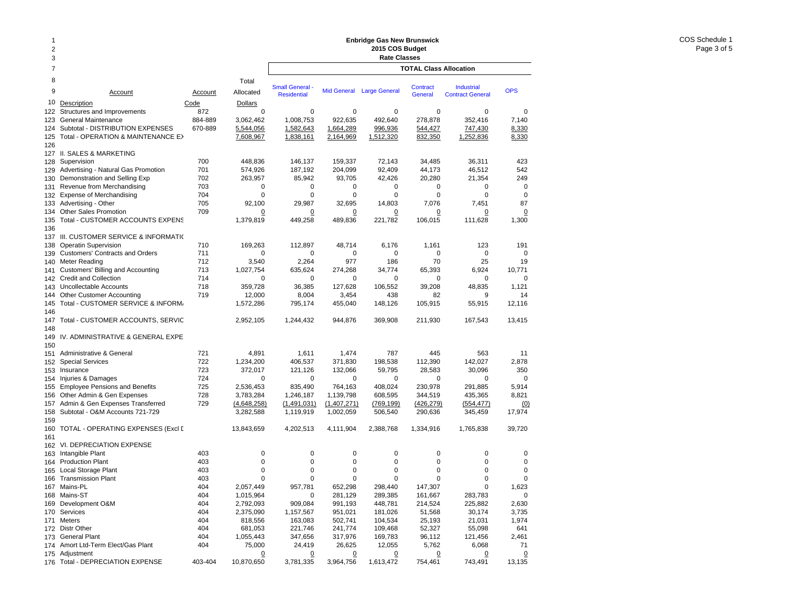### 2378 Total9 Account Account Allocated10Description Code Dollars 122 Structures and Improvements 672 6872 1990 1990 1991 1992 1994 1994 1996 1997 1997 1998 1998 199 123 General Maintenance 884-889 3,062,462 124 Subtotal - DISTRIBUTION EXPENSES 670-889 5,544,056 125 Total - OPERATION & MAINTENANCE E>  $7,608,967$ 126 127 II. SALES & MARKETING 128 Supervision 700 448,836 129 Advertising - Natural Gas Promotion 701 574,926 130 Demonstration and Selling Exp  $702$  263,957 131 Revenue from Merchandising 703 0 132 Expense of Merchandising 704 0 133 Advertising - Other 705 705 92,100 134 Other Sales Promotion 709 0 135 Total - CUSTOMER ACCOUNTS EXPENS 1,379,819 136137 III. CUSTOMER SERVICE & INFORMATIO 138 Operatin Supervision 169,263 139 Customers' Contracts and Orders 711 0 140 Meter Reading 712 3,540 141 Customers' Billing and Accounting  $141$  Customers' Billing and Accounting  $1,027,754$ 142 Credit and Collection 714 0 143 Uncollectable Accounts 718 359,728 144 Other Customer Accounting 719 12,000 145 Total - CUSTOMER SERVICE & INFORM. 1,572,286 146 147Total - CUSTOMER ACCOUNTS, SERVIC 2.952.105 148149 IV. ADMINISTRATIVE & GENERAL EXPE 150151 Administrative & General 721 4,891 152 Special Services 722 1,234,200 153 Insurance 723 372,017 154 Injuries & Damages 724 0 155 Employee Pensions and Benefits  $155$  725 2,536,453 156 Other Admin & Gen Expenses **728** 3,783,284 157Admin & Gen Expenses Transferred 729 (4.648.258) 158 Subtotal - O&M Accounts 721-729 3,282,588 159160 TOTAL - OPERATING EXPENSES (Excl D 13,843,659 161 162 VI. DEPRECIATION EXPENSE 163 Intangible Plant 403 0 164 Production Plant 403 0 165 Local Storage Plant 165 2003 165 2004 165 2004 165 2004 165 2004 165 2005 166 2004 167 2005 168 2006 168 20 166 Transmission Plant 403 0 167 Mains-PL 404 2,057,449 168 Mains-ST 404 1,015,964 169 Development O&M 404 2,792,093 170 Services 404 2,375,090 171 Meters 404 818,556 172 Distr Other 404 681,053 173 General Plant **1055,443** 1,055,443 174 Amort Ltd-Term Elect/Gas Plant 404 75,000 **TOTAL Class AllocationEnbridge Gas New Brunswick 2015 COS Budget Rate Classes Industrial** Contract GeneralSmall General - Mid General Large General Contract Industrial OPS<br>Residential - Mid General Large General General Contract General 0 0 0 0 001,008,753 922,635 492,640 278,878 352,416 7,140 1,582,643 1,664,289 996,936 544,427 747,430 8,330 1,838,161 2,164,969 1,512,320 832,350 1,252,836 8,330 146,137 159,337 72,143 34,485 36,311 423 187,192 204,099 92,409 44,173 46,512 542 85,942 93,705 42,426 20,280 21,354 249 0 0 0 0 000 0 0 0 0087 29,987 32,695 14,803 7,076 7,451 87 0 $\overline{0}$  0 0 0 0 449,258 489,836 221,782 106,015 111,628 1,300 112,897 48,714 6,176 1,161 123 191 0 0 0 0 002,264 977 186 70 25 19 635,624 274,268 34,774 65,393 6,924 10,771 0 0 0 0 001.121 36,385 127,628 106,552 39,208 48,835 1,121 8,004 3,454 438 82 9 14 795,174 455,040 148,126 105,915 55,915 12,116 1,244,432 944,876 369,908 211,930 167,543 13,415 1,611 1,474 787 445 563 11 406,537 371,830 198,538 112,390 142,027 2,878 121,126 132,066 59,795 28,583 30,096 350 0 0 0 0 00835,490 764,163 408,024 230,978 291,885 5,914 1,246,187 1,139,798 608,595 344,519 435,365 8,821 (1,491,031) (1,407,271) (769,199) (426,279) (554,477) (0) 1,119,919 1,002,059 506,540 290,636 345,459 17,974 4,202,513 4,111,904 2,388,768 1,334,916 1,765,838 39,720 0 0 0 0 000 0 0 0 000 0 0 0 000 0 0 0 00957,781 652,298 298,440 147,307 0 1,623 0 281,129 289,385 161,667 283,783 0 909,084 991,193 448,781 214,524 225,882 2,630 1,157,567 951,021 181,026 51,568 30,174 3,735 163,083 502,741 104,534 25,193 21,031 1,974 221,746 241,774 109,468 52,327 55,098 641 347,656 317,976 169,783 96,112 121,456 2,461 24,419 26,625 12,055 5,762 6,068 71

 $\Omega$ 

 $\overline{0}$ 

0 0 0 0

3,781,335 3,964,756 1,613,472 754,461 743,491 13,135

175 Adjustment 0 176 Total - DEPRECIATION EXPENSE 403-404 10,870,650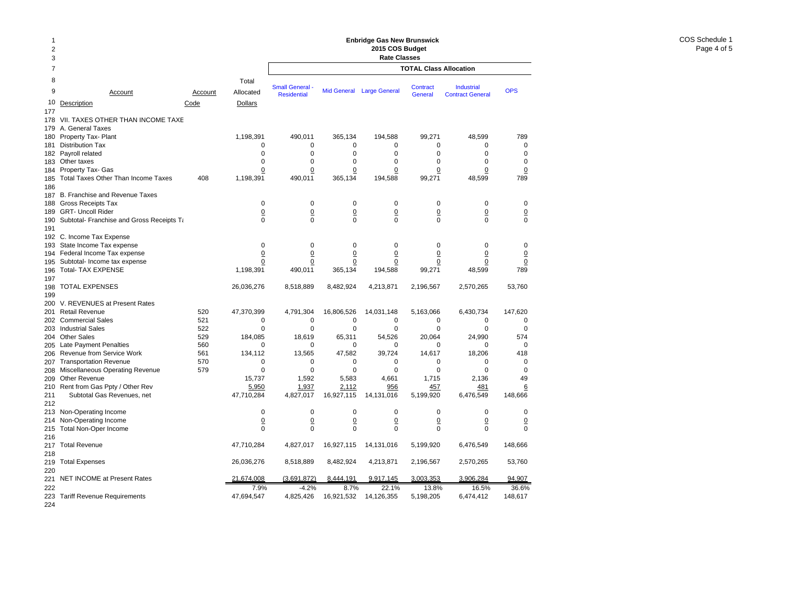### 2378 Total9 Accountt Account Allocated 10Description Code Dollars 177178 VII. TAXES OTHER THAN INCOME TAXE 179 A. General Taxes 180 Property Tax- Plant 1,198,391 181 Distribution Tax 0 182 Payroll related 0 183 Other taxes 0 184 Property Tax- Gas <u>0</u> 185 Total Taxes Other Than Income Taxes 408 1,198,391 186 187 B. Franchise and Revenue Taxes 188 Gross Receipts Tax 0 189 GRT- Uncoll Rider 0 190 Subtotal- Franchise and Gross Receipts Ta metal of the 190 Subtotal-191 192 C. Income Tax Expense 193 State Income Tax expense 0 194 Federal Income Tax expense 0 195 Subtotal- Income tax expense 00 196 Total- TAX EXPENSE 1,198,391 197198 TOTAL EXPENSES 26,036,276 199 200 V. REVENUES at Present Rates 201 Retail Revenue 520 47,370,399 202 Commercial Sales 521 0 203 Industrial Sales 622 and 100 million of the state of the state of the state of the state of the state of t 204 Other Sales 529 184,085 205 Late Payment Penalties 660 block to the state of the state of the state of the state of the state of the s 206 Revenue from Service Work  $561$  561 134,112 207 Transportation Revenue 570 0 208 Miscellaneous Operating Revenue 579 by the settlement of the settlement of the settlement of the settlemen 209 Other Revenue 15,737 210 Rent from Gas Ppty / Other Rev 6.950 211 Subtotal Gas Revenues, net 47,710,284 212213 Non-Operating Income 0 214 Non-Operating Income <u>0</u> 215 Total Non-Oper Income 0 216 217 Total Revenue 47,710,284 218219 Total Expenses 26,036,276 220221 NET INCOME at Present Rates 21,674,008 222 7.9%223 Tariff Revenue Requirements 47,694,547 **TOTAL Class Allocation2015 COS Budget Rate Classes** Industrial Contract GeneralSmall General - Mid General Large General Contract - Industrial - OPS<br>Residential - Residential Contract General Contract General 490,011 365,134 194,588 99,271 48,599 789 0 0 0 0 000 0 0 0 00 $\mathsf 0$ 0 0 0 0 000 0 0 0 0 0 490,011 365,134 194,588 99,271 48,599 789 0 0 0 0 000 0 0 0 0 0 0 0 0 0 000 0 0 0 000 0 0 0 0 0 0 0 0 0 0 0 490,011 365,134 194,588 99,271 48,599 789 8,518,889 8,482,924 4,213,871 2,196,567 2,570,265 53,760 4,791,304 16,806,526 14,031,148 5,163,066 6,430,734 147,620 0 0 0 0 00 $\Omega$ 0 0 0 0 0018,619 65,311 54,526 20,064 24,990 574 0 0 0 0 0013,565 47,582 39,724 14,617 18,206 418 0 0 0 0 000 0 0 0 001,592 5,583 4,661 1,715 2,136 49 1,937 2,112 956 457 481 6 4,827,017 16,927,115 14,131,016 5,199,920 6,476,549 148,666 0 0 0 0 00 $\Omega$  0 0 0 0 0 0 0 0 0 000 4,827,017 16,927,115 14,131,016 5,199,920 6,476,549 148,666 8,518,889 8,482,924 4,213,871 2,196,567 2,570,265 53,760 (3,691,872) 8,444,191 9,917,145 3,003,353 3,906,284 94,907 -4.2% 8.7% 22.1% 13.8% 16.5% 36.6%4,825,426 16,921,532 14,126,355 5,198,205 6,474,412 148,617

**Enbridge Gas New Brunswick** 

224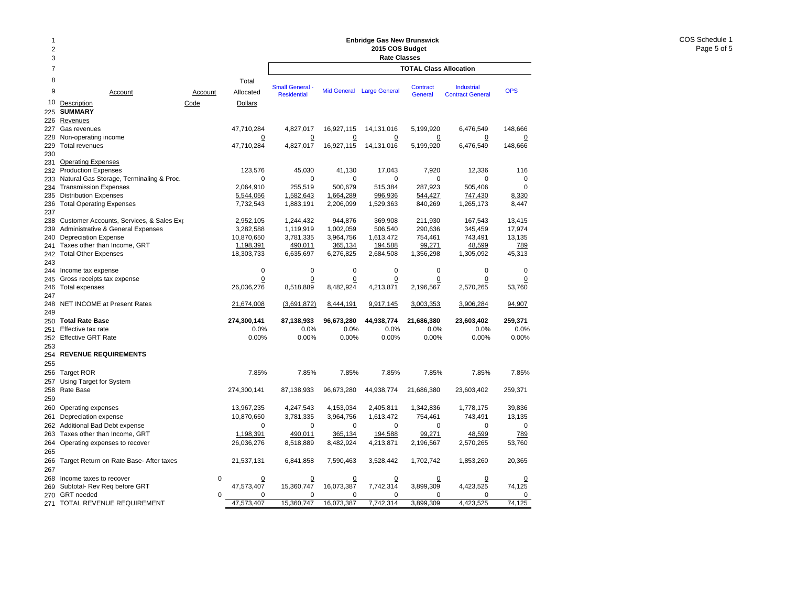# **Enbridge Gas New Brunswick 2015 COS Budget**

| $\overline{2}$ |                                                                          |             |                     | Enbridge Gas New Brunswick<br>2015 COS Budget |                    |                           |                               |                         |                 |  |  |  |  |
|----------------|--------------------------------------------------------------------------|-------------|---------------------|-----------------------------------------------|--------------------|---------------------------|-------------------------------|-------------------------|-----------------|--|--|--|--|
| 3              |                                                                          |             |                     |                                               |                    | <b>Rate Classes</b>       |                               |                         |                 |  |  |  |  |
| $\overline{7}$ |                                                                          |             |                     |                                               |                    |                           | <b>TOTAL Class Allocation</b> |                         |                 |  |  |  |  |
| 8              |                                                                          |             | Total               | <b>Small General</b>                          |                    |                           | <b>Contract</b>               | <b>Industrial</b>       |                 |  |  |  |  |
| 9              | Account                                                                  | Account     | Allocated           | <b>Residential</b>                            |                    | Mid General Large General | General                       | <b>Contract General</b> | <b>OPS</b>      |  |  |  |  |
| 10             | Description                                                              | Code        | <b>Dollars</b>      |                                               |                    |                           |                               |                         |                 |  |  |  |  |
| 225            | <b>SUMMARY</b>                                                           |             |                     |                                               |                    |                           |                               |                         |                 |  |  |  |  |
| 226            | Revenues                                                                 |             |                     |                                               |                    |                           |                               |                         |                 |  |  |  |  |
| 227            | Gas revenues                                                             |             | 47,710,284          | 4,827,017                                     | 16,927,115         | 14,131,016                | 5,199,920                     | 6,476,549               | 148,666         |  |  |  |  |
| 228            | Non-operating income                                                     |             | $\overline{0}$      | 0                                             | $\overline{0}$     | $\overline{0}$            | $\overline{0}$                | $\Omega$                | $\Omega$        |  |  |  |  |
| 229            | <b>Total revenues</b>                                                    |             | 47,710,284          | 4,827,017                                     | 16,927,115         | 14,131,016                | 5,199,920                     | 6,476,549               | 148,666         |  |  |  |  |
| 230            |                                                                          |             |                     |                                               |                    |                           |                               |                         |                 |  |  |  |  |
| 231            | <b>Operating Expenses</b>                                                |             |                     | 45,030                                        |                    |                           | 7,920                         |                         |                 |  |  |  |  |
| 232<br>233     | <b>Production Expenses</b>                                               |             | 123,576<br>$\Omega$ | $\Omega$                                      | 41,130<br>$\Omega$ | 17,043<br>$\Omega$        | $\Omega$                      | 12,336<br>$\Omega$      | 116<br>$\Omega$ |  |  |  |  |
| 234            | Natural Gas Storage, Terminaling & Proc.<br><b>Transmission Expenses</b> |             | 2,064,910           | 255,519                                       | 500,679            | 515,384                   | 287,923                       | 505.406                 | $\Omega$        |  |  |  |  |
| 235            | <b>Distribution Expenses</b>                                             |             | 5,544,056           | 1,582,643                                     | 1,664,289          | 996,936                   | 544,427                       | 747,430                 | 8,330           |  |  |  |  |
| 236            | <b>Total Operating Expenses</b>                                          |             | 7,732,543           | 1,883,191                                     | 2,206,099          | 1,529,363                 | 840,269                       | 1,265,173               | 8,447           |  |  |  |  |
| 237            |                                                                          |             |                     |                                               |                    |                           |                               |                         |                 |  |  |  |  |
| 238            | Customer Accounts, Services, & Sales Exp                                 |             | 2,952,105           | 1,244,432                                     | 944,876            | 369,908                   | 211,930                       | 167,543                 | 13,415          |  |  |  |  |
| 239            | Administrative & General Expenses                                        |             | 3,282,588           | 1,119,919                                     | 1,002,059          | 506,540                   | 290,636                       | 345,459                 | 17,974          |  |  |  |  |
| 240            | <b>Depreciation Expense</b>                                              |             | 10,870,650          | 3,781,335                                     | 3,964,756          | 1,613,472                 | 754,461                       | 743,491                 | 13,135          |  |  |  |  |
| 241            | Taxes other than Income, GRT                                             |             | 1,198,391           | 490,011                                       | 365,134            | 194,588                   | 99,271                        | 48,599                  | 789             |  |  |  |  |
| 242            | <b>Total Other Expenses</b>                                              |             | 18,303,733          | 6,635,697                                     | 6,276,825          | 2,684,508                 | 1,356,298                     | 1,305,092               | 45,313          |  |  |  |  |
| 243            |                                                                          |             |                     |                                               |                    |                           |                               |                         |                 |  |  |  |  |
| 244            | Income tax expense                                                       |             | 0                   | $\mathbf 0$                                   | $\mathbf 0$        | $\mathbf 0$               | 0                             | 0                       | $\Omega$        |  |  |  |  |
| 245            | Gross receipts tax expense                                               |             | 0                   | $\Omega$                                      | 0                  | $\overline{0}$            | $\Omega$                      | 0                       | 0               |  |  |  |  |
| 246            | <b>Total expenses</b>                                                    |             | 26,036,276          | 8,518,889                                     | 8,482,924          | 4,213,871                 | 2,196,567                     | 2,570,265               | 53,760          |  |  |  |  |
| 247<br>248     |                                                                          |             |                     |                                               |                    |                           |                               |                         |                 |  |  |  |  |
| 249            | NET INCOME at Present Rates                                              |             | 21,674,008          | (3,691,872)                                   | 8,444,191          | 9,917,145                 | 3,003,353                     | 3,906,284               | 94,907          |  |  |  |  |
| 250            | <b>Total Rate Base</b>                                                   |             | 274,300,141         | 87,138,933                                    | 96,673,280         | 44,938,774                | 21,686,380                    | 23,603,402              | 259,371         |  |  |  |  |
| 251            | Effective tax rate                                                       |             | 0.0%                | 0.0%                                          | 0.0%               | 0.0%                      | 0.0%                          | $0.0\%$                 | 0.0%            |  |  |  |  |
| 252            | <b>Effective GRT Rate</b>                                                |             | 0.00%               | 0.00%                                         | 0.00%              | 0.00%                     | 0.00%                         | 0.00%                   | 0.00%           |  |  |  |  |
| 253            |                                                                          |             |                     |                                               |                    |                           |                               |                         |                 |  |  |  |  |
| 254            | <b>REVENUE REQUIREMENTS</b>                                              |             |                     |                                               |                    |                           |                               |                         |                 |  |  |  |  |
| 255            |                                                                          |             |                     |                                               |                    |                           |                               |                         |                 |  |  |  |  |
| 256            | <b>Target ROR</b>                                                        |             | 7.85%               | 7.85%                                         | 7.85%              | 7.85%                     | 7.85%                         | 7.85%                   | 7.85%           |  |  |  |  |
| 257            | Using Target for System                                                  |             |                     |                                               |                    |                           |                               |                         |                 |  |  |  |  |
| 258            | Rate Base                                                                |             | 274,300,141         | 87,138,933                                    | 96,673,280         | 44,938,774                | 21,686,380                    | 23,603,402              | 259,371         |  |  |  |  |
| 259            |                                                                          |             |                     |                                               |                    |                           |                               |                         |                 |  |  |  |  |
| 260            | Operating expenses                                                       |             | 13,967,235          | 4,247,543                                     | 4,153,034          | 2,405,811                 | 1,342,836                     | 1,778,175               | 39,836          |  |  |  |  |
| 261            | Depreciation expense                                                     |             | 10,870,650          | 3,781,335                                     | 3,964,756          | 1,613,472                 | 754,461                       | 743,491                 | 13,135          |  |  |  |  |
| 262            | Additional Bad Debt expense                                              |             | $\mathbf 0$         | $\mathbf 0$                                   | $\mathbf 0$        | $\mathbf 0$               | $\mathbf 0$                   | 0                       | $\mathbf 0$     |  |  |  |  |
| 263            | Taxes other than Income, GRT                                             |             | 1,198,391           | 490,011                                       | 365,134            | 194,588                   | 99,271                        | 48,599                  | 789             |  |  |  |  |
| 264            | Operating expenses to recover                                            |             | 26,036,276          | 8,518,889                                     | 8,482,924          | 4,213,871                 | 2,196,567                     | 2,570,265               | 53,760          |  |  |  |  |
| 265            |                                                                          |             |                     |                                               |                    |                           |                               |                         |                 |  |  |  |  |
| 266            | Target Return on Rate Base- After taxes                                  |             | 21,537,131          | 6,841,858                                     | 7,590,463          | 3,528,442                 | 1,702,742                     | 1,853,260               | 20,365          |  |  |  |  |
| 267            |                                                                          |             |                     |                                               |                    |                           |                               |                         |                 |  |  |  |  |
| 268            | Income taxes to recover                                                  | $\mathbf 0$ | $\overline{0}$      | $\overline{0}$                                | $\overline{0}$     | <u>0</u>                  | $\overline{0}$                | 0                       |                 |  |  |  |  |
| 269            | Subtotal- Rev Req before GRT                                             |             | 47,573,407          | 15,360,747                                    | 16,073,387         | 7,742,314                 | 3,899,309                     | 4,423,525               | 74,125          |  |  |  |  |
| 270            | <b>GRT</b> needed                                                        | $\mathbf 0$ | 0                   | $\mathbf 0$                                   | $\Omega$           | 0                         | 0                             | 0                       | $\mathbf 0$     |  |  |  |  |
| 271            | TOTAL REVENUE REQUIREMENT                                                |             | 47,573,407          | 15,360,747                                    | 16,073,387         | 7,742,314                 | 3,899,309                     | 4,423,525               | 74,125          |  |  |  |  |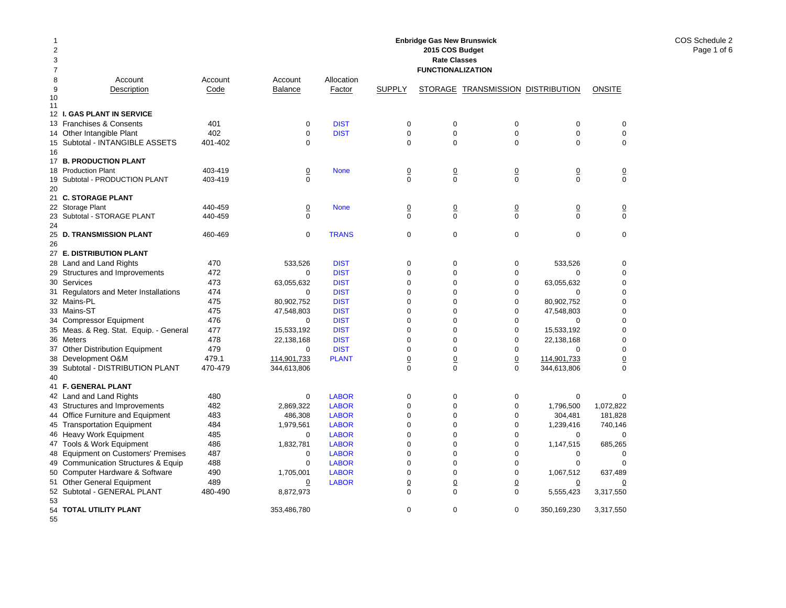| 1<br>$\overline{c}$<br>3<br>7 | <b>Enbridge Gas New Brunswick</b><br>2015 COS Budget<br><b>Rate Classes</b><br><b>FUNCTIONALIZATION</b> |                    |                            |                              |                            |                            |                                   |                            |                        |  |  |  |
|-------------------------------|---------------------------------------------------------------------------------------------------------|--------------------|----------------------------|------------------------------|----------------------------|----------------------------|-----------------------------------|----------------------------|------------------------|--|--|--|
| 8                             | Account                                                                                                 | Account            | Account                    | Allocation                   |                            |                            |                                   |                            |                        |  |  |  |
| 9                             | Description                                                                                             | Code               | <b>Balance</b>             | Factor                       | <b>SUPPLY</b>              |                            | STORAGE TRANSMISSION DISTRIBUTION |                            | <b>ONSITE</b>          |  |  |  |
| 10<br>11                      |                                                                                                         |                    |                            |                              |                            |                            |                                   |                            |                        |  |  |  |
|                               | 12 I. GAS PLANT IN SERVICE                                                                              |                    |                            |                              |                            |                            |                                   |                            |                        |  |  |  |
|                               | 13 Franchises & Consents                                                                                | 401                | $\mathbf 0$                | <b>DIST</b>                  | 0                          | $\mathbf 0$                | 0                                 | $\mathbf 0$                | 0                      |  |  |  |
|                               | 14 Other Intangible Plant                                                                               | 402                | $\Omega$                   | <b>DIST</b>                  | $\mathbf 0$                | $\mathbf 0$                | $\mathbf 0$                       | $\mathbf 0$                | $\mathbf 0$            |  |  |  |
|                               | 15 Subtotal - INTANGIBLE ASSETS                                                                         | 401-402            | $\Omega$                   |                              | $\Omega$                   | $\mathbf 0$                | $\Omega$                          | $\Omega$                   | $\mathbf 0$            |  |  |  |
| 16                            |                                                                                                         |                    |                            |                              |                            |                            |                                   |                            |                        |  |  |  |
|                               | 17 B. PRODUCTION PLANT                                                                                  |                    |                            |                              |                            |                            |                                   |                            |                        |  |  |  |
|                               | 18 Production Plant                                                                                     | 403-419            | $\underline{0}$            | <b>None</b>                  | $\underline{0}$            | $\underline{0}$            | $\overline{\mathbf{0}}$           | $\overline{0}$             | $\overline{0}$         |  |  |  |
| 19                            | Subtotal - PRODUCTION PLANT                                                                             | 403-419            | $\Omega$                   |                              | $\Omega$                   | $\Omega$                   | $\Omega$                          | $\Omega$                   | $\Omega$               |  |  |  |
| 20                            |                                                                                                         |                    |                            |                              |                            |                            |                                   |                            |                        |  |  |  |
|                               | 21 C. STORAGE PLANT                                                                                     |                    |                            |                              |                            |                            |                                   |                            |                        |  |  |  |
| 23                            | 22 Storage Plant<br>Subtotal - STORAGE PLANT                                                            | 440-459<br>440-459 | $\overline{0}$<br>$\Omega$ | <b>None</b>                  | $\Omega$<br>$\Omega$       | $\overline{0}$<br>$\Omega$ | $\Omega$<br>$\Omega$              | $\overline{0}$<br>$\Omega$ | $\Omega$<br>$\Omega$   |  |  |  |
| 24                            |                                                                                                         |                    |                            |                              |                            |                            |                                   |                            |                        |  |  |  |
| 25                            | <b>D. TRANSMISSION PLANT</b>                                                                            | 460-469            | $\mathbf 0$                | <b>TRANS</b>                 | $\mathbf 0$                | $\mathbf 0$                | $\mathbf 0$                       | $\mathbf 0$                | $\mathbf 0$            |  |  |  |
| 26                            |                                                                                                         |                    |                            |                              |                            |                            |                                   |                            |                        |  |  |  |
|                               | 27 E. DISTRIBUTION PLANT                                                                                |                    |                            |                              |                            |                            |                                   |                            |                        |  |  |  |
| 28                            | Land and Land Rights                                                                                    | 470                | 533.526                    | <b>DIST</b>                  | $\mathbf 0$                | $\mathbf 0$                | $\mathbf 0$                       | 533.526                    | $\mathbf 0$            |  |  |  |
|                               | 29 Structures and Improvements                                                                          | 472                | $\Omega$                   | <b>DIST</b>                  | $\mathsf 0$                | $\Omega$                   | 0                                 | $\Omega$                   | 0                      |  |  |  |
|                               | 30 Services                                                                                             | 473                | 63,055,632                 | <b>DIST</b>                  | $\mathsf 0$                | $\mathbf 0$                | 0                                 | 63,055,632                 | 0                      |  |  |  |
|                               | 31 Regulators and Meter Installations                                                                   | 474                | 0                          | <b>DIST</b>                  | $\mathsf 0$                | $\mathbf 0$                | 0                                 | $\Omega$                   | 0                      |  |  |  |
|                               | 32 Mains-PL                                                                                             | 475                | 80,902,752                 | <b>DIST</b>                  | $\mathbf 0$                | $\Omega$                   | 0                                 | 80,902,752                 | 0                      |  |  |  |
|                               | 33 Mains-ST                                                                                             | 475                | 47,548,803                 | <b>DIST</b>                  | $\mathbf 0$                | $\Omega$                   | $\mathbf 0$                       | 47,548,803                 | 0                      |  |  |  |
|                               | 34 Compressor Equipment                                                                                 | 476                | 0                          | <b>DIST</b>                  | $\mathbf 0$                | $\Omega$                   | $\mathbf 0$                       | $\mathbf 0$                | $\mathbf 0$            |  |  |  |
|                               | 35 Meas. & Reg. Stat. Equip. - General                                                                  | 477                | 15,533,192                 | <b>DIST</b>                  | $\mathbf 0$                | $\mathbf 0$                | $\mathbf 0$                       | 15,533,192                 | $\mathbf 0$            |  |  |  |
|                               | 36 Meters                                                                                               | 478                | 22.138.168                 | <b>DIST</b>                  | $\mathbf 0$                | $\Omega$                   | $\mathbf 0$                       | 22,138,168                 | $\mathbf 0$            |  |  |  |
| 37                            | <b>Other Distribution Equipment</b>                                                                     | 479                | $\mathbf 0$                | <b>DIST</b>                  | $\mathbf 0$                | $\Omega$                   | $\mathbf 0$                       | $\mathbf 0$                | $\mathbf 0$            |  |  |  |
|                               | 38 Development O&M                                                                                      | 479.1              | 114,901,733                | <b>PLANT</b>                 | $\overline{0}$             | $\overline{0}$             | $\overline{0}$                    | 114,901,733                | $\overline{0}$         |  |  |  |
|                               | 39 Subtotal - DISTRIBUTION PLANT                                                                        | 470-479            | 344,613,806                |                              | $\Omega$                   | $\Omega$                   | $\Omega$                          | 344,613,806                | $\Omega$               |  |  |  |
| 40                            |                                                                                                         |                    |                            |                              |                            |                            |                                   |                            |                        |  |  |  |
| 41                            | <b>F. GENERAL PLANT</b>                                                                                 |                    |                            |                              |                            |                            |                                   |                            |                        |  |  |  |
|                               | 42 Land and Land Rights                                                                                 | 480                | $\Omega$                   | <b>LABOR</b>                 | $\mathbf 0$                | $\mathbf 0$                | $\mathbf 0$                       | $\mathbf 0$                | $\mathbf 0$            |  |  |  |
|                               | 43 Structures and Improvements                                                                          | 482                | 2,869,322                  | <b>LABOR</b>                 | $\mathbf 0$                | $\mathbf 0$<br>$\mathbf 0$ | 0                                 | 1,796,500                  | 1,072,822              |  |  |  |
|                               | 44 Office Furniture and Equipment                                                                       | 483<br>484         | 486,308<br>1,979,561       | <b>LABOR</b><br><b>LABOR</b> | $\mathsf 0$<br>$\mathbf 0$ | $\mathbf 0$                | 0<br>0                            | 304,481<br>1,239,416       | 181,828                |  |  |  |
|                               | 45 Transportation Equipment<br>46 Heavy Work Equipment                                                  | 485                | 0                          | <b>LABOR</b>                 | $\mathbf 0$                | $\mathbf 0$                | $\mathbf 0$                       | 0                          | 740,146<br>$\mathbf 0$ |  |  |  |
|                               | 47 Tools & Work Equipment                                                                               | 486                | 1,832,781                  | <b>LABOR</b>                 | $\mathbf 0$                | $\Omega$                   | $\mathbf 0$                       | 1,147,515                  | 685,265                |  |  |  |
|                               | 48 Equipment on Customers' Premises                                                                     | 487                | $\mathbf 0$                | <b>LABOR</b>                 | $\mathbf 0$                | $\Omega$                   | $\mathbf 0$                       | $\mathbf 0$                | $\mathbf 0$            |  |  |  |
| 49                            | <b>Communication Structures &amp; Equip</b>                                                             | 488                | $\mathbf 0$                | <b>LABOR</b>                 | $\mathbf 0$                | $\Omega$                   | $\mathbf 0$                       | $\mathbf 0$                | $\mathbf 0$            |  |  |  |
| 50                            | Computer Hardware & Software                                                                            | 490                | 1,705,001                  | <b>LABOR</b>                 | $\mathbf 0$                | $\mathbf 0$                | $\mathbf 0$                       | 1,067,512                  | 637,489                |  |  |  |
|                               | 51 Other General Equipment                                                                              | 489                | 0                          | <b>LABOR</b>                 | $\overline{0}$             | $\overline{0}$             | $\overline{0}$                    | $\overline{0}$             | 0                      |  |  |  |
|                               | 52 Subtotal - GENERAL PLANT                                                                             | 480-490            | 8,872,973                  |                              | $\mathbf 0$                | $\Omega$                   | $\mathbf 0$                       | 5,555,423                  | 3,317,550              |  |  |  |
| 53                            |                                                                                                         |                    |                            |                              |                            |                            |                                   |                            |                        |  |  |  |
|                               | 54 TOTAL UTILITY PLANT                                                                                  |                    | 353,486,780                |                              | $\mathbf 0$                | $\mathbf 0$                | $\mathbf 0$                       | 350,169,230                | 3,317,550              |  |  |  |
| 55                            |                                                                                                         |                    |                            |                              |                            |                            |                                   |                            |                        |  |  |  |

COS Schedule 2 Page 1 of 6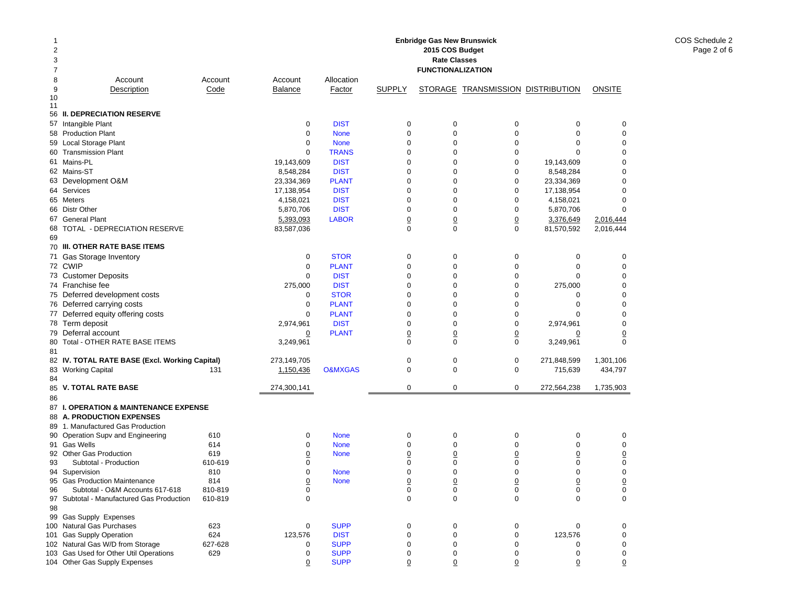| 1<br>2<br>3<br>7 |                                                      |            |                       |                            |                     | <b>Enbridge Gas New Brunswick</b><br>2015 COS Budget<br><b>Rate Classes</b><br><b>FUNCTIONALIZATION</b> |                                   |                       |             |
|------------------|------------------------------------------------------|------------|-----------------------|----------------------------|---------------------|---------------------------------------------------------------------------------------------------------|-----------------------------------|-----------------------|-------------|
| 8                | Account                                              | Account    | Account               | Allocation                 |                     |                                                                                                         |                                   |                       |             |
| 9                | Description                                          | Code       | <b>Balance</b>        | Factor                     | <b>SUPPLY</b>       |                                                                                                         | STORAGE TRANSMISSION DISTRIBUTION |                       | ONSITE      |
| 10<br>11         |                                                      |            |                       |                            |                     |                                                                                                         |                                   |                       |             |
| 56               | <b>II. DEPRECIATION RESERVE</b>                      |            |                       |                            |                     |                                                                                                         |                                   |                       |             |
|                  | 57 Intangible Plant                                  |            | $\mathbf 0$           | <b>DIST</b>                | 0                   | $\pmb{0}$                                                                                               | 0                                 | 0                     | $\mathbf 0$ |
|                  | 58 Production Plant                                  |            | $\mathbf 0$           | <b>None</b>                | $\mathbf 0$         | $\mathbf 0$                                                                                             | $\mathbf 0$                       | $\mathbf 0$           | $\mathbf 0$ |
|                  | 59 Local Storage Plant                               |            | $\mathbf 0$           | <b>None</b>                | 0                   | $\mathbf 0$                                                                                             | $\mathbf 0$                       | $\mathbf 0$           | 0           |
|                  | 60 Transmission Plant                                |            | $\mathbf 0$           | <b>TRANS</b>               | 0                   | $\mathbf 0$                                                                                             | $\mathbf 0$                       | $\Omega$              | 0           |
|                  | 61 Mains-PL                                          |            | 19,143,609            | <b>DIST</b>                | 0                   | $\mathbf 0$                                                                                             | $\mathbf 0$                       | 19,143,609            | 0           |
|                  | 62 Mains-ST                                          |            | 8,548,284             | <b>DIST</b>                | $\mathbf 0$         | $\mathbf 0$                                                                                             | 0                                 | 8,548,284             | 0           |
|                  | 63 Development O&M                                   |            | 23,334,369            | <b>PLANT</b>               | 0                   | $\mathbf 0$                                                                                             | $\mathbf 0$                       | 23,334,369            | 0           |
|                  | 64 Services                                          |            | 17,138,954            | <b>DIST</b>                | 0                   | $\mathbf 0$                                                                                             | 0                                 | 17,138,954            | 0           |
|                  | 65 Meters                                            |            | 4,158,021             | <b>DIST</b>                | 0                   | $\mathbf 0$                                                                                             | $\mathbf 0$                       | 4,158,021             | 0           |
|                  | 66 Distr Other                                       |            | 5,870,706             | <b>DIST</b>                | 0                   | $\mathbf 0$                                                                                             | $\mathbf 0$                       | 5,870,706             | 0           |
|                  | 67 General Plant                                     |            | 5,393,093             | <b>LABOR</b>               | $\overline{0}$      | $\overline{0}$                                                                                          | $\overline{0}$                    | 3,376,649             | 2,016,444   |
| 68               | TOTAL - DEPRECIATION RESERVE                         |            | 83,587,036            |                            | $\Omega$            | $\mathbf 0$                                                                                             | $\mathbf 0$                       | 81,570,592            | 2,016,444   |
| 69               |                                                      |            |                       |                            |                     |                                                                                                         |                                   |                       |             |
|                  | 70 III. OTHER RATE BASE ITEMS                        |            |                       |                            |                     |                                                                                                         |                                   |                       |             |
|                  | 71 Gas Storage Inventory                             |            | 0                     | <b>STOR</b>                | 0                   | $\mathbf 0$                                                                                             | 0                                 | 0                     | 0           |
|                  | 72 CWIP                                              |            | $\mathbf 0$           | <b>PLANT</b>               | 0                   | $\mathbf 0$                                                                                             | 0                                 | $\mathbf 0$           | 0           |
|                  | 73 Customer Deposits                                 |            | $\mathbf 0$           | <b>DIST</b>                | 0                   | $\mathbf 0$                                                                                             | $\mathbf 0$                       | 0                     | 0           |
|                  | 74 Franchise fee                                     |            | 275,000               | <b>DIST</b>                | 0                   | $\mathbf 0$                                                                                             | 0                                 | 275,000               | 0           |
|                  | 75 Deferred development costs                        |            | 0                     | <b>STOR</b>                | 0                   | $\mathbf 0$                                                                                             | 0                                 | 0                     | 0           |
|                  | 76 Deferred carrying costs                           |            | $\mathbf 0$           | <b>PLANT</b>               | 0                   | $\mathbf 0$                                                                                             | $\mathbf 0$                       | 0                     | 0           |
|                  | 77 Deferred equity offering costs                    |            | $\mathbf 0$           | <b>PLANT</b>               | 0                   | $\mathbf 0$                                                                                             | 0                                 | 0                     | 0           |
|                  | 78 Term deposit                                      |            | 2,974,961             | <b>DIST</b>                | 0                   | $\mathbf 0$                                                                                             | $\mathbf 0$                       | 2,974,961             | 0           |
| 80               | 79 Deferral account<br>Total - OTHER RATE BASE ITEMS |            | <u>0</u><br>3,249,961 | <b>PLANT</b>               | $\overline{0}$<br>0 | $\overline{0}$<br>$\mathbf 0$                                                                           | $\overline{0}$<br>$\mathbf 0$     | <u>0</u><br>3,249,961 | 0<br>0      |
| 81               |                                                      |            |                       |                            |                     |                                                                                                         |                                   |                       |             |
|                  | 82 IV. TOTAL RATE BASE (Excl. Working Capital)       |            | 273,149,705           |                            | 0                   | $\mathbf 0$                                                                                             | 0                                 | 271,848,599           | 1,301,106   |
|                  | 83 Working Capital                                   | 131        | 1,150,436             | <b>O&amp;MXGAS</b>         | 0                   | $\mathbf 0$                                                                                             | $\mathbf 0$                       | 715,639               | 434,797     |
| 84               |                                                      |            |                       |                            |                     |                                                                                                         |                                   |                       |             |
|                  | 85 V. TOTAL RATE BASE                                |            | 274,300,141           |                            | 0                   | $\mathbf 0$                                                                                             | $\mathbf 0$                       | 272,564,238           | 1,735,903   |
| 86               |                                                      |            |                       |                            |                     |                                                                                                         |                                   |                       |             |
|                  | 87 I. OPERATION & MAINTENANCE EXPENSE                |            |                       |                            |                     |                                                                                                         |                                   |                       |             |
|                  | 88 A. PRODUCTION EXPENSES                            |            |                       |                            |                     |                                                                                                         |                                   |                       |             |
|                  | 89 1. Manufactured Gas Production                    |            |                       |                            |                     |                                                                                                         |                                   |                       |             |
|                  | 90 Operation Supv and Engineering                    | 610        | 0                     | <b>None</b>                | $\mathbf 0$         | 0                                                                                                       | 0                                 | 0                     | 0           |
|                  | 91 Gas Wells                                         | 614        | $\mathbf 0$           | <b>None</b>                | 0                   | $\mathbf 0$                                                                                             | $\mathbf 0$                       | $\mathbf 0$           | $\mathbf 0$ |
|                  | 92 Other Gas Production                              | 619        | $\overline{0}$        | <b>None</b>                | 0                   | $\overline{0}$                                                                                          | $\overline{0}$                    | <u>0</u>              | 0           |
| 93               | Subtotal - Production                                | 610-619    | $\mathbf 0$           |                            | 0                   | $\mathbf 0$                                                                                             | 0                                 | 0                     | 0           |
|                  | 94 Supervision                                       | 810        | $\mathbf 0$           | <b>None</b>                | $\Omega$            | $\mathbf 0$                                                                                             | $\mathbf 0$                       | 0                     | 0           |
| 95               | <b>Gas Production Maintenance</b>                    | 814        | $\overline{0}$        | <b>None</b>                | 0                   | 0                                                                                                       |                                   | $\overline{0}$        | 0           |
| 96               | Subtotal - O&M Accounts 617-618                      | 810-819    | 0                     |                            | 0                   | 0                                                                                                       | 0                                 | 0                     | 0           |
|                  | 97 Subtotal - Manufactured Gas Production            | 610-819    | $\mathbf 0$           |                            | 0                   | $\mathbf 0$                                                                                             | 0                                 | $\mathbf 0$           | $\mathbf 0$ |
| 98               |                                                      |            |                       |                            |                     |                                                                                                         |                                   |                       |             |
|                  | 99 Gas Supply Expenses<br>100 Natural Gas Purchases  |            |                       |                            |                     |                                                                                                         |                                   |                       |             |
|                  | 101 Gas Supply Operation                             | 623<br>624 | 0<br>123,576          | <b>SUPP</b><br><b>DIST</b> | 0<br>0              | $\pmb{0}$<br>$\pmb{0}$                                                                                  | 0<br>0                            | 0<br>123,576          | 0<br>0      |
|                  | 102 Natural Gas W/D from Storage                     | 627-628    | 0                     | <b>SUPP</b>                | 0                   | $\mathbf 0$                                                                                             | 0                                 | 0                     | 0           |
|                  | 103 Gas Used for Other Util Operations               | 629        | 0                     | <b>SUPP</b>                | 0                   | $\mathbf 0$                                                                                             | 0                                 | 0                     | 0           |
|                  | 104 Other Gas Supply Expenses                        |            | $\overline{0}$        | <b>SUPP</b>                | $\overline{0}$      | $\overline{0}$                                                                                          | 0                                 | $\overline{0}$        | 0           |

COS Schedule 2 Page 2 of 6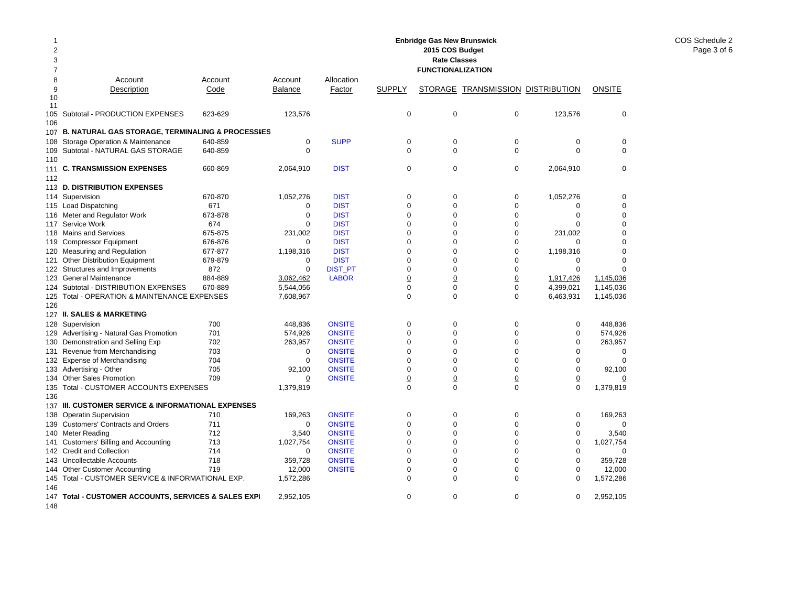| 2<br>3        |                                                                |            |                          |                                |                  | 2015 COS Budget<br><b>Rate Classes</b> |                                          |                            |                |
|---------------|----------------------------------------------------------------|------------|--------------------------|--------------------------------|------------------|----------------------------------------|------------------------------------------|----------------------------|----------------|
| 7             |                                                                |            |                          |                                |                  | <b>FUNCTIONALIZATION</b>               |                                          |                            |                |
| 8             | Account                                                        | Account    | Account                  | Allocation                     |                  |                                        |                                          |                            |                |
| 9<br>10<br>11 | Description                                                    | Code       | <b>Balance</b>           | Factor                         | <b>SUPPLY</b>    |                                        | <b>STORAGE TRANSMISSION DISTRIBUTION</b> |                            | <b>ONSITE</b>  |
| 106           | 105 Subtotal - PRODUCTION EXPENSES                             | 623-629    | 123,576                  |                                | 0                | 0                                      | $\mathbf 0$                              | 123,576                    | $\mathbf 0$    |
|               | 107 B. NATURAL GAS STORAGE, TERMINALING & PROCESSIES           |            |                          |                                |                  |                                        |                                          |                            |                |
| 108           | Storage Operation & Maintenance                                | 640-859    | $\mathbf 0$              | <b>SUPP</b>                    | $\mathbf 0$      | $\mathbf 0$                            | $\mathbf 0$                              | $\mathbf 0$                | $\mathbf 0$    |
| 110           | 109 Subtotal - NATURAL GAS STORAGE                             | 640-859    | $\Omega$                 |                                | $\Omega$         | $\Omega$                               | $\mathbf 0$                              | $\Omega$                   | $\mathbf 0$    |
| 111<br>112    | <b>C. TRANSMISSION EXPENSES</b>                                | 660-869    | 2,064,910                | <b>DIST</b>                    | 0                | 0                                      | $\mathbf 0$                              | 2,064,910                  | $\mathbf 0$    |
|               | 113 D. DISTRIBUTION EXPENSES                                   |            |                          |                                |                  |                                        |                                          |                            |                |
|               | 114 Supervision                                                | 670-870    | 1,052,276                | <b>DIST</b>                    | 0                | $\mathbf 0$                            | 0                                        | 1,052,276                  | $\mathbf 0$    |
|               | 115 Load Dispatching                                           | 671        | 0                        | <b>DIST</b>                    | $\mathbf 0$      | $\Omega$                               | $\mathbf 0$                              | 0                          | $\mathbf 0$    |
|               | 116 Meter and Regulator Work                                   | 673-878    | $\mathbf 0$              | <b>DIST</b>                    | $\Omega$         | $\Omega$                               | $\mathbf 0$                              | $\Omega$                   | $\mathbf 0$    |
| 117           | Service Work                                                   | 674        | $\Omega$                 | <b>DIST</b>                    | $\mathbf 0$      | $\Omega$                               | $\mathbf 0$                              | $\Omega$                   | $\mathbf 0$    |
|               | 118 Mains and Services                                         | 675-875    | 231,002                  | <b>DIST</b>                    | $\mathbf 0$      | $\Omega$                               | $\mathbf 0$                              | 231,002                    | $\mathbf 0$    |
| 119           | <b>Compressor Equipment</b>                                    | 676-876    | $\mathbf 0$              | <b>DIST</b>                    | $\mathbf 0$      | $\mathbf 0$                            | $\mathbf 0$                              | $\mathbf 0$                | $\mathbf 0$    |
| 120           | Measuring and Regulation                                       | 677-877    | 1,198,316                | <b>DIST</b>                    | $\mathbf 0$      | $\mathbf 0$                            | $\mathbf 0$                              | 1,198,316                  | $\mathbf 0$    |
| 121           | <b>Other Distribution Equipment</b>                            | 679-879    | 0                        | <b>DIST</b>                    | $\mathbf 0$      | $\mathbf 0$                            | $\mathbf 0$                              | 0                          | $\mathbf 0$    |
|               | 122 Structures and Improvements                                | 872        | $\Omega$                 | <b>DIST_PT</b>                 | $\Omega$         | $\Omega$                               | $\Omega$                                 | $\Omega$                   | $\Omega$       |
| 123           | <b>General Maintenance</b>                                     | 884-889    | 3.062.462                | <b>LABOR</b>                   | $\underline{0}$  | $\overline{0}$                         | $\underline{0}$                          | 1,917,426                  | 1,145,036      |
|               | 124 Subtotal - DISTRIBUTION EXPENSES                           | 670-889    | 5,544,056                |                                | $\Omega$         | $\Omega$                               | $\mathbf 0$                              | 4.399.021                  | 1,145,036      |
| 125           | Total - OPERATION & MAINTENANCE EXPENSES                       |            | 7,608,967                |                                | $\Omega$         | $\Omega$                               | $\Omega$                                 | 6,463,931                  | 1,145,036      |
| 126           |                                                                |            |                          |                                |                  |                                        |                                          |                            |                |
|               | 127 II. SALES & MARKETING                                      |            |                          |                                |                  |                                        |                                          |                            |                |
|               | 128 Supervision                                                | 700        | 448,836                  | <b>ONSITE</b>                  | 0                | $\mathbf 0$                            | $\mathbf 0$                              | 0                          | 448,836        |
| 129           | Advertising - Natural Gas Promotion                            | 701        | 574,926                  | <b>ONSITE</b>                  | $\Omega$         | $\Omega$                               | $\Omega$                                 | $\Omega$                   | 574,926        |
|               | 130 Demonstration and Selling Exp                              | 702        | 263,957                  | <b>ONSITE</b>                  | $\Omega$         | $\Omega$                               | $\mathbf 0$                              | $\Omega$                   | 263,957        |
|               | 131 Revenue from Merchandising                                 | 703        | 0                        | <b>ONSITE</b>                  | $\Omega$         | $\Omega$                               | $\Omega$                                 | $\Omega$                   | 0              |
|               | 132 Expense of Merchandising                                   | 704        | $\mathbf 0$              | <b>ONSITE</b>                  | $\Omega$         | $\Omega$                               | $\Omega$                                 | $\Omega$                   | $\mathbf 0$    |
|               | 133 Advertising - Other                                        | 705        | 92,100                   | <b>ONSITE</b>                  | $\mathbf 0$      | $\mathbf 0$                            | $\mathbf 0$                              | $\mathbf 0$                | 92,100         |
| 134           | <b>Other Sales Promotion</b>                                   | 709        | 0                        | <b>ONSITE</b>                  | $\underline{0}$  | $\overline{0}$                         | $\underline{0}$                          | $\overline{0}$             | $\overline{0}$ |
|               | 135 Total - CUSTOMER ACCOUNTS EXPENSES                         |            | 1,379,819                |                                | $\mathbf 0$      | $\Omega$                               | $\Omega$                                 | $\mathbf 0$                | 1,379,819      |
| 136           | 137 III. CUSTOMER SERVICE & INFORMATIONAL EXPENSES             |            |                          |                                |                  |                                        |                                          |                            |                |
|               |                                                                |            |                          |                                |                  |                                        |                                          |                            |                |
| 138           | <b>Operatin Supervision</b>                                    | 710<br>711 | 169,263                  | <b>ONSITE</b>                  | 0<br>$\mathbf 0$ | $\mathbf 0$<br>$\mathbf 0$             | 0<br>$\mathbf 0$                         | 0                          | 169,263        |
|               | 139 Customers' Contracts and Orders<br>140 Meter Reading       | 712        | 0<br>3,540               | <b>ONSITE</b><br><b>ONSITE</b> | $\mathbf 0$      | $\Omega$                               | $\mathbf 0$                              | $\mathbf 0$<br>$\mathbf 0$ | 0              |
|               |                                                                | 713        |                          |                                | $\mathbf 0$      | $\mathbf 0$                            | $\mathbf 0$                              | $\mathbf 0$                | 3,540          |
| 141           | Customers' Billing and Accounting<br>142 Credit and Collection | 714        | 1,027,754<br>$\mathbf 0$ | <b>ONSITE</b><br><b>ONSITE</b> | $\mathbf 0$      | $\mathbf 0$                            | $\mathbf 0$                              | $\mathbf 0$                | 1,027,754<br>0 |
|               | 143 Uncollectable Accounts                                     | 718        | 359,728                  | <b>ONSITE</b>                  | $\mathbf 0$      | $\mathbf 0$                            | $\mathbf 0$                              | $\mathbf 0$                | 359,728        |
|               | 144 Other Customer Accounting                                  | 719        | 12,000                   | <b>ONSITE</b>                  | 0                | $\mathbf 0$                            | $\mathbf 0$                              | $\mathbf 0$                | 12,000         |
|               | 145 Total - CUSTOMER SERVICE & INFORMATIONAL EXP.              |            | 1,572,286                |                                | $\mathbf 0$      | $\Omega$                               | $\mathbf 0$                              | $\mathbf 0$                | 1,572,286      |
| 146           |                                                                |            |                          |                                |                  |                                        |                                          |                            |                |
| 147<br>148    | Total - CUSTOMER ACCOUNTS, SERVICES & SALES EXPI               |            | 2,952,105                |                                | $\Omega$         | $\Omega$                               | $\Omega$                                 | 0                          | 2,952,105      |

**Enbridge Gas New Brunswick**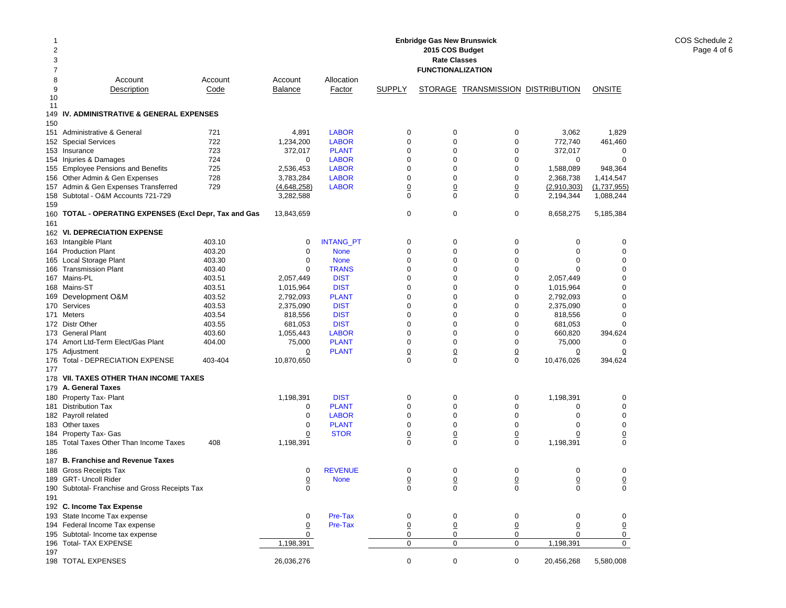| 1<br>2<br>3<br>7 | <b>Enbridge Gas New Brunswick</b><br>2015 COS Budget<br><b>Rate Classes</b><br><b>FUNCTIONALIZATION</b> |         |                |                  |                 |                 |                                   |                |                |  |
|------------------|---------------------------------------------------------------------------------------------------------|---------|----------------|------------------|-----------------|-----------------|-----------------------------------|----------------|----------------|--|
| 8                | Account                                                                                                 | Account | Account        | Allocation       |                 |                 |                                   |                |                |  |
| 9                | Description                                                                                             | Code    | <b>Balance</b> | Factor           | <b>SUPPLY</b>   |                 | STORAGE TRANSMISSION DISTRIBUTION |                | <b>ONSITE</b>  |  |
| 10               |                                                                                                         |         |                |                  |                 |                 |                                   |                |                |  |
| 11               |                                                                                                         |         |                |                  |                 |                 |                                   |                |                |  |
| 149              | IV. ADMINISTRATIVE & GENERAL EXPENSES                                                                   |         |                |                  |                 |                 |                                   |                |                |  |
| 150              |                                                                                                         |         |                |                  |                 |                 |                                   |                |                |  |
| 151              | Administrative & General                                                                                | 721     | 4,891          | <b>LABOR</b>     | 0               | 0               | 0                                 | 3,062          | 1,829          |  |
|                  | 152 Special Services                                                                                    | 722     | 1,234,200      | <b>LABOR</b>     | $\mathbf 0$     | 0               | 0                                 | 772,740        | 461,460        |  |
|                  | 153 Insurance                                                                                           | 723     | 372,017        | <b>PLANT</b>     | 0               | 0               | 0                                 | 372,017        | 0              |  |
|                  | 154 Injuries & Damages                                                                                  | 724     | 0              | <b>LABOR</b>     | 0               | 0               | 0                                 | $\mathbf 0$    | $\mathbf 0$    |  |
|                  | 155 Employee Pensions and Benefits                                                                      | 725     | 2,536,453      | <b>LABOR</b>     | 0               | 0               | 0                                 | 1,588,089      | 948,364        |  |
|                  | 156 Other Admin & Gen Expenses                                                                          | 728     | 3,783,284      | <b>LABOR</b>     | $\mathbf 0$     | 0               | 0                                 | 2,368,738      | 1,414,547      |  |
|                  | 157 Admin & Gen Expenses Transferred                                                                    | 729     | (4,648,258)    | <b>LABOR</b>     | 0               | $\underline{0}$ | <u>0</u>                          | (2,910,303)    | (1,737,955)    |  |
|                  | 158 Subtotal - O&M Accounts 721-729                                                                     |         | 3,282,588      |                  | $\Omega$        | 0               | 0                                 | 2,194,344      | 1,088,244      |  |
| 159              |                                                                                                         |         |                |                  |                 |                 |                                   |                |                |  |
|                  | 160 TOTAL - OPERATING EXPENSES (Excl Depr, Tax and Gas                                                  |         | 13,843,659     |                  | 0               | 0               | 0                                 | 8,658,275      | 5,185,384      |  |
| 161              |                                                                                                         |         |                |                  |                 |                 |                                   |                |                |  |
|                  | 162 VI. DEPRECIATION EXPENSE                                                                            |         |                |                  |                 |                 |                                   |                |                |  |
|                  | 163 Intangible Plant                                                                                    | 403.10  | 0              | <b>INTANG_PT</b> | 0               | 0               | 0                                 | 0              | 0              |  |
|                  | 164 Production Plant                                                                                    | 403.20  | $\mathbf 0$    | <b>None</b>      | $\mathbf 0$     | 0               | 0                                 | $\mathbf 0$    | 0              |  |
|                  | 165 Local Storage Plant                                                                                 | 403.30  | 0              | <b>None</b>      | 0               | 0               | 0                                 | $\mathbf 0$    | 0              |  |
|                  | 166 Transmission Plant                                                                                  | 403.40  | 0              | <b>TRANS</b>     | $\mathbf 0$     | 0               | 0                                 | $\Omega$       | 0              |  |
|                  | 167 Mains-PL                                                                                            | 403.51  | 2,057,449      | <b>DIST</b>      | $\mathbf 0$     | 0               | 0                                 | 2,057,449      | 0              |  |
|                  | 168 Mains-ST                                                                                            | 403.51  | 1,015,964      | <b>DIST</b>      | $\Omega$        | $\mathbf 0$     | 0                                 | 1,015,964      | $\Omega$       |  |
|                  | 169 Development O&M                                                                                     | 403.52  | 2,792,093      | <b>PLANT</b>     | 0               | 0               | 0                                 | 2,792,093      | $\mathbf 0$    |  |
|                  | 170 Services                                                                                            | 403.53  | 2,375,090      | <b>DIST</b>      | 0               | 0               | 0                                 | 2,375,090      | $\mathbf 0$    |  |
|                  | 171 Meters                                                                                              | 403.54  | 818,556        | <b>DIST</b>      | 0               | 0               | 0                                 | 818,556        | 0              |  |
|                  | 172 Distr Other                                                                                         | 403.55  | 681,053        | <b>DIST</b>      | 0               | 0               | 0                                 | 681,053        | $\Omega$       |  |
|                  | 173 General Plant                                                                                       | 403.60  | 1,055,443      | <b>LABOR</b>     | $\mathbf 0$     | 0               | $\mathbf 0$                       | 660,820        | 394,624        |  |
|                  | 174 Amort Ltd-Term Elect/Gas Plant                                                                      | 404.00  | 75,000         | <b>PLANT</b>     | $\mathbf 0$     | 0               | 0                                 | 75,000         | 0              |  |
|                  | 175 Adjustment                                                                                          |         | <u>0</u>       | <b>PLANT</b>     | $\overline{0}$  | $\overline{0}$  | $\overline{0}$                    | $\overline{0}$ | 0              |  |
| 176              | Total - DEPRECIATION EXPENSE                                                                            | 403-404 | 10,870,650     |                  | 0               | $\mathbf 0$     | $\mathbf 0$                       | 10,476,026     | 394,624        |  |
| 177              |                                                                                                         |         |                |                  |                 |                 |                                   |                |                |  |
|                  | 178 VII. TAXES OTHER THAN INCOME TAXES                                                                  |         |                |                  |                 |                 |                                   |                |                |  |
|                  | 179 A. General Taxes                                                                                    |         |                |                  |                 |                 |                                   |                |                |  |
|                  | 180 Property Tax- Plant                                                                                 |         | 1,198,391      | <b>DIST</b>      | $\mathbf 0$     | 0               | 0                                 | 1,198,391      | 0              |  |
|                  | 181 Distribution Tax                                                                                    |         | 0              | <b>PLANT</b>     | $\mathbf 0$     | $\mathbf 0$     | 0                                 | 0              | $\mathbf 0$    |  |
|                  | 182 Payroll related                                                                                     |         | 0              | <b>LABOR</b>     | $\mathbf 0$     | 0               | 0                                 | $\mathbf 0$    | $\mathbf 0$    |  |
|                  | 183 Other taxes                                                                                         |         | 0              | <b>PLANT</b>     | 0               | 0               | 0                                 | 0              | 0              |  |
|                  | 184 Property Tax- Gas                                                                                   |         | $\overline{0}$ | <b>STOR</b>      | 0               | $\overline{0}$  | 0                                 | $\overline{0}$ | $\overline{0}$ |  |
| 185              | Total Taxes Other Than Income Taxes                                                                     | 408     | 1,198,391      |                  | $\Omega$        | $\mathbf 0$     | 0                                 | 1,198,391      | $\Omega$       |  |
| 186              |                                                                                                         |         |                |                  |                 |                 |                                   |                |                |  |
|                  | 187 B. Franchise and Revenue Taxes                                                                      |         |                |                  |                 |                 |                                   |                |                |  |
|                  | 188 Gross Receipts Tax                                                                                  |         | 0              | <b>REVENUE</b>   | 0               | 0               | 0                                 | 0              | 0              |  |
|                  | 189 GRT- Uncoll Rider                                                                                   |         | <u>0</u>       | <b>None</b>      | $\underline{0}$ | $\overline{0}$  | 0                                 | $\pmb{0}$      | 0              |  |
|                  | 190 Subtotal- Franchise and Gross Receipts Tax                                                          |         | 0              |                  | 0               | 0               | 0                                 | 0              | $\mathbf 0$    |  |
| 191              |                                                                                                         |         |                |                  |                 |                 |                                   |                |                |  |
|                  | 192 C. Income Tax Expense                                                                               |         |                |                  |                 |                 |                                   |                |                |  |
|                  | 193 State Income Tax expense                                                                            |         | 0              | Pre-Tax          | 0               | 0               | 0                                 | 0              | 0              |  |
|                  | 194 Federal Income Tax expense                                                                          |         | <u>0</u>       | Pre-Tax          | 0               | $\underline{0}$ | 0                                 | 0              | $\overline{0}$ |  |
|                  | 195 Subtotal- Income tax expense                                                                        |         | 0              |                  | 0               | 0               | 0                                 | 0              | 0              |  |
|                  | 196 Total- TAX EXPENSE                                                                                  |         | 1,198,391      |                  | $\mathbf 0$     | 0               | $\mathbf 0$                       | 1,198,391      | 0              |  |
| 197              |                                                                                                         |         |                |                  |                 |                 |                                   |                |                |  |
|                  | 198 TOTAL EXPENSES                                                                                      |         | 26,036,276     |                  | $\mathbf 0$     | $\pmb{0}$       | $\mathbf 0$                       | 20,456,268     | 5,580,008      |  |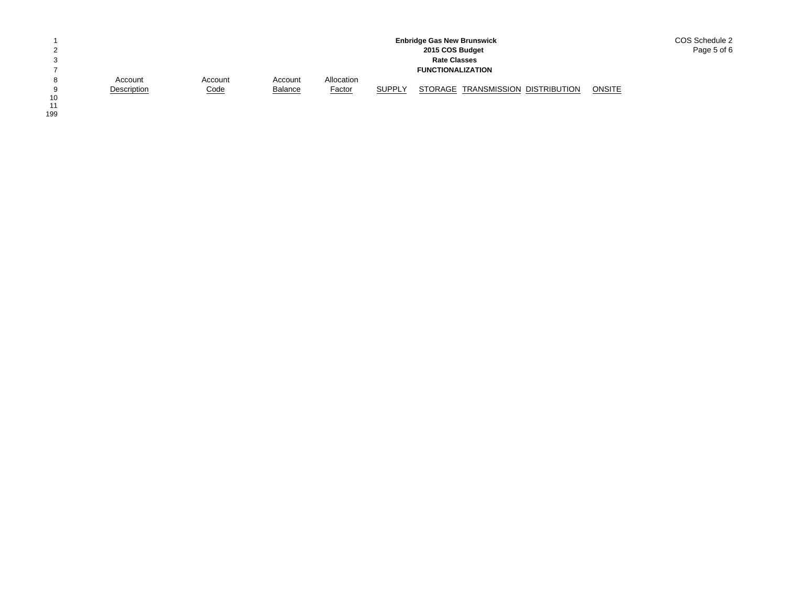|    |             |             |                |               |               | <b>Enbridge Gas New Brunswick</b> | COS Schedule 2 |
|----|-------------|-------------|----------------|---------------|---------------|-----------------------------------|----------------|
| ◠  |             |             |                |               |               | 2015 COS Budget                   | Page 5 of 6    |
| 3  |             |             |                |               |               | <b>Rate Classes</b>               |                |
|    |             |             |                |               |               | <b>FUNCTIONALIZATION</b>          |                |
| 8  | Account     | Account     | Account        | Allocation    |               |                                   |                |
| a  | Description | <u>Code</u> | <b>Balance</b> | <b>Factor</b> | <b>SUPPLY</b> | STORAGE TRANSMISSION DISTRIBUTION | <b>ONSITE</b>  |
| 10 |             |             |                |               |               |                                   |                |

10<br>11<br>199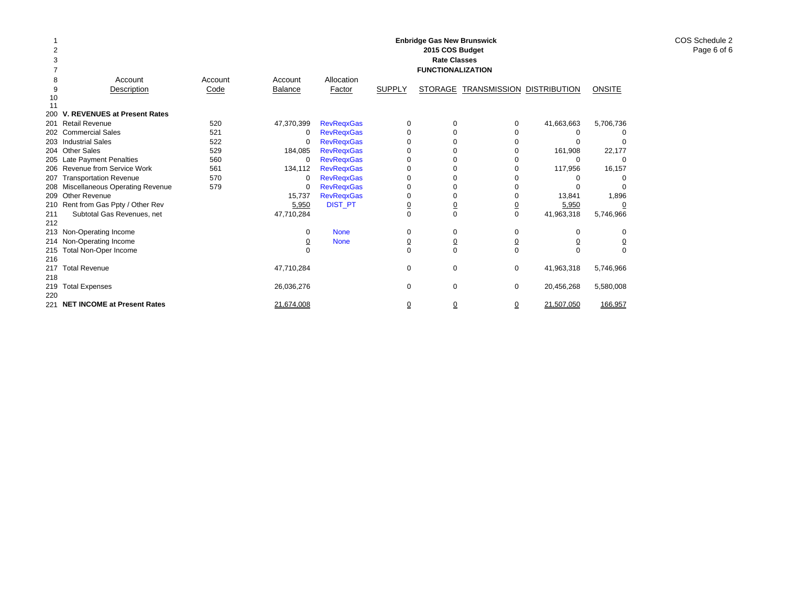| 3   |                                     |         |                |                   |                | <b>Enbridge Gas New Brunswick</b><br>2015 COS Budget<br><b>Rate Classes</b> |                |                     |               |
|-----|-------------------------------------|---------|----------------|-------------------|----------------|-----------------------------------------------------------------------------|----------------|---------------------|---------------|
|     |                                     |         |                |                   |                | <b>FUNCTIONALIZATION</b>                                                    |                |                     |               |
| 8   | Account                             | Account | Account        | Allocation        |                |                                                                             |                |                     |               |
| 9   | Description                         | Code    | <b>Balance</b> | Factor            | <b>SUPPLY</b>  | <b>STORAGE</b>                                                              | TRANSMISSION   | <b>DISTRIBUTION</b> | <b>ONSITE</b> |
| 10  |                                     |         |                |                   |                |                                                                             |                |                     |               |
| 200 | V. REVENUES at Present Rates        |         |                |                   |                |                                                                             |                |                     |               |
| 201 | <b>Retail Revenue</b>               | 520     | 47,370,399     | <b>RevRegxGas</b> | 0              | $\Omega$                                                                    | 0              | 41,663,663          | 5,706,736     |
|     | 202 Commercial Sales                | 521     | 0              | <b>RevRegxGas</b> | $\Omega$       | $\Omega$                                                                    | O              | 0                   |               |
|     | 203 Industrial Sales                | 522     | 0              | <b>RevRegxGas</b> | $\Omega$       | 0                                                                           | O              | 0                   |               |
|     | 204 Other Sales                     | 529     | 184,085        | <b>RevRegxGas</b> | $\Omega$       | 0                                                                           | O              | 161,908             | 22,177        |
|     | 205 Late Payment Penalties          | 560     | 0              | <b>RevRegxGas</b> | $\Omega$       | 0                                                                           |                | 0                   | O             |
|     | 206 Revenue from Service Work       | 561     | 134,112        | <b>RevRegxGas</b> | $\Omega$       | 0                                                                           | O              | 117,956             | 16,157        |
| 207 | <b>Transportation Revenue</b>       | 570     | 0              | <b>RevRegxGas</b> | 0              |                                                                             |                |                     |               |
|     | 208 Miscellaneous Operating Revenue | 579     | 0              | <b>RevRegxGas</b> | 0              | 0                                                                           | O              | 0                   |               |
| 209 | Other Revenue                       |         | 15,737         | <b>RevRegxGas</b> | 0              | 0                                                                           |                | 13,841              | 1,896         |
|     | 210 Rent from Gas Ppty / Other Rev  |         | 5,950          | <b>DIST_PT</b>    | $\overline{0}$ | $\overline{0}$                                                              | $\overline{0}$ | 5,950               |               |
| 211 | Subtotal Gas Revenues, net          |         | 47,710,284     |                   | $\Omega$       | $\Omega$                                                                    | $\mathbf 0$    | 41,963,318          | 5,746,966     |
| 212 |                                     |         |                |                   |                |                                                                             |                |                     |               |
|     | 213 Non-Operating Income            |         | 0              | <b>None</b>       | 0              | 0                                                                           | $\mathbf 0$    | 0                   | O             |
|     | 214 Non-Operating Income            |         | 0              | <b>None</b>       | <u>0</u>       | 0                                                                           | 0              | <u>0</u>            | <u>0</u>      |
| 215 | Total Non-Oper Income               |         | $\Omega$       |                   | $\Omega$       | $\Omega$                                                                    | $\Omega$       | $\Omega$            | $\Omega$      |
| 216 |                                     |         |                |                   |                |                                                                             |                |                     |               |
| 217 | <b>Total Revenue</b>                |         | 47,710,284     |                   | 0              | 0                                                                           | $\mathbf 0$    | 41,963,318          | 5,746,966     |
| 218 |                                     |         |                |                   |                |                                                                             |                |                     |               |
| 219 | <b>Total Expenses</b>               |         | 26,036,276     |                   | 0              | 0                                                                           | $\mathbf 0$    | 20,456,268          | 5,580,008     |
| 220 |                                     |         |                |                   |                |                                                                             |                |                     |               |
| 221 | <b>NET INCOME at Present Rates</b>  |         | 21.674.008     |                   | ₫              | $\overline{0}$                                                              | $\Omega$       | 21.507.050          | 166.957       |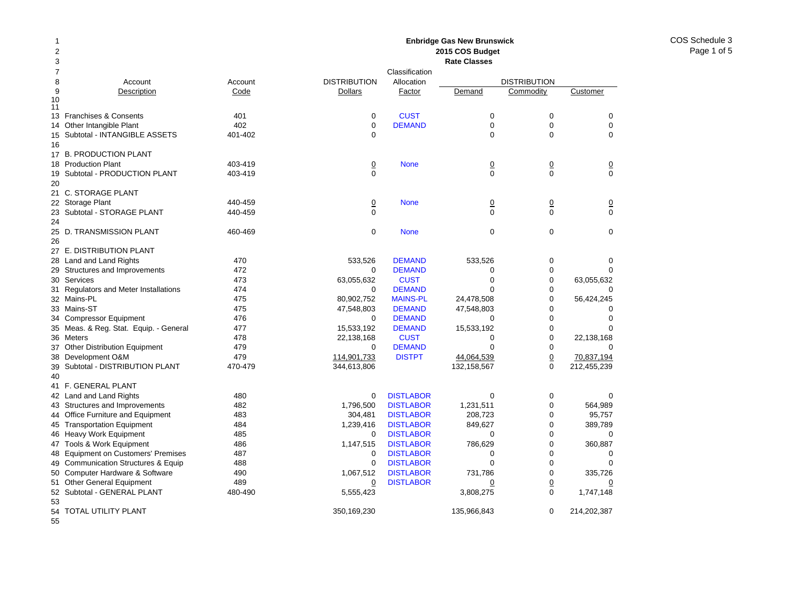COS Schedule 3Page 1 of 5

## Account Account Description Code 13 Franchises & Consents 401 14 Other Intangible Plant 402 Subtotal - INTANGIBLE ASSETS 401-402 17 B. PRODUCTION PLANT 18 Production Plant 403-419 Subtotal - PRODUCTION PLANT 403-419 21 C. STORAGE PLANT 22 Storage Plant 440-459 23 Subtotal - STORAGE PLANT 440-459 25 D. TRANSMISSION PLANT 460-469 27 E. DISTRIBUTION PLANT 28 Land and Land Rights 470 29 Structures and Improvements 472 Services 473 Regulators and Meter Installations 474 Mains-PL 475 33 Mains-ST 475 Compressor Equipment 476 Meas. & Reg. Stat. Equip. - General 477 36 Meters 478 Other Distribution Equipment 479 Development O&M 479 Subtotal - DISTRIBUTION PLANT 470-479 41 F. GENERAL PLANT 42 Land and Land Rights 480 43 Structures and Improvements 482 44 Office Furniture and Equipment 483 45 Transportation Equipment 484 46 Heavy Work Equipment 485 47 Tools & Work Equipment 486 48 Equipment on Customers' Premises 487 49 Communication Structures & Equip 488 Computer Hardware & Software 490 51 Other General Equipment 489 52 Subtotal - GENERAL PLANT 480-490 **2015 COS Budget Rate Classes**ClassificationDISTRIBUTION Allocation DISTRIBUTION**Dollars** Factor Demand Commodity Customer 0**CUST** T 0 0 0 0**DEMAND** D 0 0 0 0 0000**None** e 0 0 0 0 0000 None 0 0 0 0 0000 None 000 533,526 DEMAND 533,526 0 0 0 DEMANDD 0 0 0 63,055,632 CUST 0 0 63,055,632  $\Omega$  DEMANDD 0 0 0 80,902,752 MAINS-PL 24,478,508 0 56,424,245 47,548,803 DEMAND 47,548,803 0 0  $\Omega$  DEMANDD 0 0 0 15,533,192 DEMAND 15,533,192 0 0 22,138,168 CUST 0 0 22,138,168 0 DEMANDD 0 0 0 114,901,733 DISTPT 44,064,539 0 70,837,194 344,613,806 132,158,567 0 212,455,239 0**DISTLABOR** R 0 0 0 1,796,500 DISTLABOR 1,231,511 0 564,989 304,481 DISTLABOR 208,723 0 95,757 1,239,416 DISTLABOR 849,627 0 389,789  $\Omega$ **DISTLABOR** R 0 0 0 1,147,515 DISTLABOR 786,629 0 360,887 0 DISTLABORR 0 0 0 0**DISTLABOR** R 0 0 0 1,067,512 DISTLABOR 731,786 0 335,726 0 DISTLABORR 0 0 0 0 5,555,423 3,808,275 0 1,747,148 350,169,230 135,966,843 0 214,202,387

**Enbridge Gas New Brunswick** 

54 TOTAL UTILITY PLANT

55

50

53

9

1011

15

16

19

20

24

26

30

31

32

34

35

37

38

39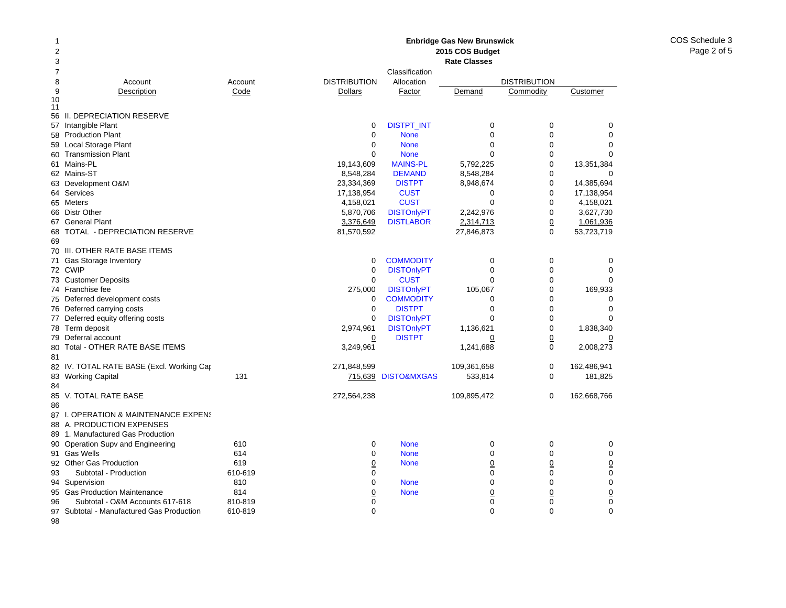### Account Account Description Code 56 II. DEPRECIATION RESERVE 57 Intangible Plant 58 Production Plant Local Storage Plant Transmission Plant 61 Mains-PL 62 Mains-ST 63 Development O&M 64 Services 65 Meters 66 Distr Other General Plant 68 TOTAL - DEPRECIATION RESERVE 70 III. OTHER RATE BASE ITEMS 71 Gas Storage Inventory 72 CWIP 73 Customer Deposits 74 Franchise fee 75 Deferred development costs 76 Deferred carrying costs 77 Deferred equity offering costs 78 Term deposit 79 Deferral account Total - OTHER RATE BASE ITEMS 82 IV. TOTAL RATE BASE (Excl. Working Cap 83 Working Capital 131 V. TOTAL RATE BASE 87 I. OPERATION & MAINTENANCE EXPENS 88 A. PRODUCTION EXPENSES 89 1. Manufactured Gas Production 90 Operation Supv and Engineering **610** 91 Gas Wells 614 92 Other Gas Production 619 93 Subtotal - Production 610-619 94 Supervision 810 Gas Production Maintenance **814 Rate Classes**ClassificationDISTRIBUTION Allocation DISTRIBUTION**Dollars** Factor Demand Commodity Customer 0DISTPT\_INT 0 0 0 0 0 None 000 0 None 000  $\Omega$  None 000 19,143,609 MAINS-PL 5,792,225 0 13,351,384 8,548,284 DEMAND 8,548,284 0 0 23,334,369 DISTPT 8,948,674 0 14,385,694 17,138,954 CUST 0 0 17,138,954 4,158,021 CUST 0 0 4,158,021 5,870,706 DISTOnlyPT 2,242,976 0 3,627,730 3,376,649 DISTLABOR 2,314,713 0 1,061,936 81,570,592 27,846,873 0 53,723,719 0**COMMODITY** Y 0 0 0 0DISTOnlyPT 0 0 0 0 0**CUST** T 0 0 0 275,000 DISTOnlyPT 105,067 0 169,933 0**COMMODITY** Y 0 0 0 0 DISTPTT 0 0 0  $\Omega$ DISTONIVPT 0 0 0 0 2,974,961 DISTOnlyPT 1,136,621 0 1,838,340 0 DISTPT 0 0 0 3,249,961 1,241,688 0 2,008,273 271,848,599 109,361,658 0 162,486,941 715,639 DISTO&MXGAS 533,814 0 181,825 272,564,238 109,895,472 0 162,668,766 0 None 000 0 None 000 0 Nonee 0 0 0 0 0000 None 000 0 Nonee 0 0 0

**Enbridge Gas New Brunswick 2015 COS Budget** 

0 0000 000

9798

95

96 Subtotal - O&M Accounts 617-618 810-819

Subtotal - Manufactured Gas Production 610-819

9

1011

59

60

67

69

80

81

8485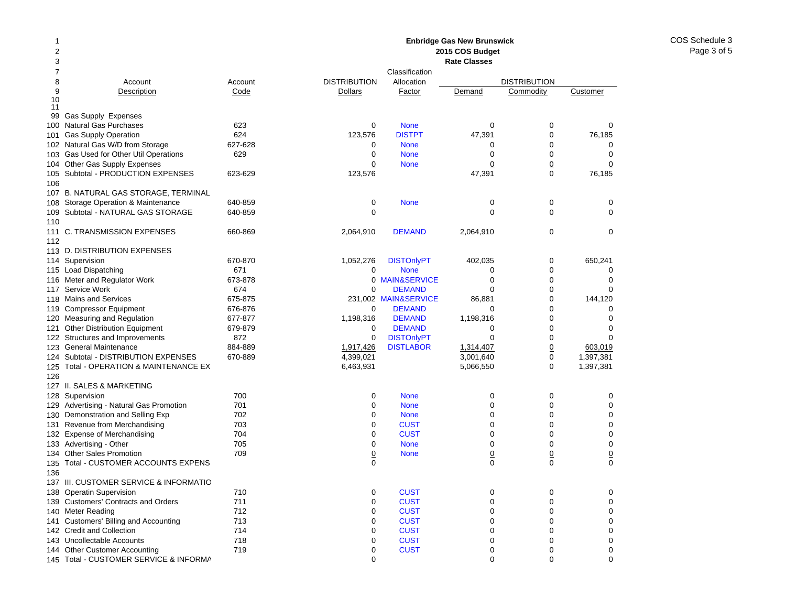#### 12378 Account Account 9Description Code 10 1199 Gas Supply Expenses 100Natural Gas Purchases 623 101Gas Supply Operation 624 102 Natural Gas W/D from Storage 627-628 103Gas Used for Other Util Operations 629 104 Other Gas Supply Expenses 105Subtotal - PRODUCTION EXPENSES 623-629 106107 B. NATURAL GAS STORAGE, TERMINAL 108 Storage Operation & Maintenance 640-859 109Subtotal - NATURAL GAS STORAGE 640-859 110111 C. TRANSMISSION EXPENSES 660-869 112113 D. DISTRIBUTION EXPENSES 114 Supervision 670-870 115 Load Dispatching 671 116Meter and Regulator Work 673-878 117Service Work 674 118Mains and Services 675-875 119Compressor Equipment 676-876 120Measuring and Regulation 677-877 121 Other Distribution Equipment 679-879 122 Structures and Improvements 872 123General Maintenance 884-889 124 Subtotal - DISTRIBUTION EXPENSES 670-889 125 Total - OPERATION & MAINTENANCE EX 126127 II. SALES & MARKETING128Supervision 700 129Advertising - Natural Gas Promotion 701 130Demonstration and Selling Exp 702 131Revenue from Merchandising 703 132 Expense of Merchandising metal of the 704 133Advertising - Other 705 134Other Sales Promotion 709 135 Total - CUSTOMER ACCOUNTS EXPENS 136137 III. CUSTOMER SERVICE & INFORMATIO138Operatin Supervision 710 139 Customers' Contracts and Orders 711 140Meter Reading **712** 141 Customers' Billing and Accounting 713 142 Credit and Collection 714 143Uncollectable Accounts 718 144Other Customer Accounting T19 **Enbridge Gas New Brunswick 2015 COS Budget Rate Classes**ClassificationDISTRIBUTION Allocation DISTRIBUTION**Dollars** Factor Demand Commodity Customer 0 None 000 123,576 DISTPT 47,391 0 76,185 0 None 000 0 None 000 0**None** e 0 0 0 123,576 47,391 0 76,185 0 None 000 0 0002,064,910 DEMAND 2,064,910 0 0 1,052,276 DISTOnlyPT 402,035 0 650,241 0 None 000 0 MAIN&SERVICEE 0 0 0  $\Omega$  DEMANDD 0 0 0 231,002 MAIN&SERVICE 86,881 0 144,120 0 DEMANDD 0 0 0 1.198.316 DEMAND 1.198.316 0 0 0  $\Omega$  DEMANDD 0 0 0 0DISTONIVPT 0 0 0 0 1,917,426 DISTLABOR 1,314,407 0 603,019 4,399,021 3,001,640 0 1,397,381 6,463,931 5,066,550 0 1,397,381 0 None 000 0 None 000 0 None 000 0**CUST** T 0 0 0 0**CUST** T 0 0 0 0 None 000 0**None** e 0 0 0 0 0000**CUST** T 0 0 0 0**CUST** T 0 0 0 0**CUST** T 0 0 0 0**CUST** T 0 0 0 0**CUST** T 0 0 0 0**CUST** T 0 0 0 0**CUST** T 0 0 0

0 000

145 Total - CUSTOMER SERVICE & INFORMA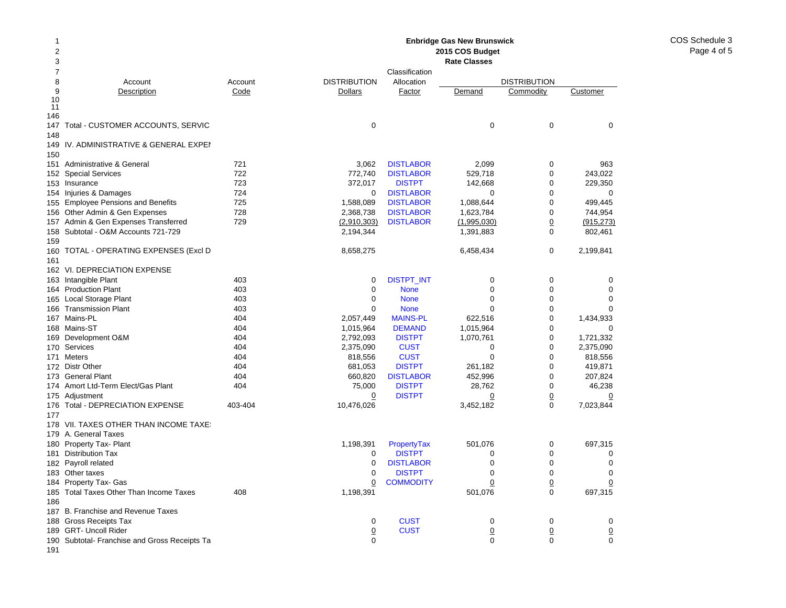COS Schedule 3Page 4 of 5

### 12 378 Account Account 9Description Code 10 11 146147 Total - CUSTOMER ACCOUNTS, SERVIC 148149IV. ADMINISTRATIVE & GENERAL EXPEN 150151 Administrative & General 721 152Special Services 722 153 Insurance 723 154 Injuries & Damages 724 155 Employee Pensions and Benefits 725 156Other Admin & Gen Expenses 728 157Admin & Gen Expenses Transferred 729 158 Subtotal - O&M Accounts 721-729 159160 TOTAL - OPERATING EXPENSES (Excl D 161162 VI. DEPRECIATION EXPENSE 163 Intangible Plant 163 Ann an 403 164Production Plant 403 165Local Storage Plant 403 166Transmission Plant 403 167Mains-PL 404 168 Mains-ST 404 169Development O&M 404 170Services 404 171 Meters 404 172 Distr Other **404** 173 General Plant 404 174 Amort Ltd-Term Elect/Gas Plant 174 Amort Ltd-Term Elect/Gas 175 Adjustment 176Total - DEPRECIATION EXPENSE 403-404 177178 VII. TAXES OTHER THAN INCOME TAXES 179 A. General Taxes 180 Property Tax- Plant 181 Distribution Tax 182 Payroll related 183 Other taxes 184 Property Tax- Gas 185Total Taxes Other Than Income Taxes 408 186187 B. Franchise and Revenue Taxes 188 Gross Receipts Tax 189 GRT- Uncoll Rider 190 Subtotal- Franchise and Gross Receipts Ta **Enbridge Gas New Brunswick 2015 COS Budget Rate Classes**ClassificationDISTRIBUTION Allocation DISTRIBUTION**Dollars** Factor Demand Commodity Customer 0 0003.062 DISTLABOR 2.099 0 963 772,740 DISTLABOR 529,718 0 243,022 372,017 DISTPT 142,668 0 229,350 0**DISTLABOR** R 0 0 0 1,588,089 DISTLABOR 1,088,644 0 499,445 2,368,738 DISTLABOR 1,623,784 0 744,954 (2,910,303) DISTLABOR (1,995,030) 0 (915,273) 2,194,344 1,391,883 0 802,461 8,658,275 6,458,434 0 2,199,841 0DISTPT\_INT 0 0 0 0 0 None 000 0 None 000 0 None 000 2,057,449 MAINS-PL 622,516 0 1,434,933 1.015,964 **DEMAND** 1.015,964 0 0 0 2,792,093 DISTPT 1,070,761 0 1,721,332 2,375,090 CUST 0 0 2,375,090 818,556 CUST 0 0 818,556 681,053 DISTPT 261,182 0 419,871 660,820 DISTLABOR 452,996 0 207,824 75,000 DISTPT 28,762 0 46,238 0 DISTPT 0 0 0 10,476,026 3,452,182 0 7,023,844 1,198,391 PropertyTax 501,076 0 697,315 0 DISTPTT 0 0 0 0**DISTLABOR** R 0 0 0 0 DISTPTT 0 0 0 0**COMMODITY**  0 0 0 1,198,391 501,076 0 697,315 0**CUST** T 0 0 0 0**CUST**  0 0 0 0 000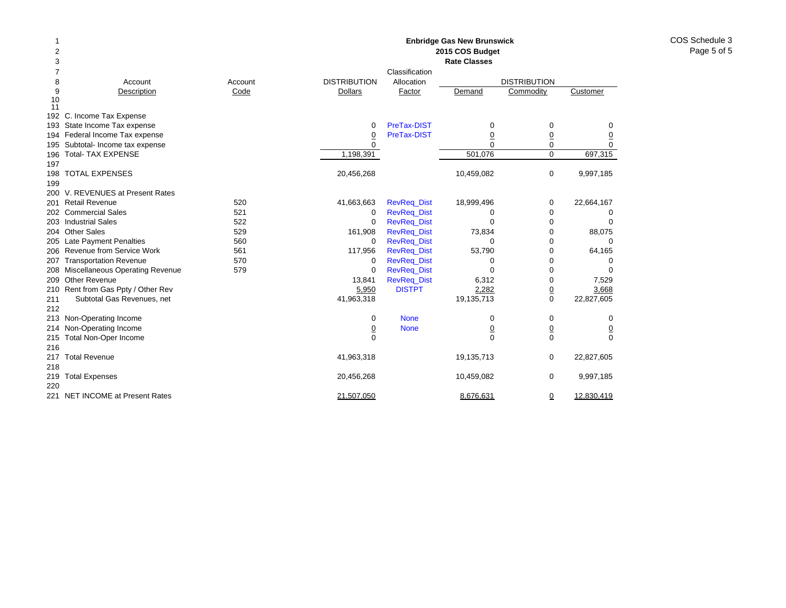| $\overline{\mathbf{c}}$<br>2015 COS Budget<br>3<br><b>Rate Classes</b><br>7<br>Classification<br><b>DISTRIBUTION</b><br>8<br>Allocation<br><b>DISTRIBUTION</b><br>Account<br>Account<br>9<br>Description<br>Code<br><b>Dollars</b><br>Factor<br>Commodity<br>Customer<br>Demand<br>10<br>11<br>192 C. Income Tax Expense<br>193 State Income Tax expense<br>PreTax-DIST<br>$\mathbf 0$<br>0<br>0<br>0<br>194 Federal Income Tax expense<br>PreTax-DIST<br>$\overline{0}$<br>$\underline{0}$<br>$\overline{0}$<br><u>0</u><br>$\Omega$<br>$\mathbf 0$<br>195 Subtotal- Income tax expense<br>$\Omega$<br>$\Omega$<br>501,076<br><b>Total- TAX EXPENSE</b><br>1,198,391<br>$\mathbf 0$<br>697,315<br>196<br>197<br><b>TOTAL EXPENSES</b><br>$\mathbf 0$<br>198<br>20,456,268<br>10,459,082<br>9,997,185<br>199<br>200 V. REVENUES at Present Rates<br><b>Retail Revenue</b><br>520<br>41,663,663<br><b>RevReq_Dist</b><br>18,999,496<br>22,664,167<br>0<br>201<br>202 Commercial Sales<br>521<br><b>RevReq_Dist</b><br>$\mathbf 0$<br>0<br>0<br>0<br>203 Industrial Sales<br>522<br>0<br><b>RevReq_Dist</b><br>0<br>0<br>204 Other Sales<br>529<br>73,834<br>0<br>88,075<br>161,908<br><b>RevReq_Dist</b><br>205 Late Payment Penalties<br>560<br>0<br><b>RevReq_Dist</b><br>0<br>0<br>0<br>Revenue from Service Work<br>561<br>0<br>64,165<br>117,956<br><b>RevReq_Dist</b><br>53,790<br>206<br>570<br><b>Transportation Revenue</b><br>$\mathbf 0$<br><b>RevReq_Dist</b><br>0<br>0<br>207<br>0<br>208 Miscellaneous Operating Revenue<br>579<br><b>RevReq_Dist</b><br>0<br>0<br>0<br>Other Revenue<br><b>RevReq_Dist</b><br>0<br>13,841<br>6,312<br>7,529<br>209<br>210 Rent from Gas Ppty / Other Rev<br><b>DISTPT</b><br>2,282<br>$\underline{0}$<br>5,950<br>3,668<br>$\mathbf 0$<br>41,963,318<br>19,135,713<br>22,827,605<br>211<br>Subtotal Gas Revenues, net<br>212<br>213 Non-Operating Income<br><b>None</b><br>0<br>0<br>0<br>0<br>Non-Operating Income<br><b>None</b><br>$\underline{0}$<br>$\underline{0}$<br>$\overline{0}$<br>214<br>$\overline{0}$<br>$\mathbf 0$<br>$\mathbf 0$<br>$\mathbf 0$<br>$\Omega$<br>Total Non-Oper Income<br>215<br>216<br><b>Total Revenue</b><br>41,963,318<br>19,135,713<br>$\mathbf 0$<br>22,827,605<br>217<br>218 | 1   |                       |            | <b>Enbridge Gas New Brunswick</b> |             |           |
|------------------------------------------------------------------------------------------------------------------------------------------------------------------------------------------------------------------------------------------------------------------------------------------------------------------------------------------------------------------------------------------------------------------------------------------------------------------------------------------------------------------------------------------------------------------------------------------------------------------------------------------------------------------------------------------------------------------------------------------------------------------------------------------------------------------------------------------------------------------------------------------------------------------------------------------------------------------------------------------------------------------------------------------------------------------------------------------------------------------------------------------------------------------------------------------------------------------------------------------------------------------------------------------------------------------------------------------------------------------------------------------------------------------------------------------------------------------------------------------------------------------------------------------------------------------------------------------------------------------------------------------------------------------------------------------------------------------------------------------------------------------------------------------------------------------------------------------------------------------------------------------------------------------------------------------------------------------------------------------------------------------------------------------------------------------------------------------------------------------------------------------------------------------------------------------------------------------------------------------------------------------|-----|-----------------------|------------|-----------------------------------|-------------|-----------|
|                                                                                                                                                                                                                                                                                                                                                                                                                                                                                                                                                                                                                                                                                                                                                                                                                                                                                                                                                                                                                                                                                                                                                                                                                                                                                                                                                                                                                                                                                                                                                                                                                                                                                                                                                                                                                                                                                                                                                                                                                                                                                                                                                                                                                                                                  |     |                       |            |                                   |             |           |
|                                                                                                                                                                                                                                                                                                                                                                                                                                                                                                                                                                                                                                                                                                                                                                                                                                                                                                                                                                                                                                                                                                                                                                                                                                                                                                                                                                                                                                                                                                                                                                                                                                                                                                                                                                                                                                                                                                                                                                                                                                                                                                                                                                                                                                                                  |     |                       |            |                                   |             |           |
|                                                                                                                                                                                                                                                                                                                                                                                                                                                                                                                                                                                                                                                                                                                                                                                                                                                                                                                                                                                                                                                                                                                                                                                                                                                                                                                                                                                                                                                                                                                                                                                                                                                                                                                                                                                                                                                                                                                                                                                                                                                                                                                                                                                                                                                                  |     |                       |            |                                   |             |           |
|                                                                                                                                                                                                                                                                                                                                                                                                                                                                                                                                                                                                                                                                                                                                                                                                                                                                                                                                                                                                                                                                                                                                                                                                                                                                                                                                                                                                                                                                                                                                                                                                                                                                                                                                                                                                                                                                                                                                                                                                                                                                                                                                                                                                                                                                  |     |                       |            |                                   |             |           |
|                                                                                                                                                                                                                                                                                                                                                                                                                                                                                                                                                                                                                                                                                                                                                                                                                                                                                                                                                                                                                                                                                                                                                                                                                                                                                                                                                                                                                                                                                                                                                                                                                                                                                                                                                                                                                                                                                                                                                                                                                                                                                                                                                                                                                                                                  |     |                       |            |                                   |             |           |
|                                                                                                                                                                                                                                                                                                                                                                                                                                                                                                                                                                                                                                                                                                                                                                                                                                                                                                                                                                                                                                                                                                                                                                                                                                                                                                                                                                                                                                                                                                                                                                                                                                                                                                                                                                                                                                                                                                                                                                                                                                                                                                                                                                                                                                                                  |     |                       |            |                                   |             |           |
|                                                                                                                                                                                                                                                                                                                                                                                                                                                                                                                                                                                                                                                                                                                                                                                                                                                                                                                                                                                                                                                                                                                                                                                                                                                                                                                                                                                                                                                                                                                                                                                                                                                                                                                                                                                                                                                                                                                                                                                                                                                                                                                                                                                                                                                                  |     |                       |            |                                   |             |           |
|                                                                                                                                                                                                                                                                                                                                                                                                                                                                                                                                                                                                                                                                                                                                                                                                                                                                                                                                                                                                                                                                                                                                                                                                                                                                                                                                                                                                                                                                                                                                                                                                                                                                                                                                                                                                                                                                                                                                                                                                                                                                                                                                                                                                                                                                  |     |                       |            |                                   |             |           |
|                                                                                                                                                                                                                                                                                                                                                                                                                                                                                                                                                                                                                                                                                                                                                                                                                                                                                                                                                                                                                                                                                                                                                                                                                                                                                                                                                                                                                                                                                                                                                                                                                                                                                                                                                                                                                                                                                                                                                                                                                                                                                                                                                                                                                                                                  |     |                       |            |                                   |             |           |
|                                                                                                                                                                                                                                                                                                                                                                                                                                                                                                                                                                                                                                                                                                                                                                                                                                                                                                                                                                                                                                                                                                                                                                                                                                                                                                                                                                                                                                                                                                                                                                                                                                                                                                                                                                                                                                                                                                                                                                                                                                                                                                                                                                                                                                                                  |     |                       |            |                                   |             |           |
|                                                                                                                                                                                                                                                                                                                                                                                                                                                                                                                                                                                                                                                                                                                                                                                                                                                                                                                                                                                                                                                                                                                                                                                                                                                                                                                                                                                                                                                                                                                                                                                                                                                                                                                                                                                                                                                                                                                                                                                                                                                                                                                                                                                                                                                                  |     |                       |            |                                   |             |           |
|                                                                                                                                                                                                                                                                                                                                                                                                                                                                                                                                                                                                                                                                                                                                                                                                                                                                                                                                                                                                                                                                                                                                                                                                                                                                                                                                                                                                                                                                                                                                                                                                                                                                                                                                                                                                                                                                                                                                                                                                                                                                                                                                                                                                                                                                  |     |                       |            |                                   |             |           |
|                                                                                                                                                                                                                                                                                                                                                                                                                                                                                                                                                                                                                                                                                                                                                                                                                                                                                                                                                                                                                                                                                                                                                                                                                                                                                                                                                                                                                                                                                                                                                                                                                                                                                                                                                                                                                                                                                                                                                                                                                                                                                                                                                                                                                                                                  |     |                       |            |                                   |             |           |
|                                                                                                                                                                                                                                                                                                                                                                                                                                                                                                                                                                                                                                                                                                                                                                                                                                                                                                                                                                                                                                                                                                                                                                                                                                                                                                                                                                                                                                                                                                                                                                                                                                                                                                                                                                                                                                                                                                                                                                                                                                                                                                                                                                                                                                                                  |     |                       |            |                                   |             |           |
|                                                                                                                                                                                                                                                                                                                                                                                                                                                                                                                                                                                                                                                                                                                                                                                                                                                                                                                                                                                                                                                                                                                                                                                                                                                                                                                                                                                                                                                                                                                                                                                                                                                                                                                                                                                                                                                                                                                                                                                                                                                                                                                                                                                                                                                                  |     |                       |            |                                   |             |           |
|                                                                                                                                                                                                                                                                                                                                                                                                                                                                                                                                                                                                                                                                                                                                                                                                                                                                                                                                                                                                                                                                                                                                                                                                                                                                                                                                                                                                                                                                                                                                                                                                                                                                                                                                                                                                                                                                                                                                                                                                                                                                                                                                                                                                                                                                  |     |                       |            |                                   |             |           |
|                                                                                                                                                                                                                                                                                                                                                                                                                                                                                                                                                                                                                                                                                                                                                                                                                                                                                                                                                                                                                                                                                                                                                                                                                                                                                                                                                                                                                                                                                                                                                                                                                                                                                                                                                                                                                                                                                                                                                                                                                                                                                                                                                                                                                                                                  |     |                       |            |                                   |             |           |
|                                                                                                                                                                                                                                                                                                                                                                                                                                                                                                                                                                                                                                                                                                                                                                                                                                                                                                                                                                                                                                                                                                                                                                                                                                                                                                                                                                                                                                                                                                                                                                                                                                                                                                                                                                                                                                                                                                                                                                                                                                                                                                                                                                                                                                                                  |     |                       |            |                                   |             |           |
|                                                                                                                                                                                                                                                                                                                                                                                                                                                                                                                                                                                                                                                                                                                                                                                                                                                                                                                                                                                                                                                                                                                                                                                                                                                                                                                                                                                                                                                                                                                                                                                                                                                                                                                                                                                                                                                                                                                                                                                                                                                                                                                                                                                                                                                                  |     |                       |            |                                   |             |           |
|                                                                                                                                                                                                                                                                                                                                                                                                                                                                                                                                                                                                                                                                                                                                                                                                                                                                                                                                                                                                                                                                                                                                                                                                                                                                                                                                                                                                                                                                                                                                                                                                                                                                                                                                                                                                                                                                                                                                                                                                                                                                                                                                                                                                                                                                  |     |                       |            |                                   |             |           |
|                                                                                                                                                                                                                                                                                                                                                                                                                                                                                                                                                                                                                                                                                                                                                                                                                                                                                                                                                                                                                                                                                                                                                                                                                                                                                                                                                                                                                                                                                                                                                                                                                                                                                                                                                                                                                                                                                                                                                                                                                                                                                                                                                                                                                                                                  |     |                       |            |                                   |             |           |
|                                                                                                                                                                                                                                                                                                                                                                                                                                                                                                                                                                                                                                                                                                                                                                                                                                                                                                                                                                                                                                                                                                                                                                                                                                                                                                                                                                                                                                                                                                                                                                                                                                                                                                                                                                                                                                                                                                                                                                                                                                                                                                                                                                                                                                                                  |     |                       |            |                                   |             |           |
|                                                                                                                                                                                                                                                                                                                                                                                                                                                                                                                                                                                                                                                                                                                                                                                                                                                                                                                                                                                                                                                                                                                                                                                                                                                                                                                                                                                                                                                                                                                                                                                                                                                                                                                                                                                                                                                                                                                                                                                                                                                                                                                                                                                                                                                                  |     |                       |            |                                   |             |           |
|                                                                                                                                                                                                                                                                                                                                                                                                                                                                                                                                                                                                                                                                                                                                                                                                                                                                                                                                                                                                                                                                                                                                                                                                                                                                                                                                                                                                                                                                                                                                                                                                                                                                                                                                                                                                                                                                                                                                                                                                                                                                                                                                                                                                                                                                  |     |                       |            |                                   |             |           |
|                                                                                                                                                                                                                                                                                                                                                                                                                                                                                                                                                                                                                                                                                                                                                                                                                                                                                                                                                                                                                                                                                                                                                                                                                                                                                                                                                                                                                                                                                                                                                                                                                                                                                                                                                                                                                                                                                                                                                                                                                                                                                                                                                                                                                                                                  |     |                       |            |                                   |             |           |
|                                                                                                                                                                                                                                                                                                                                                                                                                                                                                                                                                                                                                                                                                                                                                                                                                                                                                                                                                                                                                                                                                                                                                                                                                                                                                                                                                                                                                                                                                                                                                                                                                                                                                                                                                                                                                                                                                                                                                                                                                                                                                                                                                                                                                                                                  |     |                       |            |                                   |             |           |
|                                                                                                                                                                                                                                                                                                                                                                                                                                                                                                                                                                                                                                                                                                                                                                                                                                                                                                                                                                                                                                                                                                                                                                                                                                                                                                                                                                                                                                                                                                                                                                                                                                                                                                                                                                                                                                                                                                                                                                                                                                                                                                                                                                                                                                                                  |     |                       |            |                                   |             |           |
|                                                                                                                                                                                                                                                                                                                                                                                                                                                                                                                                                                                                                                                                                                                                                                                                                                                                                                                                                                                                                                                                                                                                                                                                                                                                                                                                                                                                                                                                                                                                                                                                                                                                                                                                                                                                                                                                                                                                                                                                                                                                                                                                                                                                                                                                  |     |                       |            |                                   |             |           |
|                                                                                                                                                                                                                                                                                                                                                                                                                                                                                                                                                                                                                                                                                                                                                                                                                                                                                                                                                                                                                                                                                                                                                                                                                                                                                                                                                                                                                                                                                                                                                                                                                                                                                                                                                                                                                                                                                                                                                                                                                                                                                                                                                                                                                                                                  |     |                       |            |                                   |             |           |
|                                                                                                                                                                                                                                                                                                                                                                                                                                                                                                                                                                                                                                                                                                                                                                                                                                                                                                                                                                                                                                                                                                                                                                                                                                                                                                                                                                                                                                                                                                                                                                                                                                                                                                                                                                                                                                                                                                                                                                                                                                                                                                                                                                                                                                                                  |     |                       |            |                                   |             |           |
|                                                                                                                                                                                                                                                                                                                                                                                                                                                                                                                                                                                                                                                                                                                                                                                                                                                                                                                                                                                                                                                                                                                                                                                                                                                                                                                                                                                                                                                                                                                                                                                                                                                                                                                                                                                                                                                                                                                                                                                                                                                                                                                                                                                                                                                                  |     |                       |            |                                   |             |           |
|                                                                                                                                                                                                                                                                                                                                                                                                                                                                                                                                                                                                                                                                                                                                                                                                                                                                                                                                                                                                                                                                                                                                                                                                                                                                                                                                                                                                                                                                                                                                                                                                                                                                                                                                                                                                                                                                                                                                                                                                                                                                                                                                                                                                                                                                  |     |                       |            |                                   |             |           |
|                                                                                                                                                                                                                                                                                                                                                                                                                                                                                                                                                                                                                                                                                                                                                                                                                                                                                                                                                                                                                                                                                                                                                                                                                                                                                                                                                                                                                                                                                                                                                                                                                                                                                                                                                                                                                                                                                                                                                                                                                                                                                                                                                                                                                                                                  |     |                       |            |                                   |             |           |
|                                                                                                                                                                                                                                                                                                                                                                                                                                                                                                                                                                                                                                                                                                                                                                                                                                                                                                                                                                                                                                                                                                                                                                                                                                                                                                                                                                                                                                                                                                                                                                                                                                                                                                                                                                                                                                                                                                                                                                                                                                                                                                                                                                                                                                                                  |     |                       |            |                                   |             |           |
|                                                                                                                                                                                                                                                                                                                                                                                                                                                                                                                                                                                                                                                                                                                                                                                                                                                                                                                                                                                                                                                                                                                                                                                                                                                                                                                                                                                                                                                                                                                                                                                                                                                                                                                                                                                                                                                                                                                                                                                                                                                                                                                                                                                                                                                                  | 219 | <b>Total Expenses</b> | 20,456,268 | 10,459,082                        | $\mathbf 0$ | 9,997,185 |
| 220                                                                                                                                                                                                                                                                                                                                                                                                                                                                                                                                                                                                                                                                                                                                                                                                                                                                                                                                                                                                                                                                                                                                                                                                                                                                                                                                                                                                                                                                                                                                                                                                                                                                                                                                                                                                                                                                                                                                                                                                                                                                                                                                                                                                                                                              |     |                       |            |                                   |             |           |
| 221 NET INCOME at Present Rates<br>21,507,050<br>8,676,631<br>$\overline{0}$<br>12,830,419                                                                                                                                                                                                                                                                                                                                                                                                                                                                                                                                                                                                                                                                                                                                                                                                                                                                                                                                                                                                                                                                                                                                                                                                                                                                                                                                                                                                                                                                                                                                                                                                                                                                                                                                                                                                                                                                                                                                                                                                                                                                                                                                                                       |     |                       |            |                                   |             |           |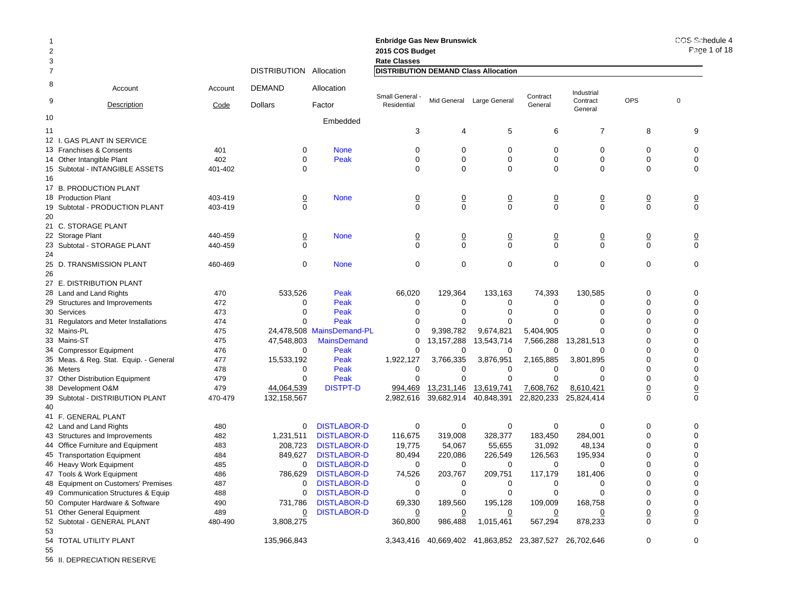| -1<br>$\overline{2}$<br>3 |                                        |         |                     |                           | <b>Enbridge Gas New Brunswick</b><br>2015 COS Budget<br><b>Rate Classes</b> |                |                                                       |                |                     |                | COS Schedule 4<br>Page 1 of 18 |
|---------------------------|----------------------------------------|---------|---------------------|---------------------------|-----------------------------------------------------------------------------|----------------|-------------------------------------------------------|----------------|---------------------|----------------|--------------------------------|
| $\overline{7}$            |                                        |         | <b>DISTRIBUTION</b> | Allocation                | <b>DISTRIBUTION DEMAND Class Allocation</b>                                 |                |                                                       |                |                     |                |                                |
| 8                         | Account                                | Account | <b>DEMAND</b>       | Allocation                | Small General                                                               |                |                                                       | Contract       | Industrial          |                |                                |
| 9                         | Description                            | Code    | <b>Dollars</b>      | Factor                    | Residential                                                                 |                | Mid General Large General                             | General        | Contract<br>General | <b>OPS</b>     | $\mathbf 0$                    |
| 10                        |                                        |         |                     | Embedded                  |                                                                             |                |                                                       |                |                     |                |                                |
| 11                        |                                        |         |                     |                           | 3                                                                           | 4              | 5                                                     | 6              | $\overline{7}$      | 8              | 9                              |
|                           | 12 I. GAS PLANT IN SERVICE             |         |                     |                           |                                                                             |                |                                                       |                |                     |                |                                |
|                           | 13 Franchises & Consents               | 401     | 0                   | <b>None</b>               | 0                                                                           | 0              | 0                                                     | 0              | 0                   | 0              | 0                              |
|                           | 14 Other Intangible Plant              | 402     | $\Omega$            | Peak                      | $\Omega$                                                                    | $\Omega$       | $\Omega$                                              | $\Omega$       | $\Omega$            | $\Omega$       | $\Omega$                       |
|                           | 15 Subtotal - INTANGIBLE ASSETS        | 401-402 | 0                   |                           | $\Omega$                                                                    | $\Omega$       | 0                                                     | 0              | $\Omega$            | $\Omega$       | $\Omega$                       |
| 16                        |                                        |         |                     |                           |                                                                             |                |                                                       |                |                     |                |                                |
|                           | 17 B. PRODUCTION PLANT                 |         |                     |                           |                                                                             |                |                                                       |                |                     |                |                                |
|                           | 18 Production Plant                    | 403-419 | $\overline{0}$      | <b>None</b>               | $\overline{0}$                                                              | $\overline{0}$ | <u>0</u>                                              | $\overline{0}$ | $\overline{0}$      | $\overline{0}$ | $\overline{0}$                 |
|                           | 19 Subtotal - PRODUCTION PLANT         | 403-419 | $\mathbf 0$         |                           | $\Omega$                                                                    | $\mathbf 0$    | 0                                                     | $\mathbf 0$    | $\Omega$            | $\mathbf 0$    | $\mathbf 0$                    |
| 20                        |                                        |         |                     |                           |                                                                             |                |                                                       |                |                     |                |                                |
|                           | 21 C. STORAGE PLANT                    |         |                     |                           |                                                                             |                |                                                       |                |                     |                |                                |
|                           | 22 Storage Plant                       | 440-459 | <u>0</u>            | <b>None</b>               | $\overline{0}$                                                              | $\overline{0}$ | $\overline{0}$                                        | $\overline{0}$ | 0                   | $\overline{0}$ | $\overline{0}$                 |
|                           | 23 Subtotal - STORAGE PLANT            | 440-459 | $\Omega$            |                           | $\Omega$                                                                    | $\Omega$       | 0                                                     | $\Omega$       | $\Omega$            | $\Omega$       | $\mathbf 0$                    |
| 24                        |                                        |         |                     |                           |                                                                             |                |                                                       |                |                     |                |                                |
|                           | 25 D. TRANSMISSION PLANT               | 460-469 | $\mathbf 0$         | <b>None</b>               | $\mathbf 0$                                                                 | $\mathbf 0$    | 0                                                     | $\mathbf 0$    | $\mathbf 0$         | $\mathbf 0$    | $\mathbf 0$                    |
| 26                        |                                        |         |                     |                           |                                                                             |                |                                                       |                |                     |                |                                |
|                           | 27 E. DISTRIBUTION PLANT               |         |                     |                           |                                                                             |                |                                                       |                |                     |                |                                |
|                           | 28 Land and Land Rights                | 470     | 533,526             | Peak                      | 66,020                                                                      | 129,364        | 133,163                                               | 74,393         | 130.585             | $\Omega$       | $\Omega$                       |
|                           | 29 Structures and Improvements         | 472     | 0                   | Peak                      | 0                                                                           | 0              | 0                                                     | 0              | $\Omega$            | $\Omega$       | $\Omega$                       |
|                           | 30 Services                            | 473     | $\Omega$            | Peak                      | $\Omega$                                                                    | $\Omega$       | $\Omega$                                              | ∩              | $\Omega$            | $\Omega$       | $\Omega$                       |
|                           | 31 Regulators and Meter Installations  | 474     | $\Omega$            | Peak                      | $\Omega$                                                                    | ∩              | $\Omega$                                              |                | $\Omega$            | $\Omega$       | $\Omega$                       |
|                           | 32 Mains-PL                            | 475     |                     | 24,478,508 MainsDemand-PL | 0                                                                           | 9,398,782      | 9,674,821                                             | 5,404,905      | $\Omega$            | ∩              | $\Omega$                       |
|                           | 33 Mains-ST                            | 475     | 47,548,803          | <b>MainsDemand</b>        | $\Omega$                                                                    | 13, 157, 288   | 13,543,714                                            | 7,566,288      | 13,281,513          | $\Omega$       | $\Omega$                       |
|                           | 34 Compressor Equipment                | 476     | $\Omega$            | Peak                      | 0                                                                           | 0              | 0                                                     |                | $\Omega$            | $\Omega$       | $\Omega$                       |
|                           | 35 Meas. & Reg. Stat. Equip. - General | 477     | 15,533,192          | Peak                      | 1,922,127                                                                   | 3,766,335      | 3,876,951                                             | 2,165,885      | 3,801,895           | $\Omega$       | $\Omega$                       |
|                           | 36 Meters                              | 478     | 0                   | Peak                      | $\Omega$                                                                    | $\Omega$       | $\Omega$                                              | $\Omega$       | $\Omega$            | $\Omega$       | $\Omega$                       |
|                           | 37 Other Distribution Equipment        | 479     | 0                   | Peak                      | $\Omega$                                                                    | $\Omega$       | $\Omega$                                              | $\Omega$       | $\Omega$            | $\Omega$       | $\Omega$                       |
|                           | 38 Development O&M                     | 479     | 44,064,539          | <b>DISTPT-D</b>           | <u>994,469</u>                                                              | 13,231,146     | 13,619,741                                            | 7,608,762      | 8,610,421           | $\overline{0}$ | $\underline{0}$                |
|                           | 39 Subtotal - DISTRIBUTION PLANT       | 470-479 | 132,158,567         |                           | 2,982,616                                                                   | 39,682,914     | 40,848,391                                            | 22,820,233     | 25,824,414          | $\mathbf 0$    | $\mathbf 0$                    |
| 40                        |                                        |         |                     |                           |                                                                             |                |                                                       |                |                     |                |                                |
|                           | 41 F. GENERAL PLANT                    |         |                     |                           |                                                                             |                |                                                       |                |                     |                |                                |
|                           |                                        |         | $\mathbf 0$         | <b>DISTLABOR-D</b>        | $\mathbf 0$                                                                 | 0              | 0                                                     | $\mathbf 0$    | $\Omega$            | $\mathbf 0$    | $\mathbf 0$                    |
|                           | 42 Land and Land Rights                | 480     |                     |                           |                                                                             |                |                                                       |                |                     | $\mathbf 0$    | $\Omega$                       |
|                           | 43 Structures and Improvements         | 482     | 1,231,511           | <b>DISTLABOR-D</b>        | 116,675                                                                     | 319,008        | 328,377                                               | 183,450        | 284,001             |                |                                |
|                           | 44 Office Furniture and Equipment      | 483     | 208,723             | <b>DISTLABOR-D</b>        | 19,775                                                                      | 54,067         | 55,655                                                | 31,092         | 48,134              | 0              | 0                              |
|                           | 45 Transportation Equipment            | 484     | 849,627             | <b>DISTLABOR-D</b>        | 80,494                                                                      | 220,086        | 226,549                                               | 126,563        | 195,934             | $\Omega$       | $\Omega$                       |
|                           | 46 Heavy Work Equipment                | 485     | 0                   | <b>DISTLABOR-D</b>        | 0                                                                           | 0              | $\Omega$                                              | 0              | $\Omega$            | $\Omega$       | $\Omega$                       |
|                           | 47 Tools & Work Equipment              | 486     | 786,629             | <b>DISTLABOR-D</b>        | 74,526                                                                      | 203,767        | 209,751                                               | 117,179        | 181,406             | $\Omega$       | $\Omega$                       |
|                           | 48 Equipment on Customers' Premises    | 487     | 0                   | <b>DISTLABOR-D</b>        | 0                                                                           | $\Omega$       | 0                                                     | $\Omega$       | $\Omega$            | $\Omega$       | $\Omega$                       |
|                           | 49 Communication Structures & Equip    | 488     | $\mathbf 0$         | <b>DISTLABOR-D</b>        | $\mathbf 0$                                                                 | $\mathbf 0$    | 0                                                     | 0              | $\Omega$            | $\Omega$       | $\Omega$                       |
|                           | 50 Computer Hardware & Software        | 490     | 731,786             | <b>DISTLABOR-D</b>        | 69,330                                                                      | 189,560        | 195,128                                               | 109,009        | 168,758             | $\Omega$       | $\Omega$                       |
|                           | 51 Other General Equipment             | 489     | 0                   | <b>DISTLABOR-D</b>        | $\overline{0}$                                                              | 0              | 0                                                     | 0              | 0                   | $\overline{0}$ | $\overline{0}$                 |
| 53                        | 52 Subtotal - GENERAL PLANT            | 480-490 | 3,808,275           |                           | 360,800                                                                     | 986,488        | 1,015,461                                             | 567,294        | 878,233             | $\Omega$       | $\mathbf 0$                    |
|                           | 54 TOTAL UTILITY PLANT                 |         | 135,966,843         |                           |                                                                             |                | 3,343,416 40,669,402 41,863,852 23,387,527 26,702,646 |                |                     | $\Omega$       | $\Omega$                       |
| 55                        |                                        |         |                     |                           |                                                                             |                |                                                       |                |                     |                |                                |

56 II. DEPRECIATION RESERVE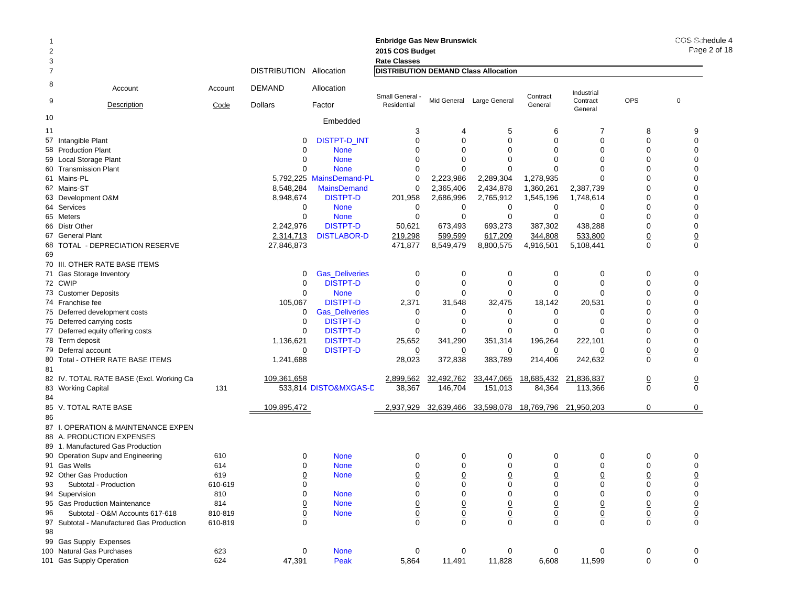|                |                                           |         |                                |                          | <b>Enbridge Gas New Brunswick</b>           |                 |                           |                |                       |                 | COS Schedule 4 |
|----------------|-------------------------------------------|---------|--------------------------------|--------------------------|---------------------------------------------|-----------------|---------------------------|----------------|-----------------------|-----------------|----------------|
| $\overline{2}$ |                                           |         |                                |                          | 2015 COS Budget                             |                 |                           |                |                       |                 | Page 2 of 18   |
| 3              |                                           |         |                                |                          | <b>Rate Classes</b>                         |                 |                           |                |                       |                 |                |
| $\overline{7}$ |                                           |         | <b>DISTRIBUTION Allocation</b> |                          | <b>DISTRIBUTION DEMAND Class Allocation</b> |                 |                           |                |                       |                 |                |
| 8              | Account                                   | Account | DEMAND                         | Allocation               | Small General                               |                 |                           | Contract       | Industrial            |                 |                |
| 9              | <b>Description</b>                        | Code    | <b>Dollars</b>                 | Factor                   | Residential                                 |                 | Mid General Large General | General        | Contract<br>General   | <b>OPS</b>      | 0              |
| 10             |                                           |         |                                | Embedded                 |                                             |                 |                           |                |                       |                 |                |
| 11             |                                           |         |                                |                          | 3                                           | 4               | 5                         | 6              | 7                     | 8               | 9              |
|                | 57 Intangible Plant                       |         | 0                              | <b>DISTPT-D INT</b>      | $\mathbf 0$                                 | $\Omega$        | $\mathbf 0$               | $\Omega$       | 0                     | $\Omega$        | $\mathbf 0$    |
|                | 58 Production Plant                       |         | 0                              | <b>None</b>              | 0                                           | $\Omega$        | $\Omega$                  | $\Omega$       | $\Omega$              | $\Omega$        | $\Omega$       |
|                | 59 Local Storage Plant                    |         | 0                              | <b>None</b>              | $\Omega$                                    | $\Omega$        | $\Omega$                  | $\Omega$       | $\Omega$              | $\Omega$        | $\Omega$       |
|                | 60 Transmission Plant                     |         | 0                              | <b>None</b>              | 0                                           | $\Omega$        | $\mathbf 0$               | $\Omega$       | $\Omega$              | $\Omega$        | $\Omega$       |
|                | 61 Mains-PL                               |         |                                | 5,792,225 MainsDemand-PL | 0                                           | 2,223,986       | 2,289,304                 | 1,278,935      | $\Omega$              | $\Omega$        | $\Omega$       |
|                | 62 Mains-ST                               |         | 8,548,284                      | <b>MainsDemand</b>       | 0                                           | 2,365,406       | 2,434,878                 | 1,360,261      | 2,387,739             | $\Omega$        | $\Omega$       |
|                | 63 Development O&M                        |         | 8,948,674                      | <b>DISTPT-D</b>          | 201,958                                     | 2,686,996       | 2,765,912                 | 1,545,196      | 1,748,614             | $\Omega$        | $\Omega$       |
|                | 64 Services                               |         | 0                              | <b>None</b>              | 0                                           | 0               | 0                         | 0              | 0                     | $\Omega$        | $\Omega$       |
|                | 65 Meters                                 |         | 0                              | <b>None</b>              | 0                                           | $\mathbf 0$     | $\mathbf 0$               | 0              | 0                     | $\mathbf 0$     | $\Omega$       |
|                | 66 Distr Other                            |         | 2,242,976                      | <b>DISTPT-D</b>          | 50,621                                      | 673,493         | 693,273                   | 387,302        | 438,288               | $\mathbf 0$     | $\mathbf 0$    |
|                | 67 General Plant                          |         | 2,314,713                      | <b>DISTLABOR-D</b>       | 219,298                                     | 599,599         | 617,209                   | 344,808        | 533,800               | $\underline{0}$ | $\overline{0}$ |
|                | 68 TOTAL - DEPRECIATION RESERVE           |         | 27,846,873                     |                          | 471,877                                     | 8,549,479       | 8,800,575                 | 4,916,501      | 5,108,441             | $\mathbf 0$     | $\mathbf 0$    |
| 69             |                                           |         |                                |                          |                                             |                 |                           |                |                       |                 |                |
|                | 70 III. OTHER RATE BASE ITEMS             |         |                                |                          |                                             |                 |                           |                |                       |                 |                |
|                | 71 Gas Storage Inventory                  |         | 0                              | <b>Gas_Deliveries</b>    | 0                                           | 0               | 0                         | 0              | 0                     | 0               | 0              |
|                | 72 CWIP                                   |         | 0                              | <b>DISTPT-D</b>          | 0                                           | $\Omega$        | $\mathbf 0$               | $\Omega$       | $\mathbf 0$           | $\mathbf 0$     | $\mathbf 0$    |
|                | 73 Customer Deposits                      |         | 0                              | <b>None</b>              | 0                                           | 0               | 0                         | $\Omega$       | $\Omega$              | 0               | $\Omega$       |
|                | 74 Franchise fee                          |         | 105,067                        | <b>DISTPT-D</b>          | 2,371                                       | 31,548          | 32,475                    | 18,142         | 20,531                | $\Omega$        | $\Omega$       |
|                | 75 Deferred development costs             |         | 0                              | <b>Gas Deliveries</b>    | 0                                           | 0               | 0                         | 0              | 0                     | 0               | $\Omega$       |
|                | 76 Deferred carrying costs                |         | $\mathbf 0$                    | <b>DISTPT-D</b>          | 0                                           | $\Omega$        | 0                         | $\Omega$       | 0                     | $\Omega$        | $\mathbf 0$    |
|                | 77 Deferred equity offering costs         |         | 0                              | <b>DISTPT-D</b>          | 0                                           | $\Omega$        | $\Omega$                  | 0              | $\Omega$              | $\Omega$        | $\mathbf 0$    |
|                | 78 Term deposit                           |         | 1,136,621                      | <b>DISTPT-D</b>          | 25,652                                      | 341,290         | 351,314                   | 196,264        | 222,101               | $\Omega$        | $\mathbf 0$    |
|                | 79 Deferral account                       |         | 0                              | <b>DISTPT-D</b>          | $\overline{0}$                              | 0               | 0                         | 0              | 0                     | $\underline{0}$ | $\overline{0}$ |
|                | 80 Total - OTHER RATE BASE ITEMS          |         | 1,241,688                      |                          | 28,023                                      | 372,838         | 383,789                   | 214,406        | 242,632               | $\mathbf 0$     | $\mathbf 0$    |
| 81             |                                           |         |                                |                          |                                             |                 |                           |                |                       |                 |                |
|                | 82 IV. TOTAL RATE BASE (Excl. Working Ca  |         | 109,361,658                    |                          | 2,899,562                                   | 32,492,762      | 33,447,065                | 18,685,432     | 21,836,837            | $\overline{0}$  | $\overline{0}$ |
|                | 83 Working Capital                        | 131     |                                | 533,814 DISTO&MXGAS-D    | 38,367                                      | 146,704         | 151,013                   | 84,364         | 113,366               | $\mathbf 0$     | $\mathbf 0$    |
| 84             |                                           |         |                                |                          |                                             |                 |                           |                |                       |                 |                |
|                | 85 V. TOTAL RATE BASE                     |         | 109,895,472                    |                          | 2,937,929                                   | 32,639,466      | 33,598,078                |                | 18,769,796 21,950,203 | $\mathbf 0$     | 0              |
| 86             |                                           |         |                                |                          |                                             |                 |                           |                |                       |                 |                |
|                | 87 I. OPERATION & MAINTENANCE EXPEN       |         |                                |                          |                                             |                 |                           |                |                       |                 |                |
|                | 88 A. PRODUCTION EXPENSES                 |         |                                |                          |                                             |                 |                           |                |                       |                 |                |
|                | 89 1. Manufactured Gas Production         |         |                                |                          |                                             |                 |                           |                |                       |                 |                |
|                |                                           |         |                                |                          |                                             |                 |                           | 0              | 0                     | 0               |                |
|                | 90 Operation Supv and Engineering         | 610     | 0                              | <b>None</b>              | 0                                           | 0<br>$\Omega$   | 0<br>$\Omega$             | $\Omega$       |                       | $\Omega$        | 0              |
|                | 91 Gas Wells                              | 614     | 0                              | <b>None</b>              | $\Omega$                                    |                 |                           |                | $\Omega$              |                 | $\Omega$       |
|                | 92 Other Gas Production                   | 619     | <u>0</u>                       | <b>None</b>              | $\overline{0}$                              | $\overline{0}$  | $\overline{0}$            | 0              | 0                     | $\overline{0}$  | $\overline{0}$ |
| 93             | Subtotal - Production                     | 610-619 | 0                              |                          | 0                                           | 0               | 0                         | 0              | 0                     | 0               | $\mathbf 0$    |
|                | 94 Supervision                            | 810     | 0                              | <b>None</b>              | $\mathbf 0$                                 | 0               | 0                         | 0              | 0                     | 0               | $\mathbf 0$    |
|                | 95 Gas Production Maintenance             | 814     | <u>0</u>                       | <b>None</b>              |                                             | $\overline{0}$  | $\overline{0}$            | $\overline{0}$ | $\underline{0}$       | $\underline{0}$ |                |
| 96             | Subtotal - O&M Accounts 617-618           | 810-819 | $\overline{0}$                 | <b>None</b>              | $\frac{0}{0}$                               | $\underline{0}$ | $\underline{0}$           | $\overline{0}$ | $\underline{0}$       | $\underline{0}$ | $\frac{0}{0}$  |
|                | 97 Subtotal - Manufactured Gas Production | 610-819 | $\mathbf 0$                    |                          |                                             | $\Omega$        | $\mathbf 0$               | $\Omega$       | $\mathbf 0$           | $\mathbf 0$     |                |
| 98             |                                           |         |                                |                          |                                             |                 |                           |                |                       |                 |                |
|                | 99 Gas Supply Expenses                    |         |                                |                          |                                             |                 |                           |                |                       |                 |                |
|                | 100 Natural Gas Purchases                 | 623     | 0                              | <b>None</b>              | $\mathbf 0$                                 | 0               | 0                         | 0              | 0                     | 0               | 0              |
|                | 101 Gas Supply Operation                  | 624     | 47,391                         | Peak                     | 5,864                                       | 11,491          | 11,828                    | 6,608          | 11,599                | 0               | $\mathbf 0$    |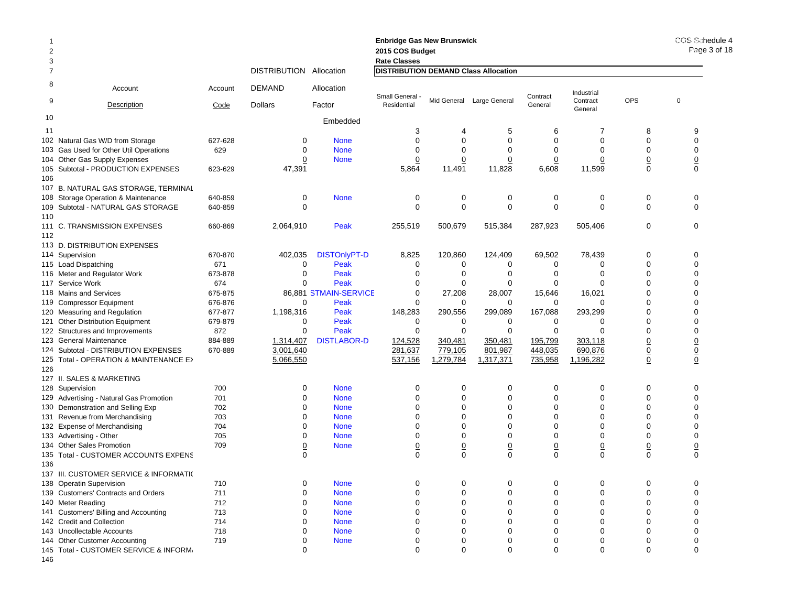| -1<br>$\overline{2}$<br>3 |                                                                         |         |                         |                       | <b>Enbridge Gas New Brunswick</b><br>2015 COS Budget<br><b>Rate Classes</b> |                 |                           |                |                     |                | COS Schedule 4<br>Page 3 of 18 |
|---------------------------|-------------------------------------------------------------------------|---------|-------------------------|-----------------------|-----------------------------------------------------------------------------|-----------------|---------------------------|----------------|---------------------|----------------|--------------------------------|
| $\overline{7}$            |                                                                         |         | DISTRIBUTION Allocation |                       | <b>DISTRIBUTION DEMAND Class Allocation</b>                                 |                 |                           |                |                     |                |                                |
| 8                         | Account                                                                 | Account | DEMAND                  | Allocation            | <b>Small General</b>                                                        |                 |                           | Contract       | Industrial          | <b>OPS</b>     | 0                              |
| 9                         | <b>Description</b>                                                      | Code    | <b>Dollars</b>          | Factor                | Residential                                                                 |                 | Mid General Large General | General        | Contract<br>General |                |                                |
| 10                        |                                                                         |         |                         | Embedded              |                                                                             |                 |                           |                |                     |                |                                |
| 11                        |                                                                         |         |                         |                       | 3                                                                           | 4               | 5                         | 6              | 7                   | 8              | 9                              |
|                           | 102 Natural Gas W/D from Storage                                        | 627-628 | 0                       | <b>None</b>           | $\mathbf 0$                                                                 | $\mathbf 0$     | $\mathbf 0$               | $\mathbf 0$    | $\mathbf 0$         | $\mathbf 0$    | $\mathbf 0$                    |
|                           | 103 Gas Used for Other Util Operations                                  | 629     | $\Omega$                | <b>None</b>           | $\Omega$                                                                    | $\Omega$        | $\Omega$                  | $\Omega$       | $\Omega$            | $\Omega$       | $\Omega$                       |
|                           | 104 Other Gas Supply Expenses                                           |         | 0                       | <b>None</b>           | $\overline{0}$                                                              | 0               | $\overline{0}$            | 0              | $\overline{0}$      | $\overline{0}$ | $\overline{0}$                 |
| 106                       | 105 Subtotal - PRODUCTION EXPENSES                                      | 623-629 | 47,391                  |                       | 5,864                                                                       | 11,491          | 11,828                    | 6,608          | 11,599              | 0              | $\Omega$                       |
|                           | 107 B. NATURAL GAS STORAGE, TERMINAL                                    |         |                         |                       |                                                                             |                 |                           |                |                     |                |                                |
|                           | 108 Storage Operation & Maintenance                                     | 640-859 | 0                       | <b>None</b>           | 0                                                                           | 0               | 0                         | 0              | 0                   | 0              | 0                              |
|                           | 109 Subtotal - NATURAL GAS STORAGE                                      | 640-859 | $\Omega$                |                       | $\Omega$                                                                    | $\mathbf 0$     | $\Omega$                  | $\Omega$       | $\Omega$            | $\Omega$       | $\Omega$                       |
| 110                       |                                                                         |         |                         |                       |                                                                             |                 |                           |                |                     |                |                                |
| 112                       | 111 C. TRANSMISSION EXPENSES                                            | 660-869 | 2,064,910               | Peak                  | 255,519                                                                     | 500,679         | 515,384                   | 287,923        | 505,406             | 0              | 0                              |
|                           | 113 D. DISTRIBUTION EXPENSES                                            |         |                         |                       |                                                                             |                 |                           |                |                     |                |                                |
|                           | 114 Supervision                                                         | 670-870 | 402,035                 | <b>DISTOnlyPT-D</b>   | 8,825                                                                       | 120,860         | 124,409                   | 69,502         | 78,439              | 0              | $\Omega$                       |
|                           | 115 Load Dispatching                                                    | 671     | 0                       | Peak                  | 0                                                                           | 0               | 0                         | 0              | 0                   | 0              | $\mathbf 0$                    |
|                           | 116 Meter and Regulator Work                                            | 673-878 | 0                       | Peak                  | $\Omega$                                                                    | $\Omega$        | 0                         | 0              | $\Omega$            | $\Omega$       | $\Omega$                       |
|                           | 117 Service Work                                                        | 674     | ∩                       | Peak                  | 0                                                                           | 0               | 0                         | 0              | $\mathbf 0$         | $\Omega$       | $\Omega$                       |
|                           | 118 Mains and Services                                                  | 675-875 |                         | 86,881 STMAIN-SERVICE | 0                                                                           | 27,208          | 28,007                    | 15,646         | 16,021              | $\Omega$       | $\Omega$                       |
|                           | 119 Compressor Equipment                                                | 676-876 | $\Omega$                | Peak                  | $\Omega$                                                                    | $\Omega$        | 0                         | 0              | $\Omega$            | 0              | $\Omega$                       |
|                           | 120 Measuring and Regulation                                            | 677-877 | 1,198,316               | Peak                  | 148,283                                                                     | 290,556         | 299,089                   | 167,088        | 293,299             | $\mathbf 0$    | ∩                              |
|                           | 121 Other Distribution Equipment                                        | 679-879 | 0                       | Peak                  | $\mathbf 0$                                                                 | 0               | $\mathbf 0$               | 0              | $\Omega$            | $\Omega$       | $\Omega$                       |
|                           | 122 Structures and Improvements                                         | 872     | $\Omega$                | Peak                  | $\Omega$                                                                    | $\Omega$        | $\Omega$                  | $\Omega$       | $\Omega$            | $\Omega$       | $\Omega$                       |
|                           | 123 General Maintenance                                                 | 884-889 | 1,314,407               | <b>DISTLABOR-D</b>    | 124,528                                                                     | 340,481         | 350,481                   | 195,799        | 303,118             | $\overline{0}$ | $\overline{0}$                 |
|                           | 124 Subtotal - DISTRIBUTION EXPENSES                                    | 670-889 | 3,001,640               |                       | 281,637                                                                     | 779,105         | 801,987                   | 448,035        | 690,876             | $\overline{0}$ | $\overline{0}$                 |
|                           | 125 Total - OPERATION & MAINTENANCE E>                                  |         | 5,066,550               |                       | 537,156                                                                     | 1,279,784       | 1,317,371                 | 735,958        | 1,196,282           | 0              | $\overline{0}$                 |
| 126                       |                                                                         |         |                         |                       |                                                                             |                 |                           |                |                     |                |                                |
|                           | 127 II. SALES & MARKETING                                               |         |                         |                       |                                                                             |                 |                           |                |                     |                |                                |
|                           | 128 Supervision                                                         | 700     | 0                       | <b>None</b>           | 0                                                                           | $\mathbf 0$     | $\mathbf 0$               | $\mathbf 0$    | $\mathbf 0$         | $\mathbf{0}$   | 0                              |
|                           | 129 Advertising - Natural Gas Promotion                                 | 701     | ∩                       | <b>None</b>           | $\Omega$                                                                    | $\mathbf 0$     | $\mathbf 0$               | $\mathbf 0$    | $\mathbf 0$         | $\mathbf 0$    | $\mathbf 0$                    |
|                           | 130 Demonstration and Selling Exp                                       | 702     | $\Omega$                | <b>None</b>           | $\Omega$                                                                    | $\mathbf 0$     | $\mathbf 0$               | $\Omega$       | $\mathbf 0$         | $\Omega$       | $\Omega$                       |
|                           | 131 Revenue from Merchandising                                          | 703     | 0                       | <b>None</b>           | $\Omega$                                                                    | 0               | 0                         | 0              | $\Omega$            | 0              | $\Omega$                       |
|                           | 132 Expense of Merchandising                                            | 704     |                         | <b>None</b>           | $\Omega$                                                                    | $\mathbf 0$     | $\mathbf 0$               | $\mathbf 0$    | $\mathbf 0$         | $\mathbf 0$    | $\Omega$                       |
|                           | 133 Advertising - Other                                                 | 705     | O                       | <b>None</b>           | $\Omega$                                                                    | $\Omega$        | $\mathbf 0$               | $\Omega$       | $\Omega$            | $\Omega$       | $\Omega$                       |
|                           | 134 Other Sales Promotion                                               | 709     | 0                       | <b>None</b>           | $\overline{0}$                                                              | $\underline{0}$ | $\underline{0}$           | $\overline{0}$ | $\overline{0}$      | $\overline{0}$ | $\overline{0}$                 |
|                           | 135 Total - CUSTOMER ACCOUNTS EXPENS                                    |         | $\Omega$                |                       | $\Omega$                                                                    | $\Omega$        | $\Omega$                  | $\Omega$       | $\Omega$            | $\Omega$       | $\Omega$                       |
| 136                       |                                                                         |         |                         |                       |                                                                             |                 |                           |                |                     |                |                                |
|                           | 137 III. CUSTOMER SERVICE & INFORMATI(                                  |         |                         |                       |                                                                             |                 |                           |                |                     |                |                                |
|                           | 138 Operatin Supervision                                                | 710     | $\Omega$                | <b>None</b>           | 0                                                                           | $\mathbf 0$     | $\mathbf 0$               | $\mathbf 0$    | $\mathbf 0$         | $\mathbf 0$    | $\Omega$                       |
|                           | 139 Customers' Contracts and Orders                                     | 711     | O                       | <b>None</b>           | $\Omega$                                                                    | $\Omega$        | $\mathbf 0$               | $\Omega$       | $\mathbf 0$         | $\Omega$       | $\Omega$                       |
|                           | 140 Meter Reading                                                       | 712     | 0                       | <b>None</b>           | 0                                                                           | 0               | 0                         | 0              | $\mathbf 0$         | 0              | 0                              |
|                           | 141 Customers' Billing and Accounting                                   | 713     | O                       | <b>None</b>           | $\Omega$                                                                    | $\Omega$        | $\Omega$                  | $\Omega$       | $\Omega$            | $\Omega$       | $\Omega$                       |
|                           | 142 Credit and Collection                                               | 714     | $\Omega$                | <b>None</b>           | $\Omega$                                                                    | $\Omega$        | $\mathbf 0$               | $\Omega$       | $\Omega$            | $\Omega$       | $\Omega$                       |
|                           | 143 Uncollectable Accounts                                              | 718     | O                       | <b>None</b>           | 0                                                                           | $\Omega$        | 0                         | 0              | $\mathbf 0$         | 0              | ∩                              |
|                           |                                                                         | 719     | 0                       | <b>None</b>           | $\Omega$                                                                    | $\Omega$        | $\Omega$                  | $\Omega$       | $\Omega$            | $\Omega$       | $\Omega$                       |
|                           | 144 Other Customer Accounting<br>145 Total - CUSTOMER SERVICE & INFORM. |         | $\Omega$                |                       | $\Omega$                                                                    | $\Omega$        | $\Omega$                  | $\Omega$       | $\Omega$            | $\Omega$       | $\Omega$                       |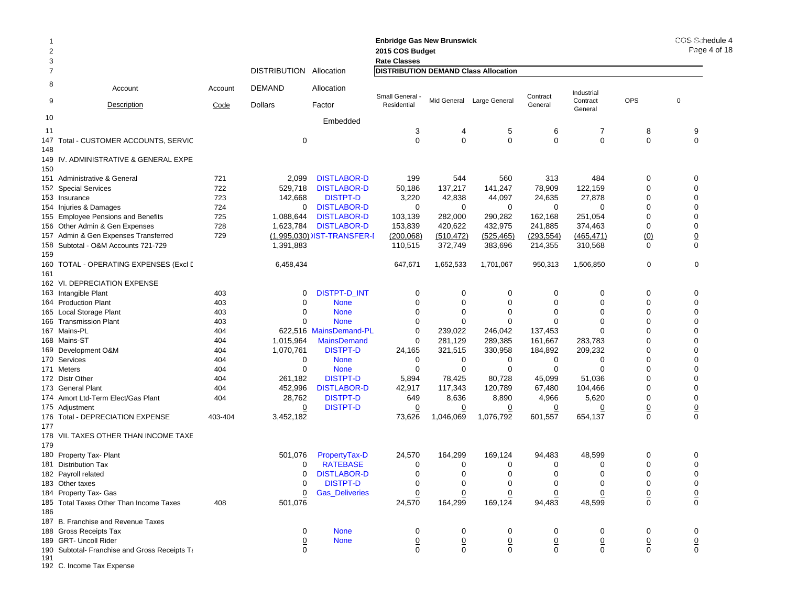| $\overline{c}$<br>3 |                                               |            |                         |                                  | <b>Enbridge Gas New Brunswick</b><br>2015 COS Budget<br><b>Rate Classes</b> |                | COS Schedule 4<br>Page 4 of 18 |                |                     |                |                  |
|---------------------|-----------------------------------------------|------------|-------------------------|----------------------------------|-----------------------------------------------------------------------------|----------------|--------------------------------|----------------|---------------------|----------------|------------------|
| $\overline{7}$      |                                               |            | DISTRIBUTION Allocation |                                  | <b>DISTRIBUTION DEMAND Class Allocation</b>                                 |                |                                |                |                     |                |                  |
| 8                   | Account                                       | Account    | DEMAND                  | Allocation                       | Small General -                                                             |                |                                | Contract       | Industrial          |                |                  |
| 9                   | Description                                   | Code       | <b>Dollars</b>          | Factor                           | Residential                                                                 |                | Mid General Large General      | General        | Contract<br>General | <b>OPS</b>     | $\mathbf 0$      |
| 10                  |                                               |            |                         | Embedded                         |                                                                             |                |                                |                |                     |                |                  |
| 11                  |                                               |            |                         |                                  | 3                                                                           | 4              | 5                              | 6              | 7                   | 8              | 9                |
|                     | 147 Total - CUSTOMER ACCOUNTS, SERVIC         |            | 0                       |                                  | $\Omega$                                                                    | $\mathbf 0$    | $\mathbf 0$                    | $\mathbf 0$    | 0                   | 0              | 0                |
| 148<br>150          | 149 IV. ADMINISTRATIVE & GENERAL EXPE         |            |                         |                                  |                                                                             |                |                                |                |                     |                |                  |
|                     | 151 Administrative & General                  | 721        | 2,099                   | <b>DISTLABOR-D</b>               | 199                                                                         | 544            | 560                            | 313            | 484                 | 0              | 0                |
|                     | 152 Special Services                          | 722        | 529,718                 | <b>DISTLABOR-D</b>               | 50,186                                                                      | 137,217        | 141,247                        | 78,909         | 122,159             | 0              | $\mathbf 0$      |
|                     | 153 Insurance                                 | 723        | 142,668                 | <b>DISTPT-D</b>                  | 3,220                                                                       | 42,838         | 44,097                         | 24,635         | 27,878              | 0              | $\mathbf 0$      |
|                     | 154 Injuries & Damages                        | 724        | 0                       | <b>DISTLABOR-D</b>               | $\mathbf 0$                                                                 | 0              | 0                              | 0              | 0                   | 0              | 0                |
|                     | 155 Employee Pensions and Benefits            | 725        | 1,088,644               | <b>DISTLABOR-D</b>               | 103,139                                                                     | 282,000        | 290,282                        | 162,168        | 251,054             | 0              | $\mathbf 0$      |
|                     | 156 Other Admin & Gen Expenses                | 728        | 1,623,784               | <b>DISTLABOR-D</b>               | 153,839                                                                     | 420,622        | 432,975                        | 241,885        | 374,463             | 0              | 0                |
|                     | 157 Admin & Gen Expenses Transferred          | 729        |                         | (1,995,030) IST-TRANSFER-I       | (200, 068)                                                                  | (510, 472)     | (525, 465)                     | (293, 554)     | (465, 471)          | (0)            | $\overline{0}$   |
| 159                 | 158 Subtotal - O&M Accounts 721-729           |            | 1,391,883               |                                  | 110,515                                                                     | 372,749        | 383,696                        | 214,355        | 310,568             | $\Omega$       | 0                |
|                     | 160   TOTAL - OPERATING EXPENSES (Excl [      |            | 6,458,434               |                                  | 647,671                                                                     | 1,652,533      | 1,701,067                      | 950,313        | 1,506,850           | 0              | $\mathbf 0$      |
| 161                 |                                               |            |                         |                                  |                                                                             |                |                                |                |                     |                |                  |
|                     | 162 VI. DEPRECIATION EXPENSE                  |            |                         |                                  |                                                                             |                |                                |                |                     |                |                  |
|                     | 163 Intangible Plant                          | 403        | 0                       | DISTPT-D_INT                     | 0                                                                           | 0              | 0                              | 0              | 0                   | 0              | $\mathbf 0$      |
|                     | 164 Production Plant                          | 403        | 0                       | <b>None</b>                      | 0                                                                           | 0              | 0                              | 0              | 0                   | 0              | $\mathbf 0$      |
|                     | 165 Local Storage Plant                       | 403        | 0                       | <b>None</b>                      | 0                                                                           | 0              | 0                              | 0              | 0                   | 0              | $\mathbf 0$      |
|                     | 166 Transmission Plant                        | 403        | $\Omega$                | <b>None</b>                      | 0                                                                           | $\Omega$       | 0                              | $\Omega$       | 0                   | 0              | $\mathbf 0$      |
|                     | 167 Mains-PL                                  | 404        |                         | 622,516 MainsDemand-PL           | 0                                                                           | 239,022        | 246,042                        | 137,453        | 0                   | 0              | $\mathbf 0$      |
|                     | 168 Mains-ST                                  | 404        | 1,015,964               | <b>MainsDemand</b>               | 0                                                                           | 281,129        | 289,385                        | 161,667        | 283,783             | 0              | $\mathbf 0$      |
|                     | 169 Development O&M<br>170 Services           | 404<br>404 | 1,070,761<br>0          | <b>DISTPT-D</b><br><b>None</b>   | 24,165<br>0                                                                 | 321,515<br>0   | 330,958<br>0                   | 184,892<br>0   | 209,232<br>0        | 0<br>0         | 0<br>$\mathbf 0$ |
|                     | 171 Meters                                    | 404        | $\mathbf 0$             | <b>None</b>                      | 0                                                                           | 0              | 0                              | 0              | 0                   | 0              | $\mathbf 0$      |
|                     | 172 Distr Other                               | 404        | 261,182                 | <b>DISTPT-D</b>                  | 5,894                                                                       | 78,425         | 80,728                         | 45,099         | 51,036              | 0              | $\mathbf 0$      |
|                     | 173 General Plant                             | 404        | 452,996                 | <b>DISTLABOR-D</b>               | 42,917                                                                      | 117,343        | 120,789                        | 67,480         | 104,466             | 0              | $\mathbf 0$      |
|                     | 174 Amort Ltd-Term Elect/Gas Plant            | 404        | 28,762                  | <b>DISTPT-D</b>                  | 649                                                                         | 8,636          | 8,890                          | 4,966          | 5,620               | 0              | $\mathbf 0$      |
|                     | 175 Adjustment                                |            | 0                       | <b>DISTPT-D</b>                  | $\overline{0}$                                                              | $\overline{0}$ | 0                              | 0              | 0                   | <u>0</u>       | $\overline{0}$   |
| 177                 | 176 Total - DEPRECIATION EXPENSE              | 403-404    | 3,452,182               |                                  | 73,626                                                                      | 1,046,069      | 1,076,792                      | 601,557        | 654,137             | $\mathbf 0$    | $\mathbf 0$      |
|                     | 178 VII. TAXES OTHER THAN INCOME TAXE         |            |                         |                                  |                                                                             |                |                                |                |                     |                |                  |
| 179                 |                                               |            |                         |                                  |                                                                             |                | 169.124                        |                |                     |                |                  |
|                     | 180 Property Tax- Plant                       |            | 501,076<br>0            | PropertyTax-D<br><b>RATEBASE</b> | 24,570<br>0                                                                 | 164,299        |                                | 94,483<br>0    | 48,599<br>0         | 0<br>0         | 0                |
|                     | 181 Distribution Tax                          |            | 0                       | <b>DISTLABOR-D</b>               | $\mathbf 0$                                                                 | 0<br>0         | 0<br>$\mathbf 0$               | 0              | 0                   | 0              | 0<br>$\mathbf 0$ |
|                     | 182 Payroll related<br>183 Other taxes        |            | 0                       | <b>DISTPT-D</b>                  | 0                                                                           | 0              | 0                              | 0              | 0                   | 0              | 0                |
|                     | 184 Property Tax- Gas                         |            | 0                       | <b>Gas_Deliveries</b>            | 0                                                                           | 0              | 0                              | 0              | 0                   | $\overline{0}$ | $\overline{0}$   |
|                     | 185 Total Taxes Other Than Income Taxes       | 408        | 501,076                 |                                  | 24,570                                                                      | 164,299        | 169,124                        | 94,483         | 48,599              | 0              | $\mathbf 0$      |
| 186                 | 187 B. Franchise and Revenue Taxes            |            |                         |                                  |                                                                             |                |                                |                |                     |                |                  |
|                     | 188 Gross Receipts Tax                        |            | 0                       | <b>None</b>                      | 0                                                                           | 0              | 0                              | 0              | 0                   | 0              | 0                |
|                     | 189 GRT- Uncoll Rider                         |            | <u>0</u>                | <b>None</b>                      | $\overline{0}$                                                              | $\overline{0}$ | $\underline{0}$                | $\overline{0}$ | $\overline{0}$      | $\overline{0}$ | $\overline{0}$   |
| 191                 | 190 Subtotal- Franchise and Gross Receipts Ta |            | 0                       |                                  | 0                                                                           | 0              | $\mathbf 0$                    | $\mathbf 0$    | $\mathbf 0$         | $\mathbf 0$    | $\mathsf 0$      |

192 C. Income Tax Expense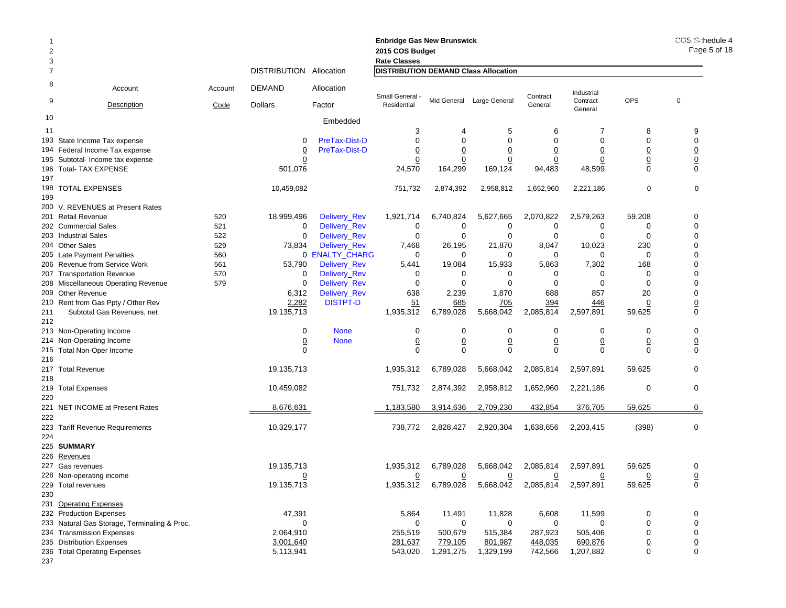| <b>Enbridge Gas New Brunswick</b><br>$\overline{2}$<br>2015 COS Budget<br>3<br><b>Rate Classes</b> |                                              |            |                         |                                 |                                             |                             |                           |                      |                       | COS Schedule 4<br>Page 5 of 18 |                            |
|----------------------------------------------------------------------------------------------------|----------------------------------------------|------------|-------------------------|---------------------------------|---------------------------------------------|-----------------------------|---------------------------|----------------------|-----------------------|--------------------------------|----------------------------|
|                                                                                                    |                                              |            | DISTRIBUTION Allocation |                                 | <b>DISTRIBUTION DEMAND Class Allocation</b> |                             |                           |                      |                       |                                |                            |
| 8                                                                                                  | Account                                      | Account    | <b>DEMAND</b>           | Allocation                      | Small General -                             |                             |                           | Contract             | Industrial            |                                |                            |
| 9                                                                                                  | <b>Description</b>                           | Code       | Dollars                 | Factor                          | Residential                                 |                             | Mid General Large General | General              | Contract<br>General   | <b>OPS</b>                     | $\mathbf 0$                |
| 10                                                                                                 |                                              |            |                         | Embedded                        |                                             |                             |                           |                      |                       |                                |                            |
| 11                                                                                                 |                                              |            |                         |                                 | 3                                           |                             | 5                         | 6                    | 7                     | 8                              | 9                          |
| 193                                                                                                | State Income Tax expense                     |            | $\Omega$                | PreTax-Dist-D                   | $\mathbf 0$                                 | $\Omega$                    | $\mathbf 0$               | $\Omega$             | $\mathbf 0$           | $\mathbf 0$                    | $\mathbf 0$                |
|                                                                                                    | 194 Federal Income Tax expense               |            | $\overline{0}$          | PreTax-Dist-D                   | $\overline{0}$                              | 0                           | $\overline{0}$            | $\overline{0}$       | $\overline{0}$        | $\overline{0}$                 | $\underline{0}$            |
| 195                                                                                                | Subtotal- Income tax expense                 |            | $\overline{0}$          |                                 | $\overline{0}$                              | $\overline{0}$              | <u>0</u>                  | $\overline{0}$       | $\overline{0}$        | $\underline{0}$                | $\underline{0}$            |
| 197                                                                                                | 196 Total- TAX EXPENSE                       |            | 501,076                 |                                 | 24,570                                      | 164,299                     | 169,124                   | 94,483               | 48,599                | $\Omega$                       | $\mathbf 0$                |
|                                                                                                    | 198 TOTAL EXPENSES                           |            | 10,459,082              |                                 | 751,732                                     | 2,874,392                   | 2,958,812                 | 1,652,960            | 2,221,186             | $\mathbf 0$                    | $\mathbf 0$                |
| 199                                                                                                |                                              |            |                         |                                 |                                             |                             |                           |                      |                       |                                |                            |
|                                                                                                    | 200 V. REVENUES at Present Rates             |            |                         |                                 |                                             |                             |                           |                      |                       |                                |                            |
|                                                                                                    | 201 Retail Revenue                           | 520        | 18,999,496              | Delivery_Rev                    | 1,921,714                                   | 6,740,824                   | 5,627,665                 | 2,070,822            | 2,579,263             | 59,208                         | 0                          |
|                                                                                                    | 202 Commercial Sales                         | 521        | 0                       | Delivery_Rev                    | 0                                           | 0                           | 0                         | 0                    | 0                     | 0                              | $\mathbf 0$                |
|                                                                                                    | 203 Industrial Sales<br>204 Other Sales      | 522<br>529 | $\Omega$<br>73,834      | Delivery_Rev                    | $\mathbf 0$<br>7,468                        | $\mathbf 0$<br>26,195       | $\mathbf 0$<br>21,870     | $\mathbf 0$<br>8,047 | $\mathbf 0$<br>10,023 | $\mathbf 0$<br>230             | $\mathbf 0$<br>$\mathbf 0$ |
|                                                                                                    | 205 Late Payment Penalties                   | 560        |                         | Delivery_Rev<br>0 'ENALTY_CHARG | 0                                           | 0                           | 0                         | $\mathbf 0$          | 0                     | $\mathbf 0$                    | $\mathbf 0$                |
|                                                                                                    | 206 Revenue from Service Work                | 561        | 53,790                  | Delivery_Rev                    | 5,441                                       | 19,084                      | 15,933                    | 5,863                | 7,302                 | 168                            | $\Omega$                   |
|                                                                                                    | 207 Transportation Revenue                   | 570        | 0                       | <b>Delivery_Rev</b>             | 0                                           | $\mathbf 0$                 | 0                         | $\mathbf 0$          | 0                     | $\mathbf 0$                    | $\mathbf 0$                |
|                                                                                                    | 208 Miscellaneous Operating Revenue          | 579        | $\Omega$                | <b>Delivery_Rev</b>             | 0                                           | $\Omega$                    | $\Omega$                  | $\Omega$             | $\Omega$              | $\mathbf 0$                    | $\mathbf 0$                |
|                                                                                                    | 209 Other Revenue                            |            | 6,312                   | Delivery_Rev                    | 638                                         | 2,239                       | 1,870                     | 688                  | 857                   | 20                             | $\mathbf 0$                |
|                                                                                                    | 210 Rent from Gas Ppty / Other Rev           |            | 2,282                   | <b>DISTPT-D</b>                 | 51                                          | 685                         | 705                       | 394                  | 446                   | $\overline{0}$                 | $\overline{0}$             |
| 211<br>212                                                                                         | Subtotal Gas Revenues, net                   |            | 19,135,713              |                                 | 1,935,312                                   | 6,789,028                   | 5,668,042                 | 2,085,814            | 2,597,891             | 59,625                         | $\mathbf 0$                |
|                                                                                                    | 213 Non-Operating Income                     |            | $\mathbf 0$             | <b>None</b>                     | 0                                           | $\mathbf 0$                 | $\mathbf 0$               | 0                    | 0                     | $\mathbf 0$                    | $\mathbf 0$                |
|                                                                                                    | 214 Non-Operating Income                     |            | $\overline{0}$          | <b>None</b>                     | $\underline{0}$                             | $\underline{0}$             | $\overline{0}$            | $\underline{0}$      | $\overline{0}$        | $\underline{0}$                | $\overline{0}$             |
|                                                                                                    | 215 Total Non-Oper Income                    |            | $\Omega$                |                                 | $\Omega$                                    | $\mathbf 0$                 | $\mathbf 0$               | $\mathbf 0$          | $\mathbf 0$           | $\mathbf 0$                    | $\mathbf 0$                |
| 216<br>217                                                                                         | <b>Total Revenue</b>                         |            | 19,135,713              |                                 | 1,935,312                                   | 6,789,028                   | 5,668,042                 | 2,085,814            | 2,597,891             | 59,625                         | 0                          |
| 218                                                                                                |                                              |            |                         |                                 |                                             |                             |                           |                      |                       |                                |                            |
|                                                                                                    | 219 Total Expenses                           |            | 10,459,082              |                                 | 751,732                                     | 2,874,392                   | 2,958,812                 | 1,652,960            | 2,221,186             | $\mathbf 0$                    | $\mathbf 0$                |
| 220                                                                                                |                                              |            |                         |                                 |                                             |                             |                           |                      |                       |                                |                            |
|                                                                                                    | 221 NET INCOME at Present Rates              |            | 8,676,631               |                                 | 1,183,580                                   | 3,914,636                   | 2,709,230                 | 432,854              | 376,705               | 59,625                         | 0                          |
| 222                                                                                                |                                              |            |                         |                                 |                                             |                             |                           |                      |                       |                                |                            |
| 223                                                                                                | <b>Tariff Revenue Requirements</b>           |            | 10,329,177              |                                 | 738,772                                     | 2,828,427                   | 2,920,304                 | 1,638,656            | 2,203,415             | (398)                          | 0                          |
| 224                                                                                                |                                              |            |                         |                                 |                                             |                             |                           |                      |                       |                                |                            |
|                                                                                                    | 225 SUMMARY                                  |            |                         |                                 |                                             |                             |                           |                      |                       |                                |                            |
| 226                                                                                                | Revenues                                     |            |                         |                                 |                                             |                             |                           |                      |                       |                                |                            |
|                                                                                                    | 227 Gas revenues                             |            | 19,135,713              |                                 | 1,935,312                                   | 6,789,028                   | 5,668,042                 | 2,085,814            | 2,597,891             | 59,625                         | 0                          |
|                                                                                                    | 228 Non-operating income                     |            | 0<br>19,135,713         |                                 | $\overline{0}$<br>1,935,312                 | $\overline{0}$<br>6,789,028 | 0<br>5,668,042            | 0<br>2,085,814       | 0                     | 0<br>59,625                    | $\overline{0}$<br>0        |
| 230                                                                                                | 229 Total revenues                           |            |                         |                                 |                                             |                             |                           |                      | 2,597,891             |                                |                            |
|                                                                                                    | 231 Operating Expenses                       |            |                         |                                 |                                             |                             |                           |                      |                       |                                |                            |
|                                                                                                    | 232 Production Expenses                      |            | 47,391                  |                                 | 5,864                                       | 11,491                      | 11,828                    | 6,608                | 11,599                | 0                              | 0                          |
|                                                                                                    | 233 Natural Gas Storage, Terminaling & Proc. |            | 0                       |                                 | 0                                           | $\mathbf 0$                 | 0                         | $\mathbf 0$          | 0                     | $\mathbf 0$                    | 0                          |
|                                                                                                    | 234 Transmission Expenses                    |            | 2,064,910               |                                 | 255,519                                     | 500,679                     | 515,384                   | 287,923              | 505,406               | $\mathbf 0$                    | $\pmb{0}$                  |
|                                                                                                    | 235 Distribution Expenses                    |            | 3,001,640               |                                 | 281,637                                     | 779,105                     | 801,987                   | 448,035              | 690,876               | $\underline{0}$                | $\underline{0}$            |
|                                                                                                    | 236 Total Operating Expenses                 |            | 5,113,941               |                                 | 543,020                                     | 1,291,275                   | 1,329,199                 | 742,566              | 1,207,882             | $\mathbf 0$                    | $\mathbf 0$                |
| 237                                                                                                |                                              |            |                         |                                 |                                             |                             |                           |                      |                       |                                |                            |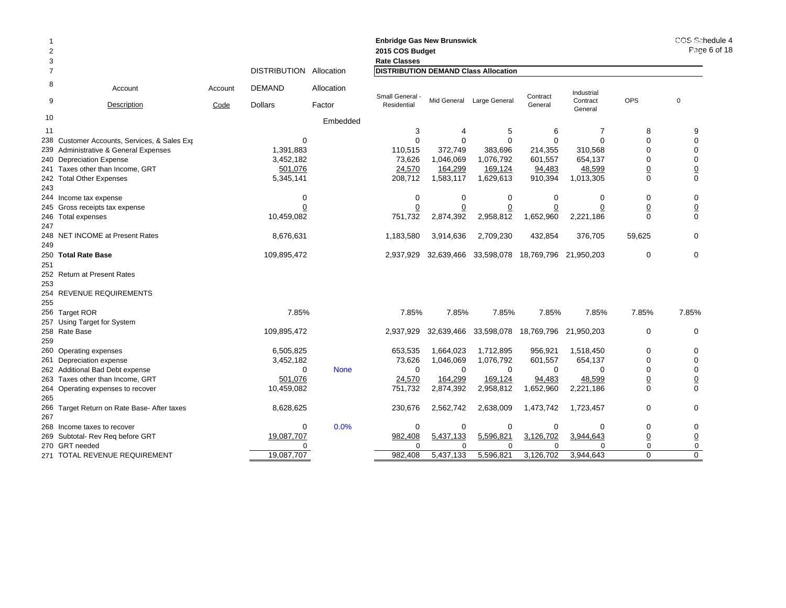| <b>Enbridge Gas New Brunswick</b><br>2015 COS Budget<br>2<br><b>Rate Classes</b><br>3<br><b>DISTRIBUTION</b><br><b>DISTRIBUTION DEMAND Class Allocation</b><br>Allocation<br>$\overline{7}$ |                                             |                 |                                 |                      |                                |             |                           |                       |                                   |                | COS Schedule 4<br>Page 6 of 18 |
|---------------------------------------------------------------------------------------------------------------------------------------------------------------------------------------------|---------------------------------------------|-----------------|---------------------------------|----------------------|--------------------------------|-------------|---------------------------|-----------------------|-----------------------------------|----------------|--------------------------------|
|                                                                                                                                                                                             |                                             |                 |                                 |                      |                                |             |                           |                       |                                   |                |                                |
| 8<br>9                                                                                                                                                                                      | Account<br><b>Description</b>               | Account<br>Code | <b>DEMAND</b><br><b>Dollars</b> | Allocation<br>Factor | Small General -<br>Residential |             | Mid General Large General | Contract<br>General   | Industrial<br>Contract<br>General | <b>OPS</b>     | $\mathbf 0$                    |
| 10                                                                                                                                                                                          |                                             |                 |                                 | Embedded             |                                |             |                           |                       |                                   |                |                                |
| 11                                                                                                                                                                                          |                                             |                 |                                 |                      | 3                              | 4           | 5                         | 6                     | $\overline{7}$                    | 8              | 9                              |
| 238                                                                                                                                                                                         | Customer Accounts, Services, & Sales Exp    |                 | $\mathbf 0$                     |                      | $\mathbf 0$                    | 0           | $\Omega$                  | $\Omega$              | $\Omega$                          | $\Omega$       | $\mathbf 0$                    |
| 239                                                                                                                                                                                         | Administrative & General Expenses           |                 | 1,391,883                       |                      | 110,515                        | 372,749     | 383,696                   | 214,355               | 310,568                           | $\Omega$       | $\mathbf 0$                    |
|                                                                                                                                                                                             | 240 Depreciation Expense                    |                 | 3,452,182                       |                      | 73,626                         | 1,046,069   | 1,076,792                 | 601,557               | 654,137                           | $\Omega$       | $\mathbf 0$                    |
|                                                                                                                                                                                             | 241 Taxes other than Income, GRT            |                 | 501,076                         |                      | 24,570                         | 164,299     | 169,124                   | 94,483                | 48,599                            | $\overline{0}$ | $\overline{0}$                 |
|                                                                                                                                                                                             | 242 Total Other Expenses                    |                 | 5,345,141                       |                      | 208,712                        | 1,583,117   | 1,629,613                 | 910,394               | 1,013,305                         | $\Omega$       | $\mathbf 0$                    |
| 243                                                                                                                                                                                         |                                             |                 |                                 |                      |                                |             |                           |                       |                                   |                |                                |
|                                                                                                                                                                                             | 244 Income tax expense                      |                 | $\mathbf 0$                     |                      | $\mathbf 0$                    | $\mathbf 0$ | $\mathbf 0$               | $\Omega$              | 0                                 | $\mathbf 0$    | $\mathbf 0$                    |
|                                                                                                                                                                                             | 245 Gross receipts tax expense              |                 | 0                               |                      |                                |             |                           |                       | 0                                 | $\overline{0}$ |                                |
|                                                                                                                                                                                             | 246 Total expenses                          |                 | 10,459,082                      |                      | 751,732                        | 2,874,392   | 2,958,812                 | 1,652,960             | 2,221,186                         | $\Omega$       | $\frac{0}{0}$                  |
| 247                                                                                                                                                                                         |                                             |                 |                                 |                      |                                |             |                           |                       |                                   |                |                                |
|                                                                                                                                                                                             | 248 NET INCOME at Present Rates             |                 | 8,676,631                       | 1,183,580            | 3,914,636                      | 2,709,230   | 432,854                   | 376,705               | 59,625                            | $\Omega$       |                                |
| 249                                                                                                                                                                                         |                                             |                 |                                 |                      |                                |             |                           |                       |                                   |                |                                |
|                                                                                                                                                                                             | 250 Total Rate Base                         |                 | 109,895,472                     | 2,937,929            | 32,639,466                     | 33,598,078  | 18,769,796                | 21,950,203            | $\mathbf 0$                       | $\mathbf 0$    |                                |
| 251                                                                                                                                                                                         |                                             |                 |                                 |                      |                                |             |                           |                       |                                   |                |                                |
|                                                                                                                                                                                             | 252 Return at Present Rates                 |                 |                                 |                      |                                |             |                           |                       |                                   |                |                                |
| 253                                                                                                                                                                                         |                                             |                 |                                 |                      |                                |             |                           |                       |                                   |                |                                |
|                                                                                                                                                                                             | 254 REVENUE REQUIREMENTS                    |                 |                                 |                      |                                |             |                           |                       |                                   |                |                                |
| 255                                                                                                                                                                                         |                                             |                 |                                 |                      |                                |             |                           |                       |                                   |                |                                |
|                                                                                                                                                                                             | 256 Target ROR                              |                 | 7.85%                           |                      | 7.85%                          | 7.85%       | 7.85%                     | 7.85%                 | 7.85%                             | 7.85%          | 7.85%                          |
|                                                                                                                                                                                             | 257 Using Target for System                 |                 |                                 |                      |                                |             |                           |                       |                                   |                |                                |
|                                                                                                                                                                                             | 258 Rate Base                               |                 | 109,895,472                     |                      | 2,937,929                      | 32,639,466  | 33,598,078                | 18,769,796 21,950,203 |                                   | 0              | $\mathbf 0$                    |
| 259                                                                                                                                                                                         |                                             |                 |                                 |                      |                                |             |                           |                       |                                   |                |                                |
|                                                                                                                                                                                             | 260 Operating expenses                      |                 | 6,505,825                       |                      | 653,535                        | 1,664,023   | 1,712,895                 | 956,921               | 1,518,450                         | 0              | 0                              |
|                                                                                                                                                                                             | 261 Depreciation expense                    |                 | 3,452,182                       |                      | 73,626                         | 1,046,069   | 1,076,792                 | 601,557               | 654,137                           | $\Omega$       | $\mathbf 0$                    |
|                                                                                                                                                                                             | 262 Additional Bad Debt expense             |                 | $\Omega$                        | <b>None</b>          | $\Omega$                       | $\Omega$    | $\Omega$                  | $\Omega$              | $\Omega$                          | $\Omega$       | $\mathbf 0$                    |
|                                                                                                                                                                                             | 263 Taxes other than Income, GRT            |                 | 501,076                         |                      | 24,570                         | 164,299     | 169,124                   | 94,483                | 48,599                            | $\overline{0}$ | $\overline{0}$                 |
|                                                                                                                                                                                             | 264 Operating expenses to recover           |                 | 10,459,082                      |                      | 751,732                        | 2,874,392   | 2,958,812                 | 1,652,960             | 2,221,186                         | $\Omega$       | $\Omega$                       |
| 265                                                                                                                                                                                         |                                             |                 |                                 |                      |                                |             |                           |                       |                                   | $\mathbf 0$    |                                |
| 267                                                                                                                                                                                         | 266 Target Return on Rate Base- After taxes |                 | 8,628,625                       |                      | 230,676                        | 2,562,742   | 2,638,009                 | 1,473,742             | 1,723,457                         |                | $\mathbf 0$                    |
|                                                                                                                                                                                             | 268 Income taxes to recover                 |                 | 0                               | 0.0%                 | $\mathbf 0$                    | 0           | 0                         | 0                     | 0                                 | 0              | 0                              |
|                                                                                                                                                                                             | 269 Subtotal- Rev Reg before GRT            |                 | 19,087,707                      |                      | 982,408                        | 5,437,133   | 5,596,821                 | 3,126,702             | 3,944,643                         | $\overline{0}$ |                                |
|                                                                                                                                                                                             | 270 GRT needed                              |                 | 0                               |                      | $\Omega$                       | $\Omega$    | $\Omega$                  | $\Omega$              | $\Omega$                          | $\mathbf 0$    | $\underline{0}$<br>$\mathbf 0$ |
|                                                                                                                                                                                             | 271 TOTAL REVENUE REQUIREMENT               |                 | 19,087,707                      |                      | 982,408                        | 5,437,133   | 5,596,821                 | 3,126,702             | 3,944,643                         | $\Omega$       | $\Omega$                       |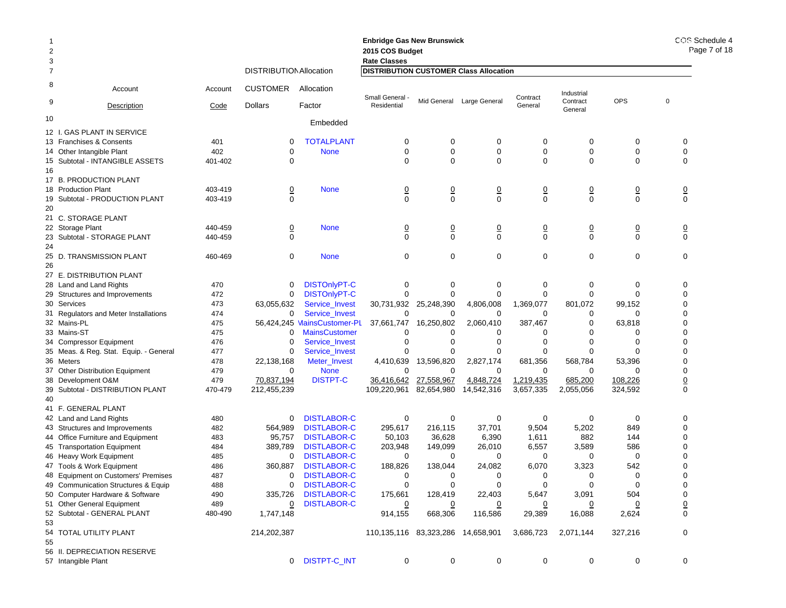| 2<br>3 |                                        |         |                                |                             | <b>Enbridge Gas New Brunswick</b><br>COS I<br>2015 COS Budget<br><b>Rate Classes</b> |                |                            |                |                     |                               |                 |  |  |
|--------|----------------------------------------|---------|--------------------------------|-----------------------------|--------------------------------------------------------------------------------------|----------------|----------------------------|----------------|---------------------|-------------------------------|-----------------|--|--|
| 7      |                                        |         | <b>DISTRIBUTION Allocation</b> |                             | <b>DISTRIBUTION CUSTOMER Class Allocation</b>                                        |                |                            |                |                     |                               |                 |  |  |
| 8      | Account                                | Account | <b>CUSTOMER</b>                | Allocation                  | Small General                                                                        |                |                            | Contract       | Industrial          |                               |                 |  |  |
| 9      | Description                            | Code    | Dollars                        | Factor                      | Residential                                                                          |                | Mid General Large General  | General        | Contract<br>General | <b>OPS</b>                    | $\mathbf 0$     |  |  |
| 10     |                                        |         |                                | Embedded                    |                                                                                      |                |                            |                |                     |                               |                 |  |  |
|        | 12 I. GAS PLANT IN SERVICE             |         |                                |                             |                                                                                      |                |                            |                |                     |                               |                 |  |  |
|        | 13 Franchises & Consents               | 401     | 0                              | <b>TOTALPLANT</b>           | 0                                                                                    | 0              | 0                          | 0              | 0                   | 0                             | 0               |  |  |
|        | 14 Other Intangible Plant              | 402     | $\mathbf 0$                    | <b>None</b>                 | 0                                                                                    | $\mathbf 0$    | $\mathbf 0$                | 0              | 0                   | 0                             | 0               |  |  |
|        | 15 Subtotal - INTANGIBLE ASSETS        | 401-402 | $\Omega$                       |                             | $\Omega$                                                                             | $\Omega$       | $\mathbf 0$                | $\Omega$       | 0                   | 0                             | $\mathbf 0$     |  |  |
| 16     | 17 B. PRODUCTION PLANT                 |         |                                |                             |                                                                                      |                |                            |                |                     |                               |                 |  |  |
|        | 18 Production Plant                    | 403-419 |                                | <b>None</b>                 |                                                                                      |                |                            |                |                     |                               |                 |  |  |
| 19     | Subtotal - PRODUCTION PLANT            | 403-419 | $\overline{0}$<br>$\Omega$     |                             | $\overline{0}$<br>$\Omega$                                                           | $\frac{0}{0}$  | $\overline{0}$<br>$\Omega$ | $\frac{0}{0}$  | $\frac{0}{0}$       | $\overline{0}$<br>$\mathbf 0$ | $\frac{0}{0}$   |  |  |
| 20     |                                        |         |                                |                             |                                                                                      |                |                            |                |                     |                               |                 |  |  |
|        | 21 C. STORAGE PLANT                    |         |                                |                             |                                                                                      |                |                            |                |                     |                               |                 |  |  |
|        | 22 Storage Plant                       | 440-459 | $\overline{0}$                 | <b>None</b>                 | $\overline{0}$                                                                       | $\overline{0}$ | $\overline{0}$             | $\overline{0}$ | $\overline{0}$      | $\overline{0}$                | $\overline{0}$  |  |  |
|        | 23 Subtotal - STORAGE PLANT            | 440-459 | $\Omega$                       |                             | $\Omega$                                                                             | $\Omega$       | $\Omega$                   | $\Omega$       | $\Omega$            | $\mathbf 0$                   | $\Omega$        |  |  |
| 24     |                                        |         |                                |                             |                                                                                      |                |                            |                |                     |                               |                 |  |  |
|        | 25 D. TRANSMISSION PLANT               | 460-469 | 0                              | <b>None</b>                 | $\mathbf 0$                                                                          | $\mathbf 0$    | $\mathbf 0$                | $\mathbf 0$    | 0                   | 0                             | $\mathbf 0$     |  |  |
| 26     |                                        |         |                                |                             |                                                                                      |                |                            |                |                     |                               |                 |  |  |
|        | 27 E. DISTRIBUTION PLANT               |         |                                |                             |                                                                                      |                |                            |                |                     |                               |                 |  |  |
|        | 28 Land and Land Rights                | 470     | 0                              | <b>DISTOnlyPT-C</b>         | 0                                                                                    | 0              | 0                          | 0              | 0                   | 0                             | 0               |  |  |
|        | 29 Structures and Improvements         | 472     | 0                              | <b>DISTOnlyPT-C</b>         | $\Omega$                                                                             | 0              | $\mathbf 0$                | $\mathbf 0$    | 0                   | 0                             | 0               |  |  |
|        | 30 Services                            | 473     | 63,055,632                     | Service Invest              | 30,731,932                                                                           | 25,248,390     | 4,806,008                  | 1,369,077      | 801,072             | 99,152                        | $\mathbf 0$     |  |  |
|        | 31 Regulators and Meter Installations  | 474     | 0                              | Service_Invest              | 0                                                                                    | 0              | 0                          | 0              | 0                   | 0                             | 0               |  |  |
|        | 32 Mains-PL                            | 475     |                                | 56,424,245 MainsCustomer-PL | 37,661,747                                                                           | 16,250,802     | 2,060,410                  | 387,467        | 0                   | 63,818                        | 0               |  |  |
|        | 33 Mains-ST                            | 475     | 0                              | <b>MainsCustomer</b>        | 0                                                                                    | 0              | 0                          | 0              | 0                   | 0                             | $\mathbf 0$     |  |  |
|        | 34 Compressor Equipment                | 476     | 0                              | Service_Invest              | 0                                                                                    | $\Omega$       | $\mathbf 0$                | $\mathbf 0$    | $\Omega$            | 0                             | 0               |  |  |
|        | 35 Meas. & Reg. Stat. Equip. - General | 477     | 0                              | Service_Invest              | O                                                                                    |                | 0                          | $\Omega$       | 0                   | 0                             | $\pmb{0}$       |  |  |
|        | 36 Meters                              | 478     | 22,138,168                     | Meter_Invest                | 4,410,639                                                                            | 13,596,820     | 2,827,174                  | 681,356        | 568,784             | 53,396                        | 0               |  |  |
|        | 37 Other Distribution Equipment        | 479     | 0                              | <b>None</b>                 | $\Omega$                                                                             | 0              | 0                          | 0              | 0                   | $\Omega$                      | $\mathbf 0$     |  |  |
|        | 38 Development O&M                     | 479     | 70,837,194                     | <b>DISTPT-C</b>             | 36,416,642                                                                           | 27,558,967     | 4,848,724                  | 1,219,435      | 685,200             | 108,226                       | $\underline{0}$ |  |  |
|        | 39 Subtotal - DISTRIBUTION PLANT       | 470-479 | 212,455,239                    |                             | 109,220,961                                                                          | 82,654,980     | 14,542,316                 | 3,657,335      | 2,055,056           | 324,592                       | $\mathbf 0$     |  |  |
| 40     | 41 F. GENERAL PLANT                    |         |                                |                             |                                                                                      |                |                            |                |                     |                               |                 |  |  |
|        | 42 Land and Land Rights                | 480     | 0                              | <b>DISTLABOR-C</b>          | 0                                                                                    | 0              | 0                          | 0              | 0                   | $\mathbf 0$                   | 0               |  |  |
|        | 43 Structures and Improvements         | 482     | 564,989                        | <b>DISTLABOR-C</b>          | 295,617                                                                              | 216,115        | 37,701                     | 9,504          | 5,202               | 849                           | $\mathbf 0$     |  |  |
|        | 44 Office Furniture and Equipment      | 483     | 95,757                         | <b>DISTLABOR-C</b>          | 50,103                                                                               | 36,628         | 6,390                      | 1,611          | 882                 | 144                           | 0               |  |  |
|        | 45 Transportation Equipment            | 484     | 389,789                        | <b>DISTLABOR-C</b>          | 203,948                                                                              | 149,099        | 26,010                     | 6,557          | 3,589               | 586                           | 0               |  |  |
|        | 46 Heavy Work Equipment                | 485     | 0                              | <b>DISTLABOR-C</b>          | 0                                                                                    | 0              | 0                          | 0              | 0                   | 0                             | 0               |  |  |
|        | 47 Tools & Work Equipment              | 486     | 360.887                        | <b>DISTLABOR-C</b>          | 188,826                                                                              | 138,044        | 24,082                     | 6,070          | 3,323               | 542                           | 0               |  |  |
|        | 48 Equipment on Customers' Premises    | 487     | 0                              | <b>DISTLABOR-C</b>          | 0                                                                                    | 0              | 0                          | 0              | 0                   | 0                             | $\mathbf 0$     |  |  |
|        | 49 Communication Structures & Equip    | 488     | 0                              | <b>DISTLABOR-C</b>          | $\mathbf 0$                                                                          | 0              |                            | 0              | 0                   | 0                             | 0               |  |  |
|        | 50 Computer Hardware & Software        | 490     | 335,726                        | <b>DISTLABOR-C</b>          | 175,661                                                                              | 128,419        | 22,403                     | 5,647          | 3,091               | 504                           | 0               |  |  |
|        | 51 Other General Equipment             | 489     | $\overline{0}$                 | <b>DISTLABOR-C</b>          | 0                                                                                    | <u>0</u>       | $\overline{0}$             | 0              | 0                   | 0                             | $\underline{0}$ |  |  |
|        | 52 Subtotal - GENERAL PLANT            | 480-490 | 1,747,148                      |                             | 914,155                                                                              | 668,306        | 116,586                    | 29,389         | 16,088              | 2,624                         | $\mathbf 0$     |  |  |
| 53     |                                        |         |                                |                             |                                                                                      |                |                            |                |                     |                               |                 |  |  |
| 55     | 54 TOTAL UTILITY PLANT                 |         | 214,202,387                    |                             | 110,135,116 83,323,286 14,658,901                                                    |                |                            | 3,686,723      | 2,071,144           | 327,216                       | 0               |  |  |
|        | 56 II. DEPRECIATION RESERVE            |         |                                |                             |                                                                                      |                |                            |                |                     |                               |                 |  |  |
|        | 57 Intangible Plant                    |         |                                | 0 DISTPT-C_INT              | 0                                                                                    | 0              | 0                          | $\mathbf 0$    | 0                   | 0                             | 0               |  |  |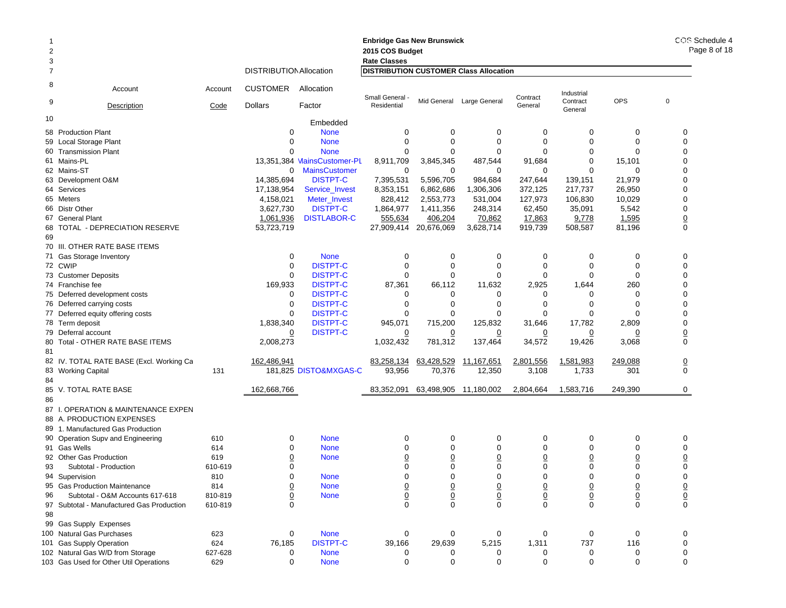|                |                                           |         |                                |                             | <b>Enbridge Gas New Brunswick</b>             |                 |                       |                 |                     |                | COS Schedule 4<br>Page 8 of 18 |
|----------------|-------------------------------------------|---------|--------------------------------|-----------------------------|-----------------------------------------------|-----------------|-----------------------|-----------------|---------------------|----------------|--------------------------------|
| $\overline{2}$ |                                           |         |                                |                             | 2015 COS Budget                               |                 |                       |                 |                     |                |                                |
| 3              |                                           |         |                                |                             | <b>Rate Classes</b>                           |                 |                       |                 |                     |                |                                |
| 7              |                                           |         | <b>DISTRIBUTION Allocation</b> |                             | <b>DISTRIBUTION CUSTOMER Class Allocation</b> |                 |                       |                 |                     |                |                                |
| 8              | Account                                   | Account | <b>CUSTOMER</b>                | Allocation                  | Small General -                               |                 | Large General         | Contract        | Industrial          | <b>OPS</b>     | $\mathbf 0$                    |
| 9              | Description                               | Code    | <b>Dollars</b>                 | Factor                      | Residential                                   | Mid General     |                       | General         | Contract<br>General |                |                                |
| 10             |                                           |         |                                | Embedded                    |                                               |                 |                       |                 |                     |                |                                |
|                | 58 Production Plant                       |         | $\mathbf 0$                    | <b>None</b>                 | 0                                             | 0               | 0                     | $\mathbf 0$     | 0                   | 0              | 0                              |
|                | 59 Local Storage Plant                    |         | $\mathbf 0$                    | <b>None</b>                 | $\mathbf 0$                                   | $\mathbf 0$     | $\mathbf 0$           | $\mathbf 0$     | $\Omega$            | $\Omega$       | 0                              |
|                | 60 Transmission Plant                     |         | $\Omega$                       | <b>None</b>                 | 0                                             | $\mathbf 0$     | 0                     | $\Omega$        | 0                   | 0              | 0                              |
|                | 61 Mains-PL                               |         |                                | 13,351,384 MainsCustomer-PL | 8,911,709                                     | 3,845,345       | 487,544               | 91,684          | $\Omega$            | 15,101         | 0                              |
|                | 62 Mains-ST                               |         | 0                              | <b>MainsCustomer</b>        | 0                                             | 0               | 0                     | 0               | $\Omega$            | 0              | 0                              |
|                | 63 Development O&M                        |         | 14,385,694                     | <b>DISTPT-C</b>             | 7,395,531                                     | 5,596,705       | 984,684               | 247,644         | 139,151             | 21,979         | 0                              |
|                | 64 Services                               |         | 17,138,954                     | Service_Invest              | 8,353,151                                     | 6,862,686       | 1,306,306             | 372,125         | 217,737             | 26,950         | 0                              |
|                | 65 Meters                                 |         | 4,158,021                      | Meter_Invest                | 828,412                                       | 2,553,773       | 531,004               | 127,973         | 106,830             | 10,029         | 0                              |
|                | 66 Distr Other                            |         | 3,627,730                      | <b>DISTPT-C</b>             | 1,864,977                                     | 1,411,356       | 248,314               | 62,450          | 35,091              | 5,542          | 0                              |
|                | 67 General Plant                          |         | 1,061,936                      | <b>DISTLABOR-C</b>          | 555,634                                       | 406,204         | 70,862                | 17,863          | 9,778               | 1,595          | $\overline{\mathbf{0}}$        |
|                | 68 TOTAL - DEPRECIATION RESERVE           |         | 53,723,719                     |                             | 27,909,414                                    | 20,676,069      | 3,628,714             | 919,739         | 508,587             | 81,196         | 0                              |
| 69             |                                           |         |                                |                             |                                               |                 |                       |                 |                     |                |                                |
|                | 70 III. OTHER RATE BASE ITEMS             |         |                                |                             |                                               |                 |                       |                 |                     |                |                                |
|                | 71 Gas Storage Inventory                  |         | 0                              | <b>None</b>                 | 0                                             | 0               | $\mathbf 0$           | $\mathbf 0$     | 0                   | 0              | 0                              |
|                | 72 CWIP                                   |         | 0                              | <b>DISTPT-C</b>             | 0                                             | 0               | 0                     | 0               | 0                   | 0              | 0                              |
|                | 73 Customer Deposits                      |         | $\Omega$                       | <b>DISTPT-C</b>             | $\mathbf 0$                                   | $\mathbf 0$     | $\mathbf 0$           | $\Omega$        | $\Omega$            | $\Omega$       | 0                              |
|                | 74 Franchise fee                          |         | 169,933                        | <b>DISTPT-C</b>             | 87,361                                        | 66,112          | 11,632                | 2,925           | 1,644               | 260            | 0                              |
|                | 75 Deferred development costs             |         | 0                              | <b>DISTPT-C</b>             | 0                                             | $\mathbf 0$     | 0                     | 0               | 0                   | 0              | 0                              |
|                | 76 Deferred carrying costs                |         | 0                              | <b>DISTPT-C</b>             | 0                                             | 0               | $\mathbf 0$           | 0               | 0                   | $\Omega$       | 0                              |
|                | 77 Deferred equity offering costs         |         | $\mathbf 0$                    | <b>DISTPT-C</b>             | 0                                             | $\mathbf 0$     | 0                     | $\Omega$        | 0                   | ∩              | 0                              |
|                | 78 Term deposit                           |         | 1,838,340                      | <b>DISTPT-C</b>             | 945,071                                       | 715,200         | 125,832               | 31,646          | 17,782              | 2,809          | 0                              |
|                | 79 Deferral account                       |         | $\overline{0}$                 | <b>DISTPT-C</b>             | 0                                             | 0               | 0                     | 0               | 0                   | 0              | $\underline{0}$                |
|                | 80 Total - OTHER RATE BASE ITEMS          |         | 2,008,273                      |                             | 1,032,432                                     | 781,312         | 137,464               | 34,572          | 19,426              | 3,068          | 0                              |
| 81             |                                           |         |                                |                             |                                               |                 |                       |                 |                     |                |                                |
|                | 82 IV. TOTAL RATE BASE (Excl. Working Ca  |         | 162,486,941                    |                             | 83,258,134                                    | 63,428,529      |                       | 2,801,556       | 1,581,983           | 249,088        |                                |
|                |                                           |         |                                | 181,825 DISTO&MXGAS-C       |                                               |                 | <u>11,167,651</u>     | 3,108           |                     | 301            | $\underline{0}$<br>0           |
|                | 83 Working Capital                        | 131     |                                |                             | 93,956                                        | 70,376          | 12,350                |                 | 1,733               |                |                                |
| 84             |                                           |         |                                |                             |                                               |                 |                       |                 |                     |                |                                |
|                | 85 V. TOTAL RATE BASE                     |         | 162,668,766                    |                             | 83,352,091                                    |                 | 63,498,905 11,180,002 | 2,804,664       | 1,583,716           | 249,390        | 0                              |
| 86             |                                           |         |                                |                             |                                               |                 |                       |                 |                     |                |                                |
|                | 87 I. OPERATION & MAINTENANCE EXPEN       |         |                                |                             |                                               |                 |                       |                 |                     |                |                                |
|                | 88 A. PRODUCTION EXPENSES                 |         |                                |                             |                                               |                 |                       |                 |                     |                |                                |
|                | 89 1. Manufactured Gas Production         |         |                                |                             |                                               |                 |                       |                 |                     |                |                                |
|                | 90 Operation Supv and Engineering         | 610     | 0                              | <b>None</b>                 | 0                                             | 0               | 0                     | 0               | 0                   | 0              | 0                              |
|                | 91 Gas Wells                              | 614     | $\mathbf 0$                    | <b>None</b>                 | 0                                             | 0               | $\mathbf 0$           | 0               | 0                   | 0              | 0                              |
|                | 92 Other Gas Production                   | 619     | $\overline{0}$                 | <b>None</b>                 | $\overline{0}$                                | $\underline{0}$ | $\underline{0}$       | $\overline{0}$  | $\overline{0}$      | $\overline{0}$ | $\overline{\mathbf{0}}$        |
| 93             | Subtotal - Production                     | 610-619 | $\mathbf 0$                    |                             | 0                                             | 0               | 0                     | 0               | 0                   | 0              | 0                              |
|                | 94 Supervision                            | 810     | $\mathbf 0$                    | <b>None</b>                 | 0                                             | $\mathbf 0$     | $\mathbf 0$           | $\Omega$        | $\Omega$            | $\mathbf 0$    | 0                              |
|                | 95 Gas Production Maintenance             | 814     | $\frac{0}{0}$                  | <b>None</b>                 |                                               | $\overline{0}$  | $\overline{0}$        | $\overline{0}$  | $\overline{0}$      | $\overline{0}$ |                                |
| 96             | Subtotal - O&M Accounts 617-618           | 810-819 |                                | <b>None</b>                 | $\frac{0}{0}$                                 | $\pmb{0}$       | $\overline{0}$        | $\underline{0}$ | $\overline{0}$      | $\overline{0}$ | $\frac{0}{0}$                  |
|                | 97 Subtotal - Manufactured Gas Production | 610-819 | $\Omega$                       |                             | $\Omega$                                      | $\Omega$        | $\mathbf 0$           | $\Omega$        | $\Omega$            | $\Omega$       | 0                              |
| 98             |                                           |         |                                |                             |                                               |                 |                       |                 |                     |                |                                |
|                | 99 Gas Supply Expenses                    |         |                                |                             |                                               |                 |                       |                 |                     |                |                                |
|                | 100 Natural Gas Purchases                 | 623     | 0                              | <b>None</b>                 | 0                                             | 0               | 0                     | 0               | 0                   | 0              | 0                              |
|                | 101 Gas Supply Operation                  | 624     | 76,185                         | <b>DISTPT-C</b>             | 39,166                                        | 29,639          | 5,215                 | 1,311           | 737                 | 116            | 0                              |
|                | 102 Natural Gas W/D from Storage          | 627-628 | 0                              | <b>None</b>                 | 0                                             | 0               | 0                     | 0               | 0                   | 0              | 0                              |
|                | 103 Gas Used for Other Util Operations    | 629     | 0                              | <b>None</b>                 | $\mathbf 0$                                   | $\mathbf 0$     | $\mathbf 0$           | $\mathbf 0$     | $\mathbf 0$         | $\mathbf 0$    | 0                              |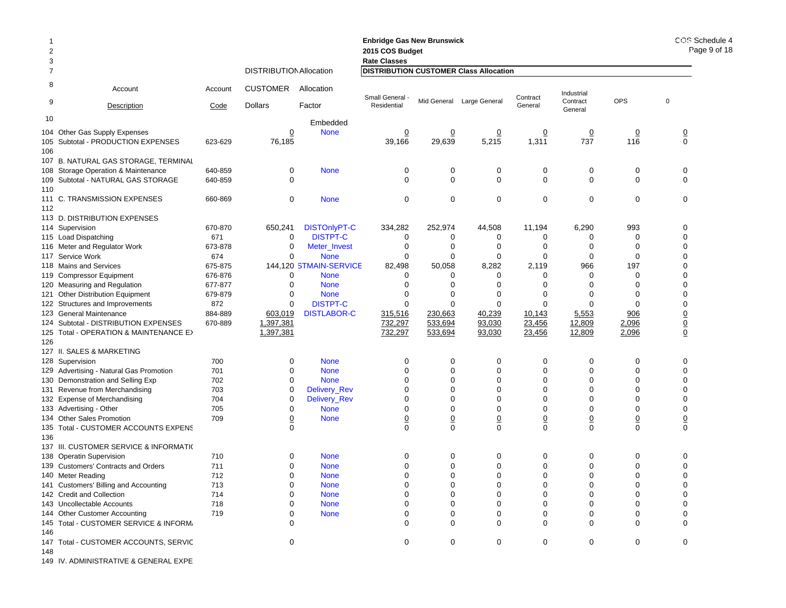|                |                                                         |            |                                |                            | <b>Enbridge Gas New Brunswick</b>             |                 |                           |                 |                     |                | COS Schedule 4<br>Page 9 of 18 |
|----------------|---------------------------------------------------------|------------|--------------------------------|----------------------------|-----------------------------------------------|-----------------|---------------------------|-----------------|---------------------|----------------|--------------------------------|
| $\overline{2}$ |                                                         |            |                                | 2015 COS Budget            |                                               |                 |                           |                 |                     |                |                                |
| 3              |                                                         |            | <b>Rate Classes</b>            |                            |                                               |                 |                           |                 |                     |                |                                |
| 7              |                                                         |            | <b>DISTRIBUTION Allocation</b> |                            | <b>DISTRIBUTION CUSTOMER Class Allocation</b> |                 |                           |                 |                     |                |                                |
| 8              | Account                                                 | Account    | <b>CUSTOMER</b>                | Allocation                 | Small General -                               |                 | Mid General Large General | Contract        | Industrial          | OPS            | $\mathbf 0$                    |
| 9              | Description                                             | Code       | <b>Dollars</b>                 | Factor                     | Residential                                   |                 |                           | General         | Contract<br>General |                |                                |
| 10             |                                                         |            |                                | Embedded                   |                                               |                 |                           |                 |                     |                |                                |
|                | 104 Other Gas Supply Expenses                           |            | <u>0</u>                       | <b>None</b>                | $\overline{0}$                                | $\overline{0}$  | $\overline{0}$            | $\overline{0}$  | $\overline{0}$      | $\overline{0}$ | $\frac{0}{0}$                  |
|                | 105 Subtotal - PRODUCTION EXPENSES                      | 623-629    | 76,185                         |                            | 39,166                                        | 29,639          | 5,215                     | 1,311           | 737                 | 116            |                                |
| 106            |                                                         |            |                                |                            |                                               |                 |                           |                 |                     |                |                                |
|                | 107 B. NATURAL GAS STORAGE, TERMINAL                    |            |                                |                            |                                               |                 |                           |                 |                     |                |                                |
|                | 108 Storage Operation & Maintenance                     | 640-859    | 0                              | <b>None</b>                | 0                                             | 0               | 0                         | 0               | 0                   | 0              | 0                              |
|                | 109 Subtotal - NATURAL GAS STORAGE                      | 640-859    | 0                              |                            | $\mathbf 0$                                   | 0               | 0                         | 0               | 0                   | 0              | 0                              |
| 110            |                                                         |            |                                |                            |                                               |                 |                           |                 |                     |                |                                |
|                | 111 C. TRANSMISSION EXPENSES                            | 660-869    | 0                              | <b>None</b>                | 0                                             | 0               | $\mathbf 0$               | $\mathbf 0$     | $\mathbf 0$         | 0              | 0                              |
| 112            | 113 D. DISTRIBUTION EXPENSES                            |            |                                |                            |                                               |                 |                           |                 |                     |                |                                |
|                | 114 Supervision                                         | 670-870    | 650,241                        | <b>DISTOnlyPT-C</b>        | 334,282                                       | 252,974         | 44,508                    | 11,194          | 6,290               | 993            | 0                              |
|                | 115 Load Dispatching                                    | 671        | 0                              | <b>DISTPT-C</b>            | 0                                             | 0               | 0                         | 0               | 0                   | 0              | 0                              |
|                | 116 Meter and Regulator Work                            | 673-878    | 0                              | Meter_Invest               | 0                                             | 0               | 0                         | 0               | 0                   | 0              | 0                              |
|                | 117 Service Work                                        | 674        | 0                              | <b>None</b>                | $\mathbf 0$                                   | 0               | $\mathbf 0$               | $\Omega$        | $\Omega$            | 0              | 0                              |
|                | 118 Mains and Services                                  | 675-875    |                                | 144,120 STMAIN-SERVICE     | 82,498                                        | 50,058          | 8,282                     | 2,119           | 966                 | 197            | 0                              |
|                | 119 Compressor Equipment                                | 676-876    | 0                              | <b>None</b>                | $\Omega$                                      | $\Omega$        | $\Omega$                  | $\Omega$        | $\Omega$            | $\mathbf 0$    | 0                              |
|                | 120 Measuring and Regulation                            | 677-877    | $\mathbf 0$                    | <b>None</b>                | $\Omega$                                      | 0               | $\Omega$                  | $\Omega$        | $\Omega$            | $\Omega$       | 0                              |
|                | 121 Other Distribution Equipment                        | 679-879    | 0                              | <b>None</b>                | 0                                             | 0               | $\Omega$                  | 0               | 0                   | 0              | 0                              |
|                | 122 Structures and Improvements                         | 872        | $\mathbf 0$                    | <b>DISTPT-C</b>            | $\mathbf 0$                                   | 0               | $\mathbf 0$               | 0               | $\Omega$            | $\Omega$       | 0                              |
|                | 123 General Maintenance                                 | 884-889    | 603,019                        | <b>DISTLABOR-C</b>         | 315,516                                       | 230,663         | 40,239                    | 10,143          | 5,553               | 906            | $\overline{\mathbf{0}}$        |
|                | 124 Subtotal - DISTRIBUTION EXPENSES                    | 670-889    | 1,397,381                      |                            | 732,297                                       | 533,694         | 93,030                    | 23,456          | 12,809              | 2,096          |                                |
| 126            | 125 Total - OPERATION & MAINTENANCE E>                  |            | 1,397,381                      |                            | 732,297                                       | 533,694         | 93,030                    | 23,456          | 12,809              | 2,096          | $\frac{0}{0}$                  |
|                | 127 II. SALES & MARKETING                               |            |                                |                            |                                               |                 |                           |                 |                     |                |                                |
|                | 128 Supervision                                         | 700        | 0                              | <b>None</b>                | 0                                             | 0               | 0                         | 0               | 0                   | 0              | 0                              |
|                | 129 Advertising - Natural Gas Promotion                 | 701        | $\mathbf 0$                    | <b>None</b>                | $\Omega$                                      | $\mathbf 0$     | $\mathbf 0$               | $\mathbf 0$     | $\Omega$            | $\Omega$       | 0                              |
|                | 130 Demonstration and Selling Exp                       | 702        | $\mathbf 0$                    | <b>None</b>                | $\Omega$                                      | 0               | $\mathbf 0$               | $\mathbf 0$     | $\Omega$            | $\Omega$       | 0                              |
|                | 131 Revenue from Merchandising                          | 703        | 0                              | Delivery_Rev               | 0                                             | 0               | $\mathbf 0$               | 0               | 0                   | 0              | 0                              |
|                | 132 Expense of Merchandising                            | 704        | 0                              | Delivery_Rev               | $\Omega$                                      | 0               | $\Omega$                  | $\mathbf 0$     | $\Omega$            | $\Omega$       | 0                              |
|                | 133 Advertising - Other                                 | 705        | 0                              | <b>None</b>                | 0                                             | 0               | $\mathbf 0$               | 0               | $\Omega$            | 0              | 0                              |
|                | 134 Other Sales Promotion                               | 709        | $\overline{0}$                 | <b>None</b>                | $\overline{0}$                                | $\underline{0}$ | $\underline{0}$           | $\underline{0}$ | $\overline{0}$      | $\overline{0}$ | $\overline{\mathbf{0}}$        |
|                | 135 Total - CUSTOMER ACCOUNTS EXPENS                    |            | $\Omega$                       |                            | $\mathbf 0$                                   | $\mathbf 0$     | $\mathbf 0$               | $\mathbf 0$     | $\Omega$            | $\mathbf 0$    | $\pmb{0}$                      |
| 136            |                                                         |            |                                |                            |                                               |                 |                           |                 |                     |                |                                |
|                | 137 III. CUSTOMER SERVICE & INFORMATI(                  |            |                                |                            |                                               |                 |                           |                 |                     |                |                                |
|                | 138 Operatin Supervision                                | 710        | 0                              | <b>None</b>                | 0                                             | 0               | 0                         | 0               | 0                   | 0              | 0                              |
|                | 139 Customers' Contracts and Orders                     | 711        | $\mathbf 0$                    | <b>None</b>                | 0                                             | $\mathbf 0$     | $\Omega$                  | $\Omega$        | 0                   |                | 0                              |
|                | 140 Meter Reading                                       | 712        | $\mathbf 0$                    | <b>None</b>                | $\mathbf 0$                                   | 0               | 0                         | $\mathbf 0$     | $\mathbf 0$         | $\mathbf 0$    | 0                              |
|                | 141 Customers' Billing and Accounting                   | 713        | 0                              | <b>None</b>                |                                               |                 |                           |                 |                     |                | 0                              |
|                | 142 Credit and Collection<br>143 Uncollectable Accounts | 714<br>718 | 0<br>0                         | <b>None</b><br><b>None</b> | 0<br>0                                        | 0<br>0          | 0<br>0                    |                 | O                   |                | 0                              |
|                | 144 Other Customer Accounting                           | 719        |                                | <b>None</b>                | 0                                             | 0               | 0                         | 0               | 0                   |                | 0                              |
|                | 145 Total - CUSTOMER SERVICE & INFORM,                  |            | ∩                              |                            | $\Omega$                                      | 0               | $\Omega$                  | 0               | 0                   | 0              | $\Omega$                       |
| 146            |                                                         |            |                                |                            |                                               |                 |                           |                 |                     |                |                                |
|                | 147 Total - CUSTOMER ACCOUNTS, SERVIC                   |            | 0                              |                            | 0                                             | 0               | 0                         | 0               | 0                   | 0              | 0                              |
| 148            |                                                         |            |                                |                            |                                               |                 |                           |                 |                     |                |                                |
|                |                                                         |            |                                |                            |                                               |                 |                           |                 |                     |                |                                |

149 IV. ADMINISTRATIVE & GENERAL EXPE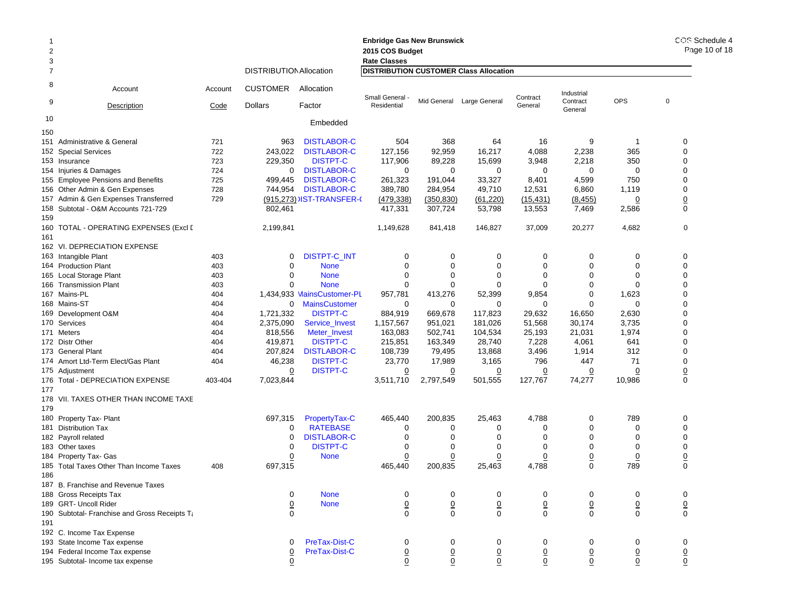| 2                   |                                               |         |                                |                            | <b>Enbridge Gas New Brunswick</b><br>2015 COS Budget                 |                 |                           |                 |                        |                 |                |
|---------------------|-----------------------------------------------|---------|--------------------------------|----------------------------|----------------------------------------------------------------------|-----------------|---------------------------|-----------------|------------------------|-----------------|----------------|
| 3<br>$\overline{7}$ |                                               |         | <b>DISTRIBUTION Allocation</b> |                            | <b>Rate Classes</b><br><b>DISTRIBUTION CUSTOMER Class Allocation</b> |                 |                           |                 |                        |                 |                |
|                     |                                               |         |                                |                            |                                                                      |                 |                           |                 |                        |                 |                |
| 8                   | Account                                       | Account | <b>CUSTOMER</b>                | Allocation                 | Small General                                                        |                 |                           | Contract        | Industrial<br>Contract | <b>OPS</b>      | $\mathbf 0$    |
| 9                   | Description                                   | Code    | <b>Dollars</b>                 | Factor                     | Residential                                                          |                 | Mid General Large General | General         | General                |                 |                |
| 10<br>150           |                                               |         |                                | Embedded                   |                                                                      |                 |                           |                 |                        |                 |                |
|                     | 151 Administrative & General                  | 721     | 963                            | <b>DISTLABOR-C</b>         | 504                                                                  | 368             | 64                        | 16              | 9                      | -1              | 0              |
|                     | 152 Special Services                          | 722     | 243,022                        | <b>DISTLABOR-C</b>         | 127,156                                                              | 92,959          | 16,217                    | 4,088           | 2,238                  | 365             | 0              |
|                     | 153 Insurance                                 | 723     | 229,350                        | <b>DISTPT-C</b>            | 117,906                                                              | 89,228          | 15,699                    | 3,948           | 2,218                  | 350             | 0              |
|                     | 154 Injuries & Damages                        | 724     | 0                              | <b>DISTLABOR-C</b>         | 0                                                                    | 0               | 0                         | 0               | 0                      | 0               | 0              |
|                     | 155 Employee Pensions and Benefits            | 725     | 499,445                        | <b>DISTLABOR-C</b>         | 261,323                                                              | 191,044         | 33,327                    | 8,401           | 4,599                  | 750             | 0              |
|                     | 156 Other Admin & Gen Expenses                | 728     | 744,954                        | <b>DISTLABOR-C</b>         | 389,780                                                              | 284,954         | 49,710                    | 12,531          | 6,860                  | 1,119           | 0              |
|                     | 157 Admin & Gen Expenses Transferred          | 729     |                                | (915,273) IST-TRANSFER-0   | (479, 338)                                                           | (350, 830)      | (61, 220)                 | (15, 431)       | (8, 455)               | <u>0</u>        | <u>0</u>       |
|                     | 158 Subtotal - O&M Accounts 721-729           |         | 802,461                        |                            | 417,331                                                              | 307,724         | 53,798                    | 13,553          | 7,469                  | 2,586           | 0              |
| 159                 |                                               |         |                                |                            |                                                                      |                 |                           |                 |                        |                 |                |
|                     |                                               |         |                                |                            |                                                                      |                 |                           |                 |                        |                 | 0              |
|                     | 160 TOTAL - OPERATING EXPENSES (Excl [        |         | 2,199,841                      |                            | 1,149,628                                                            | 841,418         | 146,827                   | 37,009          | 20,277                 | 4,682           |                |
| 161                 |                                               |         |                                |                            |                                                                      |                 |                           |                 |                        |                 |                |
|                     | 162 VI. DEPRECIATION EXPENSE                  |         |                                |                            |                                                                      |                 |                           |                 |                        |                 |                |
|                     | 163 Intangible Plant                          | 403     | 0                              | <b>DISTPT-C INT</b>        | 0                                                                    | 0               | 0                         | 0               | 0                      | 0               | 0              |
|                     | 164 Production Plant                          | 403     | 0                              | <b>None</b>                | $\mathbf 0$                                                          | 0               | $\mathbf 0$               | 0               | 0                      | 0               | 0              |
|                     | 165 Local Storage Plant                       | 403     | $\mathbf 0$                    | <b>None</b>                | $\mathbf 0$                                                          | $\mathbf 0$     | 0                         | $\mathbf 0$     | 0                      | $\mathbf 0$     | $\Omega$       |
|                     | 166 Transmission Plant                        | 403     | $\Omega$                       | <b>None</b>                | $\mathbf 0$                                                          | $\mathbf 0$     | $\mathbf 0$               | $\Omega$        | $\Omega$               | 0               | 0              |
|                     | 167 Mains-PL                                  | 404     |                                | 1,434,933 MainsCustomer-PL | 957,781                                                              | 413,276         | 52,399                    | 9,854           | 0                      | 1,623           | 0              |
|                     | 168 Mains-ST                                  | 404     | 0                              | <b>MainsCustomer</b>       | 0                                                                    | 0               | $\mathbf 0$               | $\mathbf 0$     | $\Omega$               | $\mathbf 0$     | 0              |
|                     | 169 Development O&M                           | 404     | 1,721,332                      | <b>DISTPT-C</b>            | 884,919                                                              | 669,678         | 117,823                   | 29,632          | 16,650                 | 2,630           | 0              |
|                     | 170 Services                                  | 404     | 2,375,090                      | Service_Invest             | 1,157,567                                                            | 951,021         | 181,026                   | 51,568          | 30,174                 | 3,735           | 0              |
|                     | 171 Meters                                    | 404     | 818,556                        | Meter_Invest               | 163,083                                                              | 502,741         | 104,534                   | 25,193          | 21,031                 | 1,974           | $\Omega$       |
|                     | 172 Distr Other                               | 404     | 419,871                        | <b>DISTPT-C</b>            | 215,851                                                              | 163,349         | 28,740                    | 7,228           | 4,061                  | 641             | 0              |
|                     | 173 General Plant                             | 404     | 207,824                        | <b>DISTLABOR-C</b>         | 108,739                                                              | 79,495          | 13,868                    | 3,496           | 1,914                  | 312             | 0              |
|                     | 174 Amort Ltd-Term Elect/Gas Plant            | 404     | 46,238                         | <b>DISTPT-C</b>            | 23,770                                                               | 17,989          | 3,165                     | 796             | 447                    | 71              | 0              |
|                     | 175 Adjustment                                |         | 0                              | <b>DISTPT-C</b>            | $\overline{0}$                                                       | 0               | $\overline{0}$            | $\overline{0}$  | 0                      | $\overline{0}$  | $\overline{0}$ |
|                     | 176 Total - DEPRECIATION EXPENSE              | 403-404 | 7,023,844                      |                            | 3,511,710                                                            | 2,797,549       | 501,555                   | 127,767         | 74,277                 | 10,986          | 0              |
| 177                 |                                               |         |                                |                            |                                                                      |                 |                           |                 |                        |                 |                |
|                     | 178 VII. TAXES OTHER THAN INCOME TAXE         |         |                                |                            |                                                                      |                 |                           |                 |                        |                 |                |
| 179                 |                                               |         |                                |                            |                                                                      |                 |                           |                 |                        |                 |                |
|                     | 180 Property Tax- Plant                       |         | 697,315                        | PropertyTax-C              | 465,440                                                              | 200,835         | 25,463                    | 4,788           | 0                      | 789             | 0              |
|                     | 181 Distribution Tax                          |         | 0                              | <b>RATEBASE</b>            | 0                                                                    | 0               | 0                         | 0               | 0                      | 0               | 0              |
|                     | 182 Payroll related                           |         | 0                              | <b>DISTLABOR-C</b>         | $\mathbf 0$                                                          | 0               | $\mathbf 0$               | $\Omega$        | $\Omega$               | 0               | 0              |
|                     | 183 Other taxes                               |         | 0                              | <b>DISTPT-C</b>            | 0                                                                    | 0               | 0                         | $\mathbf 0$     | 0                      | 0               | 0              |
|                     | 184 Property Tax- Gas                         |         | 0                              | <b>None</b>                | $\overline{0}$                                                       | 0               | $\overline{0}$            | $\overline{0}$  | $\overline{0}$         | $\overline{0}$  | <u>0</u>       |
|                     | 185 Total Taxes Other Than Income Taxes       | 408     | 697,315                        |                            | 465,440                                                              | 200,835         | 25,463                    | 4,788           | $\Omega$               | 789             | 0              |
| 186                 |                                               |         |                                |                            |                                                                      |                 |                           |                 |                        |                 |                |
|                     | 187 B. Franchise and Revenue Taxes            |         |                                |                            |                                                                      |                 |                           |                 |                        |                 |                |
|                     | 188 Gross Receipts Tax                        |         | 0                              | <b>None</b>                | 0                                                                    | 0               | 0                         | 0               | 0                      | 0               | 0              |
|                     | 189 GRT- Uncoll Rider                         |         | $\overline{0}$                 | <b>None</b>                | $\underline{0}$                                                      | $\underline{0}$ | $\overline{0}$            | $\underline{0}$ | $\underline{0}$        | $\underline{0}$ | $\overline{0}$ |
|                     | 190 Subtotal- Franchise and Gross Receipts Ta |         | $\mathbf 0$                    |                            | $\mathbf 0$                                                          | $\mathbf 0$     | $\mathbf 0$               | $\mathbf 0$     | $\Omega$               | $\mathbf 0$     | 0              |
| 191                 |                                               |         |                                |                            |                                                                      |                 |                           |                 |                        |                 |                |
|                     | 192 C. Income Tax Expense                     |         |                                |                            |                                                                      |                 |                           |                 |                        |                 |                |
|                     | 193 State Income Tax expense                  |         | 0                              | PreTax-Dist-C              | 0                                                                    | 0               | 0                         | 0               | 0                      | 0               | 0              |
|                     | 194 Federal Income Tax expense                |         | 0                              | PreTax-Dist-C              | $\overline{0}$                                                       | $\underline{0}$ | $\underline{0}$           | $\underline{0}$ | $\overline{0}$         | $\overline{0}$  | <u>0</u>       |
|                     |                                               |         |                                |                            |                                                                      |                 |                           |                 |                        |                 |                |

195 Subtotal- Income tax expense 0 0 0 0 0 0 0 0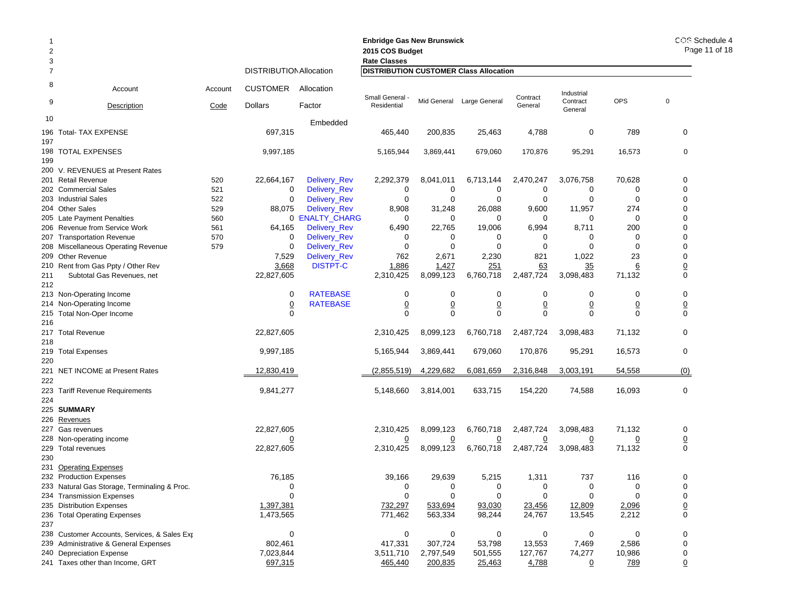| $\overline{2}$<br>3 |                                              |         |                                |                     | <b>Enbridge Gas New Brunswick</b><br>2015 COS Budget<br><b>Rate Classes</b> | COS Schedule 4<br>Page 11 of 18 |                           |                |                     |                |                  |
|---------------------|----------------------------------------------|---------|--------------------------------|---------------------|-----------------------------------------------------------------------------|---------------------------------|---------------------------|----------------|---------------------|----------------|------------------|
| 7                   |                                              |         | <b>DISTRIBUTION Allocation</b> |                     | <b>DISTRIBUTION CUSTOMER Class Allocation</b>                               |                                 |                           |                |                     |                |                  |
| 8                   | Account                                      | Account | <b>CUSTOMER</b>                | Allocation          | Small General -                                                             |                                 |                           | Contract       | Industrial          |                |                  |
| 9                   | Description                                  | Code    | <b>Dollars</b>                 | Factor              | Residential                                                                 |                                 | Mid General Large General | General        | Contract<br>General | <b>OPS</b>     | $\pmb{0}$        |
| 10                  |                                              |         |                                | Embedded            |                                                                             |                                 |                           |                |                     |                |                  |
| 197                 | 196 Total- TAX EXPENSE                       |         | 697,315                        |                     | 465,440                                                                     | 200,835                         | 25,463                    | 4,788          | 0                   | 789            | 0                |
| 199                 | 198 TOTAL EXPENSES                           |         | 9,997,185                      |                     | 5,165,944                                                                   | 3,869,441                       | 679,060                   | 170,876        | 95,291              | 16,573         | $\mathbf 0$      |
|                     | 200 V. REVENUES at Present Rates             |         |                                |                     |                                                                             |                                 |                           |                |                     |                |                  |
|                     | 201 Retail Revenue                           | 520     | 22,664,167                     | Delivery_Rev        | 2,292,379                                                                   | 8,041,011                       | 6,713,144                 | 2,470,247      | 3,076,758           | 70,628         | 0                |
|                     | 202 Commercial Sales                         | 521     | 0                              | Delivery_Rev        | 0                                                                           | 0                               | 0                         | 0              | 0                   | 0              | 0                |
|                     | 203 Industrial Sales                         | 522     | $\mathbf 0$                    | Delivery_Rev        | $\mathbf 0$                                                                 | 0                               | 0                         | $\mathbf 0$    | $\mathbf 0$         | 0              | 0                |
|                     | 204 Other Sales                              | 529     | 88,075                         | <b>Delivery_Rev</b> | 8,908                                                                       | 31,248                          | 26,088                    | 9,600          | 11,957              | 274            | 0                |
|                     | 205 Late Payment Penalties                   | 560     |                                | 0 'ENALTY_CHARG     | 0                                                                           | 0                               | 0                         | 0              | 0                   | 0              | 0                |
|                     | 206 Revenue from Service Work                | 561     | 64,165                         | Delivery_Rev        | 6,490                                                                       | 22,765                          | 19,006                    | 6,994          | 8,711               | 200            | 0                |
|                     | 207 Transportation Revenue                   | 570     | 0                              | Delivery_Rev        | 0                                                                           | 0                               | 0                         | 0              | 0                   | 0              | 0                |
|                     | 208 Miscellaneous Operating Revenue          | 579     | 0                              | Delivery_Rev        | 0                                                                           | 0                               | $\mathbf 0$               | $\mathbf 0$    | $\mathbf 0$         | $\mathbf 0$    | 0                |
|                     | 209 Other Revenue                            |         | 7,529                          | Delivery_Rev        | 762                                                                         | 2,671                           | 2,230                     | 821            | 1,022               | 23             | 0                |
|                     | 210 Rent from Gas Ppty / Other Rev           |         | 3,668                          | <b>DISTPT-C</b>     | 1,886                                                                       | 1,427                           | 251                       | 63             | 35                  | <u>6</u>       | $\overline{0}$   |
| 211                 | Subtotal Gas Revenues, net                   |         | 22,827,605                     |                     | 2,310,425                                                                   | 8,099,123                       | 6,760,718                 | 2,487,724      | 3,098,483           | 71,132         | 0                |
| 212                 |                                              |         |                                |                     |                                                                             |                                 |                           |                |                     |                |                  |
|                     | 213 Non-Operating Income                     |         | 0                              | <b>RATEBASE</b>     | 0                                                                           | 0                               | 0                         | 0              | 0                   | 0              | 0                |
|                     | 214 Non-Operating Income                     |         | $\overline{0}$                 | <b>RATEBASE</b>     | $\overline{0}$                                                              | $\overline{0}$                  | $\underline{0}$           | $\overline{0}$ | $\overline{0}$      | $\overline{0}$ | $\overline{0}$   |
| 216                 | 215 Total Non-Oper Income                    |         | $\mathbf 0$                    |                     | $\mathbf 0$                                                                 | $\mathbf 0$                     | $\mathbf 0$               | $\mathbf 0$    | $\mathbf 0$         | $\Omega$       | 0                |
|                     | 217 Total Revenue                            |         | 22,827,605                     |                     | 2,310,425                                                                   | 8,099,123                       | 6,760,718                 | 2,487,724      | 3,098,483           | 71,132         | 0                |
| 218                 | 219 Total Expenses                           |         | 9,997,185                      |                     | 5,165,944                                                                   | 3,869,441                       | 679,060                   | 170,876        | 95,291              | 16,573         | 0                |
| 220                 |                                              |         |                                |                     |                                                                             |                                 |                           |                |                     |                |                  |
| 222                 | 221 NET INCOME at Present Rates              |         | 12,830,419                     |                     | (2,855,519)                                                                 | 4,229,682                       | 6,081,659                 | 2,316,848      | 3,003,191           | 54,558         | (0)              |
|                     | 223 Tariff Revenue Requirements              |         | 9,841,277                      |                     | 5,148,660                                                                   | 3,814,001                       | 633,715                   | 154,220        | 74,588              | 16,093         | 0                |
| 224                 |                                              |         |                                |                     |                                                                             |                                 |                           |                |                     |                |                  |
|                     | 225 SUMMARY                                  |         |                                |                     |                                                                             |                                 |                           |                |                     |                |                  |
|                     | 226 Revenues                                 |         |                                |                     |                                                                             |                                 |                           |                |                     |                |                  |
|                     | 227 Gas revenues                             |         | 22,827,605                     |                     | 2,310,425                                                                   | 8,099,123                       | 6,760,718                 | 2,487,724      | 3,098,483           | 71,132         | 0                |
|                     | 228 Non-operating income                     |         | $\overline{0}$                 |                     | $\overline{0}$                                                              | $\overline{0}$                  | $\overline{0}$            | $\overline{0}$ | $\overline{0}$      | $\overline{0}$ | $\overline{0}$   |
| 230                 | 229 Total revenues                           |         | 22,827,605                     |                     | 2,310,425                                                                   | 8,099,123                       | 6,760,718                 | 2,487,724      | 3,098,483           | 71,132         | $\boldsymbol{0}$ |
|                     | 231 Operating Expenses                       |         |                                |                     |                                                                             |                                 |                           |                |                     |                |                  |
|                     | 232 Production Expenses                      |         | 76,185                         |                     | 39.166                                                                      | 29,639                          | 5,215                     | 1,311          | 737                 | 116            | 0                |
|                     | 233 Natural Gas Storage, Terminaling & Proc. |         | $\mathbf 0$                    |                     | 0                                                                           | 0                               | 0                         | 0              | 0                   | 0              | 0                |
|                     | 234 Transmission Expenses                    |         | $\mathbf 0$                    |                     | 0                                                                           | 0                               | 0                         | $\mathbf 0$    | 0                   | $\Omega$       | 0                |
|                     | 235 Distribution Expenses                    |         | 1,397,381                      |                     | 732,297                                                                     | 533,694                         | 93,030                    | 23,456         | 12,809              | 2,096          | $\overline{0}$   |
|                     | 236 Total Operating Expenses                 |         | 1,473,565                      |                     | 771,462                                                                     | 563,334                         | 98,244                    | 24,767         | 13,545              | 2,212          | 0                |
| 237                 |                                              |         |                                |                     |                                                                             |                                 |                           |                |                     |                |                  |
|                     | 238 Customer Accounts, Services, & Sales Exp |         | $\mathbf 0$                    |                     | 0                                                                           | 0                               | 0                         | 0              | 0                   | 0              | 0                |
|                     | 239 Administrative & General Expenses        |         | 802,461                        |                     | 417,331                                                                     | 307,724                         | 53,798                    | 13,553         | 7,469               | 2,586          | 0                |
|                     | 240 Depreciation Expense                     |         | 7,023,844                      |                     | 3,511,710                                                                   | 2,797,549                       | 501,555                   | 127,767        | 74,277              | 10,986         | 0                |
|                     | 241 Taxes other than Income, GRT             |         | 697,315                        |                     | 465,440                                                                     | 200,835                         | 25,463                    | 4,788          | 0                   | 789            | 0                |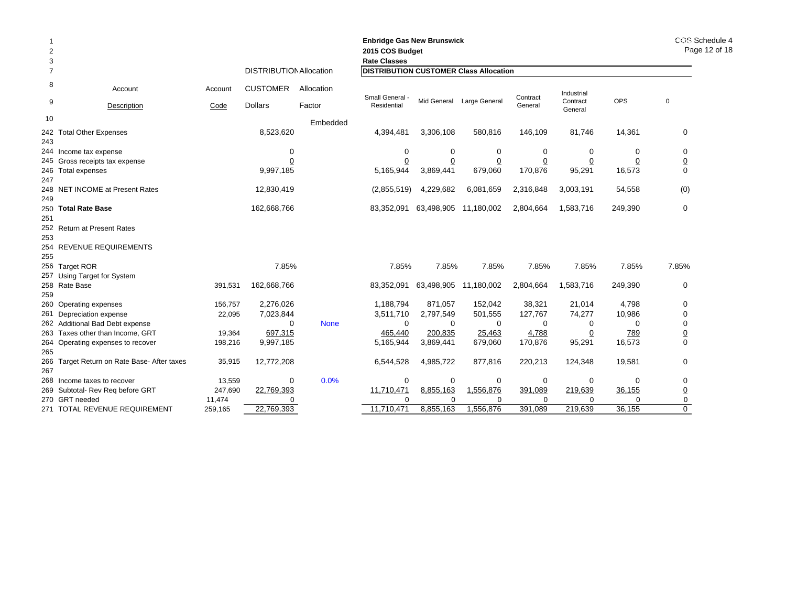| 2<br>3 |                                             |         |                                |             | <b>Enbridge Gas New Brunswick</b><br>2015 COS Budget<br><b>Rate Classes</b> |                | COS Schedule 4<br>Page 12 of 18 |                |                     |            |                |
|--------|---------------------------------------------|---------|--------------------------------|-------------|-----------------------------------------------------------------------------|----------------|---------------------------------|----------------|---------------------|------------|----------------|
| 7      |                                             |         | <b>DISTRIBUTION Allocation</b> |             | <b>DISTRIBUTION CUSTOMER Class Allocation</b>                               |                |                                 |                |                     |            |                |
| 8      | Account                                     | Account | <b>CUSTOMER</b>                | Allocation  | Small General -                                                             |                |                                 | Contract       | Industrial          |            |                |
| 9      | Description                                 | Code    | <b>Dollars</b>                 | Factor      | Residential                                                                 |                | Mid General Large General       | General        | Contract<br>General | <b>OPS</b> | $\mathbf 0$    |
| 10     |                                             |         |                                | Embedded    |                                                                             |                |                                 |                |                     |            |                |
|        | 242 Total Other Expenses                    |         | 8,523,620                      |             | 4,394,481                                                                   | 3,306,108      | 580,816                         | 146,109        | 81,746              | 14,361     | 0              |
| 243    |                                             |         |                                |             |                                                                             |                |                                 |                |                     |            |                |
|        | 244 Income tax expense                      |         | 0                              |             | $\mathbf 0$                                                                 | 0              | 0                               | 0              | 0                   | $\Omega$   | 0              |
|        | 245 Gross receipts tax expense              |         | 0                              |             | 0                                                                           | $\overline{0}$ | $\overline{0}$                  | $\overline{0}$ | 0                   | 0          | $\overline{0}$ |
| 247    | 246 Total expenses                          |         | 9,997,185                      |             | 5,165,944                                                                   | 3,869,441      | 679,060                         | 170,876        | 95,291              | 16,573     | 0              |
| 249    | 248 NET INCOME at Present Rates             |         | 12,830,419                     |             | (2,855,519)                                                                 | 4,229,682      | 6,081,659                       | 2,316,848      | 3,003,191           | 54,558     | (0)            |
|        | 250 Total Rate Base                         |         | 162,668,766                    |             | 83,352,091                                                                  | 63,498,905     | 11,180,002                      | 2,804,664      | 1,583,716           | 249,390    | 0              |
| 251    | 252 Return at Present Rates                 |         |                                |             |                                                                             |                |                                 |                |                     |            |                |
| 253    |                                             |         |                                |             |                                                                             |                |                                 |                |                     |            |                |
|        | 254 REVENUE REQUIREMENTS                    |         |                                |             |                                                                             |                |                                 |                |                     |            |                |
| 255    |                                             |         |                                |             |                                                                             |                |                                 |                |                     |            |                |
|        | 256 Target ROR                              |         | 7.85%                          |             | 7.85%                                                                       | 7.85%          | 7.85%                           | 7.85%          | 7.85%               | 7.85%      | 7.85%          |
|        | 257 Using Target for System                 |         |                                |             |                                                                             |                |                                 |                |                     |            |                |
|        | 258 Rate Base                               | 391,531 | 162,668,766                    |             | 83,352,091                                                                  |                | 63,498,905 11,180,002           | 2,804,664      | 1,583,716           | 249,390    | 0              |
| 259    |                                             |         |                                |             |                                                                             |                |                                 |                |                     |            |                |
|        | 260 Operating expenses                      | 156,757 | 2,276,026                      |             | 1,188,794                                                                   | 871,057        | 152,042                         | 38,321         | 21,014              | 4,798      | 0              |
|        | 261 Depreciation expense                    | 22,095  | 7,023,844                      |             | 3,511,710                                                                   | 2,797,549      | 501,555                         | 127,767        | 74,277              | 10,986     | 0              |
|        | 262 Additional Bad Debt expense             |         | $\Omega$                       | <b>None</b> | $\mathbf 0$                                                                 | $\mathbf 0$    | 0                               | $\mathbf 0$    | 0                   | 0          | 0              |
|        | 263 Taxes other than Income, GRT            | 19,364  | 697,315                        |             | 465,440                                                                     | 200,835        | 25,463                          | 4,788          | $\overline{0}$      | 789        | $\overline{0}$ |
|        | 264 Operating expenses to recover           | 198,216 | 9,997,185                      |             | 5,165,944                                                                   | 3,869,441      | 679,060                         | 170,876        | 95,291              | 16,573     | 0              |
| 265    |                                             |         |                                |             |                                                                             |                |                                 |                |                     |            |                |
|        | 266 Target Return on Rate Base- After taxes | 35,915  | 12,772,208                     |             | 6,544,528                                                                   | 4,985,722      | 877,816                         | 220,213        | 124,348             | 19,581     | 0              |
| 267    |                                             |         |                                |             |                                                                             |                |                                 |                |                     |            |                |
|        | 268 Income taxes to recover                 | 13,559  | 0                              | 0.0%        | 0                                                                           | 0              | 0                               | 0              | 0                   | 0          | 0              |
|        | 269 Subtotal- Rev Req before GRT            | 247,690 | 22,769,393                     |             | 11,710,471                                                                  | 8,855,163      | 1,556,876                       | 391,089        | 219,639             | 36,155     | $\overline{0}$ |
|        | 270 GRT needed                              | 11,474  | 0                              |             | $\Omega$                                                                    | $\Omega$       | $\Omega$                        | O              | $\Omega$            | $\Omega$   | 0              |
|        | 271 TOTAL REVENUE REQUIREMENT               | 259.165 | 22,769,393                     |             | 11.710.471                                                                  | 8,855,163      | 1.556.876                       | 391.089        | 219.639             | 36.155     | 0              |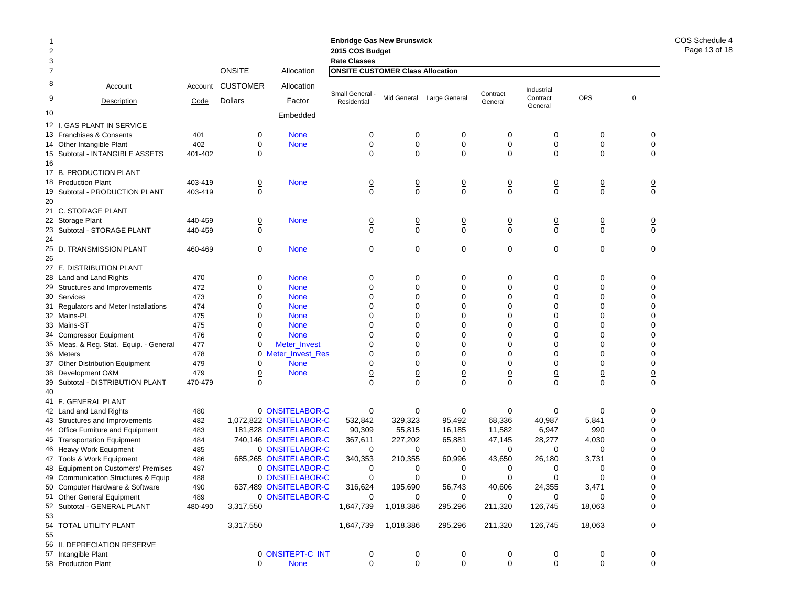| 2<br>3         |                                                                  |            |                               |                                                | <b>Enbridge Gas New Brunswick</b><br>2015 COS Budget<br><b>Rate Classes</b> |                               |                               |                               |                               |                               |                |                               |
|----------------|------------------------------------------------------------------|------------|-------------------------------|------------------------------------------------|-----------------------------------------------------------------------------|-------------------------------|-------------------------------|-------------------------------|-------------------------------|-------------------------------|----------------|-------------------------------|
| $\overline{7}$ |                                                                  |            | <b>ONSITE</b>                 | Allocation                                     | <b>ONSITE CUSTOMER Class Allocation</b>                                     |                               |                               |                               |                               |                               |                |                               |
| 8<br>9         | Account                                                          | Account    | <b>CUSTOMER</b>               | Allocation                                     | Small General -                                                             |                               | Mid General Large General     | Contract                      | Industrial<br>Contract        | <b>OPS</b>                    | $\overline{0}$ |                               |
|                | Description                                                      | Code       | <b>Dollars</b>                | Factor                                         | Residential                                                                 |                               |                               | General                       | General                       |                               |                |                               |
| 10             |                                                                  |            |                               | Embedded                                       |                                                                             |                               |                               |                               |                               |                               |                |                               |
|                | 12 I. GAS PLANT IN SERVICE                                       |            |                               |                                                |                                                                             |                               |                               |                               |                               |                               |                |                               |
|                | 13 Franchises & Consents                                         | 401        | 0                             | <b>None</b>                                    | 0                                                                           | 0                             | 0                             | 0                             | 0                             | 0                             |                | 0                             |
|                | 14 Other Intangible Plant                                        | 402        | 0                             | <b>None</b>                                    | $\mathbf 0$                                                                 | $\mathbf 0$                   | $\pmb{0}$                     | $\boldsymbol{0}$              | 0                             | 0                             |                | $\pmb{0}$                     |
|                | 15 Subtotal - INTANGIBLE ASSETS                                  | 401-402    | 0                             |                                                | $\Omega$                                                                    | $\Omega$                      | $\mathbf 0$                   | $\mathbf 0$                   | 0                             | $\mathbf 0$                   |                | $\mathbf 0$                   |
| 16             |                                                                  |            |                               |                                                |                                                                             |                               |                               |                               |                               |                               |                |                               |
|                | 17 B. PRODUCTION PLANT<br>18 Production Plant                    | 403-419    |                               | <b>None</b>                                    |                                                                             |                               |                               |                               |                               |                               |                |                               |
|                | 19 Subtotal - PRODUCTION PLANT                                   | 403-419    | $\overline{0}$<br>$\mathbf 0$ |                                                | $\overline{0}$<br>$\mathbf 0$                                               | $\overline{0}$<br>$\mathbf 0$ | $\overline{0}$<br>$\mathbf 0$ | $\overline{0}$<br>$\mathbf 0$ | $\overline{0}$<br>$\mathbf 0$ | $\overline{0}$<br>$\mathbf 0$ |                | $\overline{0}$<br>$\mathbf 0$ |
| 20             |                                                                  |            |                               |                                                |                                                                             |                               |                               |                               |                               |                               |                |                               |
|                | 21 C. STORAGE PLANT                                              |            |                               |                                                |                                                                             |                               |                               |                               |                               |                               |                |                               |
|                | 22 Storage Plant                                                 | 440-459    | $\overline{0}$                | <b>None</b>                                    |                                                                             |                               |                               | $\overline{0}$                | $\overline{0}$                | $\overline{0}$                |                |                               |
|                | 23 Subtotal - STORAGE PLANT                                      | 440-459    | 0                             |                                                | $\frac{0}{0}$                                                               | $\frac{0}{0}$                 | $\frac{0}{0}$                 | $\mathbf 0$                   | $\mathbf 0$                   | $\mathbf 0$                   |                | $\frac{0}{0}$                 |
| 24             |                                                                  |            |                               |                                                |                                                                             |                               |                               |                               |                               |                               |                |                               |
| 25             | D. TRANSMISSION PLANT                                            | 460-469    | 0                             | <b>None</b>                                    | $\mathbf 0$                                                                 | 0                             | $\mathbf 0$                   | 0                             | $\mathbf 0$                   | 0                             |                | 0                             |
| 26             |                                                                  |            |                               |                                                |                                                                             |                               |                               |                               |                               |                               |                |                               |
|                | 27 E. DISTRIBUTION PLANT                                         |            |                               |                                                |                                                                             |                               |                               |                               |                               |                               |                |                               |
|                | 28 Land and Land Rights                                          | 470        | 0                             | <b>None</b>                                    | 0                                                                           | 0                             | 0                             | 0                             | 0                             | 0                             |                | 0                             |
|                | 29 Structures and Improvements                                   | 472        | 0                             | <b>None</b>                                    | $\mathbf 0$                                                                 | $\mathbf 0$                   | $\mathbf 0$                   | 0                             | $\mathbf 0$                   | $\mathbf 0$                   |                | $\mathbf 0$                   |
|                | 30 Services                                                      | 473        | 0                             | <b>None</b>                                    | $\mathbf 0$                                                                 | $\mathbf 0$                   | $\mathbf 0$                   | 0                             | 0                             | 0                             |                | 0                             |
|                | 31 Regulators and Meter Installations                            | 474        | 0                             | <b>None</b>                                    | $\mathbf 0$                                                                 | $\mathbf 0$                   | $\mathbf 0$                   | $\mathbf 0$                   | $\mathbf 0$                   | $\mathbf 0$                   |                | 0                             |
|                | 32 Mains-PL                                                      | 475        | 0                             | <b>None</b>                                    | $\mathbf 0$                                                                 | $\mathbf 0$                   | $\mathbf 0$                   | 0                             | 0                             | $\mathbf 0$                   |                | $\mathbf 0$                   |
|                | 33 Mains-ST                                                      | 475        | 0                             | <b>None</b>                                    | $\mathbf 0$                                                                 | $\mathbf 0$                   | $\mathbf 0$                   | 0                             | $\mathbf 0$                   | $\mathbf 0$                   |                | 0                             |
|                | 34 Compressor Equipment                                          | 476        | 0                             | <b>None</b>                                    | $\mathbf 0$                                                                 | $\mathbf 0$                   | $\mathbf 0$                   | 0                             | $\mathbf 0$                   | $\mathbf 0$                   |                | $\mathbf 0$                   |
|                | 35 Meas. & Reg. Stat. Equip. - General                           | 477        | 0                             | Meter_Invest                                   | $\mathbf 0$                                                                 | $\mathbf 0$                   | $\mathbf 0$                   | 0                             | $\mathbf 0$                   | $\mathbf 0$                   |                | 0                             |
|                | 36 Meters                                                        | 478        |                               | 0 Meter_Invest_Res                             | $\mathbf 0$                                                                 | $\mathbf 0$                   | $\mathbf 0$                   | $\mathbf 0$                   | 0                             | $\mathbf 0$                   |                | 0                             |
|                | 37 Other Distribution Equipment                                  | 479        | 0                             | <b>None</b>                                    | $\mathbf 0$                                                                 | $\mathbf 0$                   | $\mathbf 0$                   | 0                             | 0                             | $\mathbf 0$                   |                | 0                             |
|                | 38 Development O&M                                               | 479        | <u>0</u>                      | <b>None</b>                                    | $\overline{0}$                                                              | $\underline{0}$               | $\overline{0}$                | $\overline{0}$                | $\overline{0}$                | $\overline{0}$                |                | $\underline{0}$               |
| 39             | Subtotal - DISTRIBUTION PLANT                                    | 470-479    | 0                             |                                                | $\mathbf 0$                                                                 | $\mathbf 0$                   | $\mathbf 0$                   | 0                             | $\mathbf 0$                   | $\mathbf 0$                   |                | $\mathbf 0$                   |
| 40             |                                                                  |            |                               |                                                |                                                                             |                               |                               |                               |                               |                               |                |                               |
|                | 41 F. GENERAL PLANT                                              |            |                               |                                                |                                                                             |                               |                               |                               |                               |                               |                |                               |
|                | 42 Land and Land Rights                                          | 480        |                               | 0 ONSITELABOR-C                                | 0                                                                           | 0                             | 0                             | 0                             | 0                             | 0                             |                | 0                             |
|                | 43 Structures and Improvements                                   | 482        |                               | 1,072,822 ONSITELABOR-C                        | 532,842<br>90,309                                                           | 329,323<br>55,815             | 95,492                        | 68,336<br>11,582              | 40,987<br>6,947               | 5,841<br>990                  |                | 0<br>0                        |
|                | 44 Office Furniture and Equipment<br>45 Transportation Equipment | 483<br>484 |                               | 181,828 ONSITELABOR-C<br>740,146 ONSITELABOR-C | 367,611                                                                     | 227,202                       | 16,185<br>65,881              | 47,145                        | 28,277                        | 4,030                         |                | 0                             |
|                | 46 Heavy Work Equipment                                          | 485        |                               | 0 ONSITELABOR-C                                | $\mathbf 0$                                                                 | $\mathbf 0$                   | 0                             | 0                             | $\mathbf 0$                   | 0                             |                | 0                             |
|                | 47 Tools & Work Equipment                                        | 486        |                               | 685,265 ONSITELABOR-C                          | 340,353                                                                     | 210,355                       | 60,996                        | 43,650                        | 26,180                        | 3,731                         |                | 0                             |
| 48             | <b>Equipment on Customers' Premises</b>                          | 487        |                               | 0 ONSITELABOR-C                                | 0                                                                           | 0                             | 0                             | 0                             | 0                             | 0                             |                | 0                             |
|                | 49 Communication Structures & Equip                              | 488        |                               | 0 ONSITELABOR-C                                | $\mathbf 0$                                                                 | 0                             | $\mathbf 0$                   | 0                             | $\mathbf 0$                   | $\mathbf 0$                   |                | $\mathbf 0$                   |
|                | 50 Computer Hardware & Software                                  | 490        |                               | 637,489 ONSITELABOR-C                          | 316,624                                                                     | 195,690                       | 56,743                        | 40,606                        | 24,355                        | 3,471                         |                | 0                             |
|                | 51 Other General Equipment                                       | 489        |                               | 0 ONSITELABOR-C                                | $\overline{0}$                                                              | $\overline{0}$                | $\overline{0}$                | $\overline{0}$                | $\overline{0}$                | $\overline{0}$                |                | $\underline{0}$               |
|                | 52 Subtotal - GENERAL PLANT                                      | 480-490    | 3,317,550                     |                                                | 1,647,739                                                                   | 1,018,386                     | 295,296                       | 211,320                       | 126,745                       | 18,063                        |                | $\mathbf{0}$                  |
| 53             |                                                                  |            |                               |                                                |                                                                             |                               |                               |                               |                               |                               |                |                               |
|                | 54 TOTAL UTILITY PLANT                                           |            | 3,317,550                     |                                                | 1,647,739                                                                   | 1,018,386                     | 295,296                       | 211,320                       | 126,745                       | 18,063                        |                | 0                             |
| 55             |                                                                  |            |                               |                                                |                                                                             |                               |                               |                               |                               |                               |                |                               |
|                | 56 II. DEPRECIATION RESERVE                                      |            |                               |                                                |                                                                             |                               |                               |                               |                               |                               |                |                               |
|                | 57 Intangible Plant                                              |            |                               | 0 ONSITEPT-C_INT                               | 0                                                                           | 0                             | 0                             | 0                             | 0                             | 0                             |                | 0                             |
|                | 58 Production Plant                                              |            | 0                             | <b>None</b>                                    | $\mathbf{0}$                                                                | $\mathbf 0$                   | $\mathbf 0$                   | $\mathbf 0$                   | $\mathbf 0$                   | $\mathbf 0$                   |                | 0                             |

COS Schedule 4 Page 13 of 18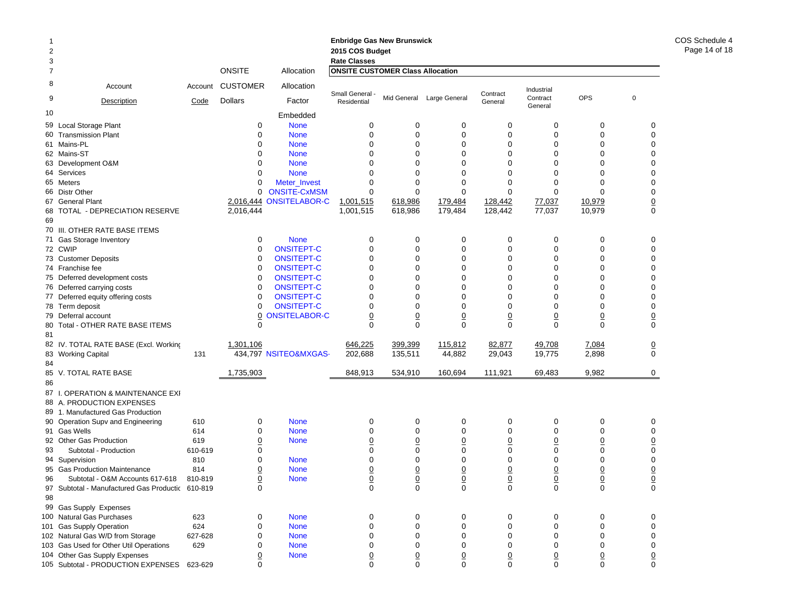# **Enbridge Gas New Brunswick Enbridge Gas N 2015 COS Budget<br>Rate Classes Rate Classes Rate Classes**

1

| 3              |                                                   |            | <b>ONSITE</b>   |                            | <b>Rate Classes</b><br><b>ONSITE CUSTOMER Class Allocation</b> |                  |                           |                  |                     |                  |                             |
|----------------|---------------------------------------------------|------------|-----------------|----------------------------|----------------------------------------------------------------|------------------|---------------------------|------------------|---------------------|------------------|-----------------------------|
| $\overline{7}$ |                                                   |            |                 | Allocation                 |                                                                |                  |                           |                  |                     |                  |                             |
| 8              | Account                                           | Account    | <b>CUSTOMER</b> | Allocation                 | Small General -                                                |                  |                           | Contract         | Industrial          |                  |                             |
| 9              | Description                                       | Code       | <b>Dollars</b>  | Factor                     | Residential                                                    |                  | Mid General Large General | General          | Contract<br>General | <b>OPS</b>       | $\mathbf 0$                 |
| 10             |                                                   |            |                 | Embedded                   |                                                                |                  |                           |                  |                     |                  |                             |
| 59             | Local Storage Plant                               |            | 0               | <b>None</b>                | 0                                                              | $\mathbf 0$      | 0                         | $\mathbf 0$      | $\mathbf 0$         | $\mathbf 0$      | 0                           |
|                | 60 Transmission Plant                             |            | $\Omega$        | <b>None</b>                | $\Omega$                                                       | $\Omega$         | $\mathbf 0$               | $\Omega$         | $\Omega$            | $\Omega$         | $\Omega$                    |
|                | 61 Mains-PL                                       |            | $\Omega$        | <b>None</b>                | $\mathbf 0$                                                    | 0                | 0                         | $\mathbf 0$      | $\mathbf 0$         | $\mathbf 0$      | $\mathbf 0$                 |
|                | 62 Mains-ST                                       |            | 0               | <b>None</b>                | $\Omega$                                                       | $\Omega$         | $\Omega$                  | $\Omega$         | $\Omega$            | $\Omega$         | $\Omega$                    |
|                | 63 Development O&M                                |            | $\Omega$        | <b>None</b>                | $\Omega$                                                       | $\mathbf{0}$     | $\mathbf{0}$              | $\Omega$         | $\Omega$            | $\Omega$         | $\Omega$                    |
|                | 64 Services                                       |            | $\Omega$        | <b>None</b>                | $\mathbf 0$                                                    | 0                | 0                         | $\Omega$         | $\Omega$            | $\mathbf 0$      | $\mathbf 0$                 |
|                | 65 Meters                                         |            | $\Omega$        | Meter_Invest               | $\mathbf 0$                                                    | $\mathbf 0$      | 0                         | $\Omega$         | $\Omega$            | $\mathbf 0$      | $\mathbf 0$                 |
|                | 66 Distr Other                                    |            | $\Omega$        | <b>ONSITE-CxMSM</b>        | 0                                                              | $\mathbf{0}$     | $\Omega$                  | $\Omega$         | $\Omega$            | $\Omega$         | $\mathbf 0$                 |
|                | 67 General Plant                                  |            |                 | 2,016,444 ONSITELABOR-C    | 1,001,515                                                      | 618,986          | 179,484                   | 128,442          | 77,037              | 10,979           | $\underline{0}$<br>$\Omega$ |
| 68<br>69       | TOTAL - DEPRECIATION RESERVE                      |            | 2,016,444       |                            | 1,001,515                                                      | 618,986          | 179,484                   | 128,442          | 77,037              | 10,979           |                             |
|                | 70 III. OTHER RATE BASE ITEMS                     |            |                 |                            |                                                                |                  |                           |                  |                     |                  |                             |
|                | 71 Gas Storage Inventory                          |            | $\mathbf 0$     | <b>None</b>                | $\mathbf 0$                                                    | 0                | 0                         | $\mathbf 0$      | $\mathbf 0$         | $\mathbf 0$      | $\mathbf 0$                 |
|                | 72 CWIP                                           |            | $\Omega$        | <b>ONSITEPT-C</b>          | $\mathbf 0$                                                    | $\mathbf 0$      | 0                         | $\mathbf 0$      | $\Omega$            | $\mathbf 0$      | $\mathbf 0$                 |
|                | 73 Customer Deposits                              |            | 0               | <b>ONSITEPT-C</b>          | 0                                                              | 0                | 0                         | $\mathbf 0$      | $\mathbf 0$         | $\mathbf 0$      | $\mathbf 0$                 |
|                | 74 Franchise fee                                  |            | $\Omega$        | <b>ONSITEPT-C</b>          | $\mathbf 0$                                                    | 0                | 0                         | $\Omega$         | $\Omega$            | $\mathbf 0$      | $\mathbf 0$                 |
|                | 75 Deferred development costs                     |            | $\Omega$        | <b>ONSITEPT-C</b>          | $\Omega$                                                       | $\Omega$         | $\Omega$                  | $\Omega$         | $\Omega$            | $\Omega$         | $\Omega$                    |
|                | 76 Deferred carrying costs                        |            | 0               | <b>ONSITEPT-C</b>          | $\mathbf 0$                                                    | $\Omega$         | 0                         | $\Omega$         | $\Omega$            | $\overline{0}$   | $\mathbf 0$                 |
|                | 77 Deferred equity offering costs                 |            | 0               | <b>ONSITEPT-C</b>          | $\mathbf 0$                                                    | 0                | 0                         | $\mathbf 0$      | $\Omega$            | $\mathbf 0$      | $\mathbf 0$                 |
|                | 78 Term deposit                                   |            | $\Omega$        | <b>ONSITEPT-C</b>          | $\mathbf 0$                                                    | 0                | $\Omega$                  | $\Omega$         | $\Omega$            | $\mathbf 0$      | $\mathbf 0$                 |
|                | 79 Deferral account                               |            | 0               | <b>ONSITELABOR-C</b>       | $\overline{0}$                                                 | $\overline{0}$   | $\overline{0}$            | $\overline{0}$   | $\overline{0}$      | $\overline{0}$   | $\overline{0}$              |
|                | 80 Total - OTHER RATE BASE ITEMS                  |            | $\Omega$        |                            | $\Omega$                                                       | $\Omega$         | $\Omega$                  | $\Omega$         | $\Omega$            | $\Omega$         | $\Omega$                    |
| 81             |                                                   |            |                 |                            |                                                                |                  |                           |                  |                     |                  |                             |
|                | 82 IV. TOTAL RATE BASE (Excl. Working             |            | 1,301,106       |                            | 646,225                                                        | 399,399          | 115,812                   | 82,877           | 49,708              | 7,084            | $\overline{0}$              |
|                | 83 Working Capital                                | 131        |                 | 434,797 NSITEO&MXGAS-      | 202,688                                                        | 135,511          | 44,882                    | 29,043           | 19,775              | 2,898            | $\mathbf 0$                 |
| 84             |                                                   |            |                 |                            |                                                                |                  |                           |                  |                     |                  |                             |
|                | 85 V. TOTAL RATE BASE                             |            | 1,735,903       |                            | 848,913                                                        | 534,910          | 160,694                   | 111,921          | 69,483              | 9,982            | $\mathbf 0$                 |
| 86             |                                                   |            |                 |                            |                                                                |                  |                           |                  |                     |                  |                             |
|                | 87 I. OPERATION & MAINTENANCE EXI                 |            |                 |                            |                                                                |                  |                           |                  |                     |                  |                             |
|                | 88 A. PRODUCTION EXPENSES                         |            |                 |                            |                                                                |                  |                           |                  |                     |                  |                             |
|                | 89 1. Manufactured Gas Production                 |            | 0               |                            | $\mathbf 0$                                                    |                  |                           |                  |                     |                  |                             |
|                | 90 Operation Supv and Engineering<br>91 Gas Wells | 610<br>614 | 0               | <b>None</b><br><b>None</b> | 0                                                              | 0<br>$\mathbf 0$ | 0<br>0                    | 0<br>$\mathbf 0$ | 0<br>$\mathbf 0$    | 0<br>$\mathbf 0$ | 0<br>0                      |
|                | 92 Other Gas Production                           | 619        | 0               | <b>None</b>                | $\underline{0}$                                                | $\underline{0}$  | $\overline{0}$            | $\overline{0}$   | $\overline{0}$      | $\underline{0}$  | $\mathbf 0$                 |
| 93             | Subtotal - Production                             | 610-619    | 0               |                            | $\mathbf 0$                                                    | $\mathbf 0$      | $\mathbf 0$               | $\mathbf 0$      | $\mathbf 0$         | $\mathbf 0$      | $\mathbf 0$                 |
|                | 94 Supervision                                    | 810        | $\Omega$        | <b>None</b>                | $\mathbf 0$                                                    | $\mathbf 0$      | $\mathbf 0$               | $\mathbf 0$      | $\mathbf 0$         | $\mathbf 0$      | $\mathbf 0$                 |
|                | 95 Gas Production Maintenance                     | 814        | 0               | <b>None</b>                | $\underline{0}$                                                | $\underline{0}$  | $\overline{0}$            | $\overline{0}$   | $\overline{0}$      | $\underline{0}$  | $\overline{0}$              |
| 96             | Subtotal - O&M Accounts 617-618                   | 810-819    | <u>0</u>        | <b>None</b>                | $\overline{0}$                                                 | $\overline{0}$   | $\overline{0}$            | $\underline{0}$  | $\underline{0}$     | $\underline{0}$  | $\underline{0}$             |
| 97             | Subtotal - Manufactured Gas Productic 610-819     |            | $\Omega$        |                            | $\Omega$                                                       | $\mathbf 0$      | $\mathbf 0$               | $\Omega$         | $\Omega$            | $\mathbf 0$      | $\Omega$                    |
| 98             |                                                   |            |                 |                            |                                                                |                  |                           |                  |                     |                  |                             |
|                | 99 Gas Supply Expenses                            |            |                 |                            |                                                                |                  |                           |                  |                     |                  |                             |
|                | 100 Natural Gas Purchases                         | 623        | 0               | <b>None</b>                | 0                                                              | 0                | 0                         | 0                | $\mathbf 0$         | 0                | 0                           |
|                | 101 Gas Supply Operation                          | 624        | $\Omega$        | <b>None</b>                | $\mathbf 0$                                                    | $\mathbf 0$      | 0                         | $\mathbf 0$      | $\mathbf 0$         | $\mathbf 0$      | $\mathbf 0$                 |
|                | 102 Natural Gas W/D from Storage                  | 627-628    | $\Omega$        | <b>None</b>                | $\mathbf 0$                                                    | $\mathbf{0}$     | 0                         | $\Omega$         | $\Omega$            | $\Omega$         | $\mathbf 0$                 |
|                | 103 Gas Used for Other Util Operations            | 629        | n               | <b>None</b>                | $\mathbf 0$                                                    | 0                | $\Omega$                  | $\Omega$         | $\mathbf 0$         | $\mathbf 0$      | $\mathbf 0$                 |
|                | 104 Other Gas Supply Expenses                     |            | 0               | <b>None</b>                | $\overline{0}$                                                 | $\underline{0}$  | $\overline{0}$            | 0                | $\overline{0}$      | $\underline{0}$  | $\Omega$                    |
|                | 105 Subtotal - PRODUCTION EXPENSES 623-629        |            | n               |                            | $\Omega$                                                       | $\Omega$         | $\Omega$                  | $\Omega$         | $\Omega$            | $\Omega$         | $\Omega$                    |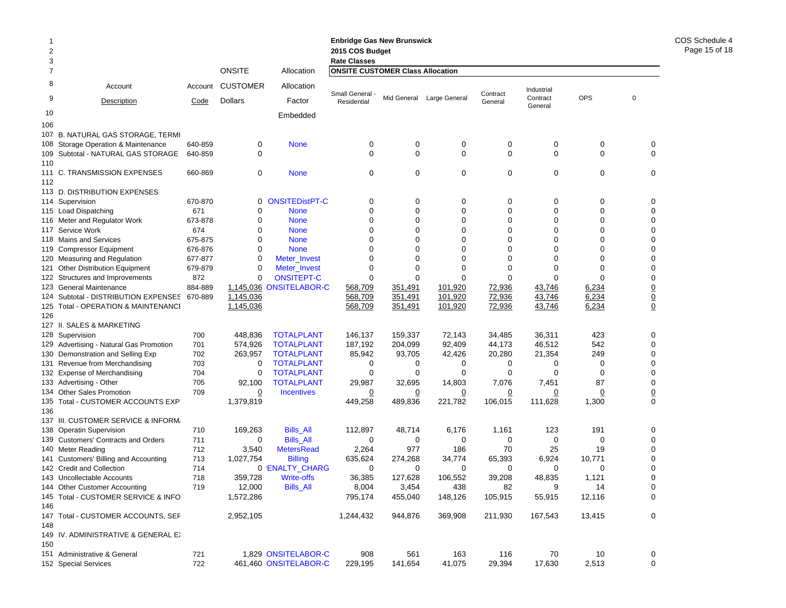| 2<br>3         |                                                                    |                |                  |                                   | <b>Enbridge Gas New Brunswick</b><br>2015 COS Budget<br><b>Rate Classes</b> |               |               |               |                      |                  |             |               |
|----------------|--------------------------------------------------------------------|----------------|------------------|-----------------------------------|-----------------------------------------------------------------------------|---------------|---------------|---------------|----------------------|------------------|-------------|---------------|
| $\overline{7}$ |                                                                    |                | <b>ONSITE</b>    | Allocation                        | <b>ONSITE CUSTOMER Class Allocation</b>                                     |               |               |               |                      |                  |             |               |
| 8              | Account                                                            | Account        | <b>CUSTOMER</b>  | Allocation                        | Small General -                                                             |               |               | Contract      | Industrial           |                  |             |               |
| 9              | Description                                                        | Code           | Dollars          | Factor                            | Residential                                                                 | Mid General   | Large General | General       | Contract<br>General  | <b>OPS</b>       | $\mathbf 0$ |               |
| 10<br>106      |                                                                    |                |                  | Embedded                          |                                                                             |               |               |               |                      |                  |             |               |
| 107            | <b>B. NATURAL GAS STORAGE, TERMI</b>                               |                |                  |                                   |                                                                             |               |               |               |                      |                  |             |               |
| 108            | Storage Operation & Maintenance                                    | 640-859        | 0                | <b>None</b>                       | 0                                                                           | 0             | 0             | 0             | 0                    | 0                |             | 0             |
| 109            | Subtotal - NATURAL GAS STORAGE                                     | 640-859        | 0                |                                   | 0                                                                           | $\mathbf 0$   | 0             | $\mathbf 0$   | 0                    | $\mathbf 0$      |             | $\mathbf 0$   |
| 110            |                                                                    |                |                  |                                   |                                                                             |               |               |               |                      |                  |             |               |
|                | 111 C. TRANSMISSION EXPENSES                                       | 660-869        | 0                | <b>None</b>                       | 0                                                                           | $\mathbf 0$   | 0             | 0             | 0                    | $\mathbf 0$      |             | 0             |
| 112            |                                                                    |                |                  |                                   |                                                                             |               |               |               |                      |                  |             |               |
|                | 113 D. DISTRIBUTION EXPENSES                                       |                |                  |                                   |                                                                             |               |               |               |                      |                  |             |               |
|                | 114 Supervision                                                    | 670-870        | 0                | <b>ONSITEDistPT-C</b>             | 0                                                                           | 0             | 0             | 0             | 0                    | 0                |             | 0             |
|                | 115 Load Dispatching                                               | 671            | $\mathbf 0$      | <b>None</b>                       | $\mathbf 0$                                                                 | $\mathbf 0$   | $\mathbf 0$   | $\mathbf 0$   | $\mathbf 0$          | $\mathbf 0$      |             | $\mathbf 0$   |
|                | 116 Meter and Regulator Work                                       | 673-878        | 0                | <b>None</b>                       | $\mathbf 0$                                                                 | 0             | 0             | 0             | 0                    | 0                |             | 0             |
| 117            | Service Work                                                       | 674            | $\Omega$         | <b>None</b>                       | 0                                                                           | $\Omega$      | 0             | 0             | 0                    | 0                |             | 0             |
| 118            | <b>Mains and Services</b>                                          | 675-875        | 0                | <b>None</b>                       | $\Omega$                                                                    | $\Omega$      | $\Omega$      | 0             | $\Omega$             | 0                |             | 0             |
|                | 119 Compressor Equipment                                           | 676-876        | 0                | <b>None</b>                       | 0                                                                           | $\Omega$      | 0             | 0             | $\Omega$             | 0<br>$\Omega$    |             | 0             |
|                | 120 Measuring and Regulation                                       | 677-877        | $\mathbf 0$      | Meter_Invest                      | $\Omega$                                                                    | $\Omega$      | $\Omega$      | $\Omega$      | $\Omega$<br>$\Omega$ |                  |             | 0             |
| 121<br>122     | <b>Other Distribution Equipment</b><br>Structures and Improvements | 679-879<br>872 | 0<br>$\mathbf 0$ | Meter_Invest<br><b>ONSITEPT-C</b> | 0<br>0                                                                      | 0<br>$\Omega$ | 0<br>$\Omega$ | 0<br>$\Omega$ | $\Omega$             | $\mathbf 0$<br>0 |             | 0<br>0        |
| 123            | <b>General Maintenance</b>                                         | 884-889        | 1,145,036        | <b>ONSITELABOR-C</b>              | 568,709                                                                     | 351,491       | 101,920       | 72,936        | 43,746               | 6,234            |             |               |
| 124            | Subtotal - DISTRIBUTION EXPENSES                                   | 670-889        | 1,145,036        |                                   | 568,709                                                                     | 351,491       | 101,920       | 72,936        | 43,746               | 6,234            |             |               |
| 125            | Total - OPERATION & MAINTENANCI                                    |                | 1,145,036        |                                   | 568,709                                                                     | 351,491       | 101,920       | 72,936        | 43,746               | 6,234            |             | $\frac{0}{0}$ |
| 126            |                                                                    |                |                  |                                   |                                                                             |               |               |               |                      |                  |             |               |
|                | 127 II. SALES & MARKETING                                          |                |                  |                                   |                                                                             |               |               |               |                      |                  |             |               |
|                | 128 Supervision                                                    | 700            | 448,836          | <b>TOTALPLANT</b>                 | 146,137                                                                     | 159,337       | 72,143        | 34,485        | 36,311               | 423              |             | 0             |
| 129            | Advertising - Natural Gas Promotion                                | 701            | 574,926          | <b>TOTALPLANT</b>                 | 187,192                                                                     | 204,099       | 92,409        | 44,173        | 46,512               | 542              |             | 0             |
| 130            | Demonstration and Selling Exp                                      | 702            | 263,957          | <b>TOTALPLANT</b>                 | 85,942                                                                      | 93,705        | 42,426        | 20,280        | 21,354               | 249              |             | 0             |
| 131            | Revenue from Merchandising                                         | 703            | 0                | <b>TOTALPLANT</b>                 | 0                                                                           | 0             | 0             | 0             | 0                    | $\mathbf 0$      |             | 0             |
| 132            | <b>Expense of Merchandising</b>                                    | 704            | $\mathbf 0$      | <b>TOTALPLANT</b>                 | 0                                                                           | 0             | $\Omega$      | $\Omega$      | 0                    | 0                |             | 0             |
|                | 133 Advertising - Other                                            | 705            | 92,100           | <b>TOTALPLANT</b>                 | 29,987                                                                      | 32,695        | 14,803        | 7,076         | 7,451                | 87               |             | $\mathbf 0$   |
| 134            | <b>Other Sales Promotion</b>                                       | 709            | 0                | <b>Incentives</b>                 | 0                                                                           | 0             | 0             | 0             | 0                    | 0                |             | $\frac{0}{0}$ |
| 135            | Total - CUSTOMER ACCOUNTS EXP                                      |                | 1,379,819        |                                   | 449,258                                                                     | 489,836       | 221,782       | 106,015       | 111,628              | 1,300            |             |               |
| 136            |                                                                    |                |                  |                                   |                                                                             |               |               |               |                      |                  |             |               |
| 137            | III. CUSTOMER SERVICE & INFORM.                                    |                |                  |                                   |                                                                             |               |               |               |                      |                  |             |               |
| 138            | <b>Operatin Supervision</b>                                        | 710            | 169,263          | <b>Bills All</b>                  | 112,897                                                                     | 48,714        | 6,176         | 1,161         | 123                  | 191              |             | 0             |
| 139            | <b>Customers' Contracts and Orders</b>                             | 711            | 0                | <b>Bills_All</b>                  | 0                                                                           | 0             | 0             | 0             | 0                    | 0                |             | 0             |
| 140            | Meter Reading                                                      | 712            | 3,540            | <b>MetersRead</b>                 | 2,264                                                                       | 977           | 186           | 70            | 25                   | 19               |             | $\mathbf 0$   |
| 141            | Customers' Billing and Accounting                                  | 713<br>714     | 1,027,754        | <b>Billing</b><br>0 'ENALTY_CHARG | 635,624<br>0                                                                | 274,268<br>0  | 34,774<br>0   | 65,393<br>0   | 6,924<br>0           | 10,771<br>0      |             | 0<br>0        |
|                | 142 Credit and Collection<br>143 Uncollectable Accounts            | 718            | 359.728          | <b>Write-offs</b>                 | 36.385                                                                      | 127,628       | 106,552       | 39,208        | 48.835               | 1,121            |             | 0             |
|                | 144 Other Customer Accounting                                      | 719            | 12,000           | <b>Bills_All</b>                  | 8,004                                                                       | 3,454         | 438           | 82            | 9                    | 14               |             | 0             |
|                | 145 Total - CUSTOMER SERVICE & INFO                                |                | 1,572,286        |                                   | 795,174                                                                     | 455,040       | 148,126       | 105,915       | 55,915               | 12,116           |             | $\mathbf 0$   |
| 146            |                                                                    |                |                  |                                   |                                                                             |               |               |               |                      |                  |             |               |
|                | 147 Total - CUSTOMER ACCOUNTS, SEF                                 |                | 2,952,105        |                                   | 1,244,432                                                                   | 944,876       | 369,908       | 211,930       | 167,543              | 13,415           |             | 0             |
| 148            |                                                                    |                |                  |                                   |                                                                             |               |               |               |                      |                  |             |               |
| 150            | 149 IV. ADMINISTRATIVE & GENERAL EX                                |                |                  |                                   |                                                                             |               |               |               |                      |                  |             |               |
|                | 151 Administrative & General                                       | 721            |                  | 1,829 ONSITELABOR-C               | 908                                                                         | 561           | 163           | 116           | 70                   | 10               |             | 0             |
|                | 152 Special Services                                               | 722            |                  | 461,460 ONSITELABOR-C             | 229,195                                                                     | 141,654       | 41,075        | 29,394        | 17,630               | 2,513            |             | $\mathbf 0$   |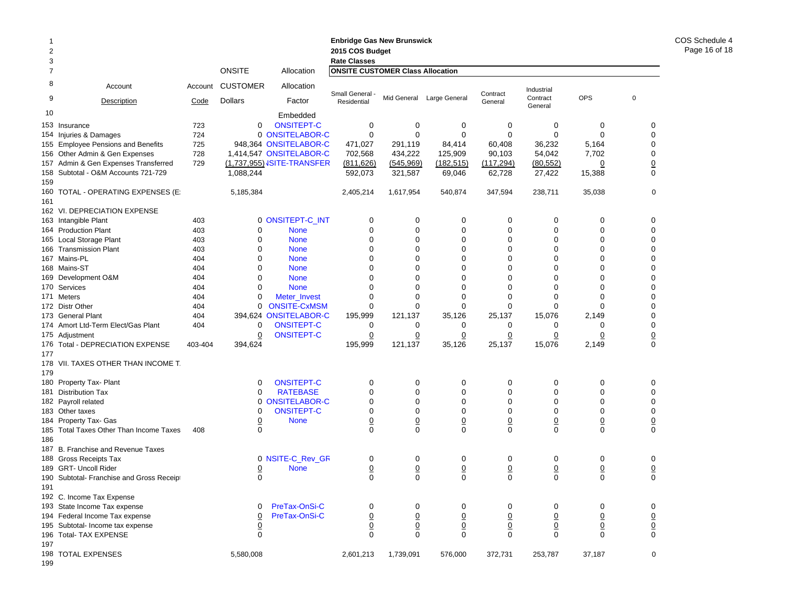|     |                                           |         |                  |                                   | <b>Enbridge Gas New Brunswick</b>       |                |                           |                 |                     |                 |                 |
|-----|-------------------------------------------|---------|------------------|-----------------------------------|-----------------------------------------|----------------|---------------------------|-----------------|---------------------|-----------------|-----------------|
| 2   |                                           |         |                  |                                   | 2015 COS Budget                         |                |                           |                 |                     |                 |                 |
| 3   |                                           |         |                  |                                   | <b>Rate Classes</b>                     |                |                           |                 |                     |                 |                 |
| 7   |                                           |         | <b>ONSITE</b>    | Allocation                        | <b>ONSITE CUSTOMER Class Allocation</b> |                |                           |                 |                     |                 |                 |
| 8   | Account                                   | Account | <b>CUSTOMER</b>  | Allocation                        | Small General                           |                |                           | Contract        | Industrial          |                 |                 |
| 9   | Description                               | Code    | <b>Dollars</b>   | Factor                            | Residential                             |                | Mid General Large General | General         | Contract<br>General | <b>OPS</b>      | $\mathbf 0$     |
| 10  |                                           |         |                  | Embedded                          |                                         |                |                           |                 |                     |                 |                 |
|     | 153 Insurance                             | 723     | 0                | <b>ONSITEPT-C</b>                 | 0                                       | 0              | 0                         | 0               | 0                   | 0               | 0               |
|     | 154 Injuries & Damages                    | 724     |                  | 0 ONSITELABOR-C                   | $\mathbf 0$                             | 0              | 0                         | 0               | $\Omega$            | $\mathbf 0$     | 0               |
| 155 | <b>Employee Pensions and Benefits</b>     | 725     |                  | 948,364 ONSITELABOR-C             | 471,027                                 | 291,119        | 84,414                    | 60,408          | 36,232              | 5,164           | $\mathbf 0$     |
|     | 156 Other Admin & Gen Expenses            | 728     |                  | 1,414,547 ONSITELABOR-C           | 702,568                                 | 434,222        | 125,909                   | 90,103          | 54,042              | 7,702           | $\mathbf 0$     |
|     | 157 Admin & Gen Expenses Transferred      | 729     |                  | (1,737,955) <b>JSITE-TRANSFER</b> | (811, 626)                              | (545, 969)     | (182, 515)                | (117, 294)      | (80, 552)           | $\overline{0}$  | $\underline{0}$ |
| 159 | 158 Subtotal - O&M Accounts 721-729       |         | 1,088,244        |                                   | 592,073                                 | 321,587        | 69,046                    | 62,728          | 27,422              | 15,388          | $\mathbf 0$     |
| 161 | 160 TOTAL - OPERATING EXPENSES (E)        |         | 5,185,384        |                                   | 2,405,214                               | 1,617,954      | 540,874                   | 347,594         | 238,711             | 35,038          | 0               |
|     | 162 VI. DEPRECIATION EXPENSE              |         |                  |                                   |                                         |                |                           |                 |                     |                 |                 |
|     | 163 Intangible Plant                      | 403     |                  | 0 ONSITEPT-C_INT                  | 0                                       | 0              | 0                         | 0               | 0                   | 0               | 0               |
|     | 164 Production Plant                      | 403     | 0                | <b>None</b>                       | $\mathbf 0$                             | 0              | 0                         | 0               | 0                   | $\mathbf 0$     | 0               |
| 165 | Local Storage Plant                       | 403     | $\mathbf 0$      | <b>None</b>                       | 0                                       | 0              | 0                         | 0               | $\mathbf 0$         | $\Omega$        | $\mathbf 0$     |
|     | 166 Transmission Plant                    | 403     | $\mathbf 0$      | <b>None</b>                       | 0                                       | 0              | 0                         | 0               | $\mathbf 0$         | $\mathbf 0$     | $\mathbf 0$     |
|     | 167 Mains-PL                              | 404     | $\mathbf 0$      | <b>None</b>                       | 0                                       | 0              | $\Omega$                  | 0               | 0                   | $\mathbf 0$     | $\mathbf 0$     |
|     | 168 Mains-ST                              | 404     | $\mathbf 0$      | <b>None</b>                       | 0                                       | 0              | 0                         | $\mathbf 0$     | 0                   | $\mathbf 0$     | $\mathbf 0$     |
|     | 169 Development O&M                       | 404     | $\mathbf 0$      | <b>None</b>                       | 0                                       | 0              | 0                         | 0               | $\mathbf 0$         | $\mathbf 0$     | $\mathbf 0$     |
|     | 170 Services                              | 404     | $\mathbf 0$      | <b>None</b>                       | 0                                       | 0              | 0                         | $\mathbf 0$     | $\Omega$            | $\Omega$        | $\mathbf 0$     |
|     | 171 Meters                                | 404     | $\mathbf 0$      | Meter_Invest                      | $\mathbf 0$                             | 0              | 0                         | 0               | $\mathbf 0$         | $\mathbf 0$     | $\mathbf 0$     |
|     | 172 Distr Other                           | 404     | 0                | <b>ONSITE-CxMSM</b>               | $\mathbf 0$                             | 0              | 0                         | 0               | $\mathbf 0$         | $\mathbf 0$     | $\mathbf 0$     |
|     | 173 General Plant                         | 404     |                  | 394,624 ONSITELABOR-C             | 195,999                                 | 121,137        | 35,126                    | 25,137          | 15,076              | 2,149           | $\mathbf 0$     |
|     | 174 Amort Ltd-Term Elect/Gas Plant        | 404     | 0                | <b>ONSITEPT-C</b>                 | 0                                       | 0              | 0                         | 0               | 0                   | 0               | $\mathbf 0$     |
|     | 175 Adjustment                            |         | $\overline{0}$   | <b>ONSITEPT-C</b>                 | $\overline{0}$                          | $\overline{0}$ | $\overline{0}$            | $\Omega$        | $\overline{0}$      | $\overline{0}$  |                 |
|     | 176 Total - DEPRECIATION EXPENSE          | 403-404 | 394,624          |                                   | 195,999                                 | 121,137        | 35,126                    | 25,137          | 15,076              | 2,149           | $\frac{0}{0}$   |
| 177 |                                           |         |                  |                                   |                                         |                |                           |                 |                     |                 |                 |
|     | 178 VII. TAXES OTHER THAN INCOME T.       |         |                  |                                   |                                         |                |                           |                 |                     |                 |                 |
| 179 |                                           |         |                  |                                   |                                         |                |                           |                 |                     |                 |                 |
| 180 | Property Tax- Plant                       |         | 0                | <b>ONSITEPT-C</b>                 | 0                                       | 0              | 0                         | 0               | 0                   | 0               | 0               |
| 181 | <b>Distribution Tax</b>                   |         | $\mathbf 0$      | <b>RATEBASE</b>                   | 0                                       | 0              | 0                         | 0               | $\mathbf 0$         | $\mathbf 0$     | $\mathbf 0$     |
|     | 182 Payroll related                       |         | 0                | <b>ONSITELABOR-C</b>              | 0                                       | 0              | 0                         | 0               | $\mathbf 0$         | $\mathbf 0$     | $\mathbf 0$     |
|     | 183 Other taxes                           |         | 0                | <b>ONSITEPT-C</b>                 | 0                                       | 0              | 0                         | 0               | $\mathbf 0$         | $\mathbf 0$     | 0               |
|     | 184 Property Tax- Gas                     |         | $\overline{0}$   | <b>None</b>                       | $\underline{0}$                         | $\overline{0}$ | $\overline{0}$            | $\overline{0}$  | $\overline{0}$      | $\underline{0}$ | $\underline{0}$ |
|     | 185 Total Taxes Other Than Income Taxes   | 408     | $\boldsymbol{0}$ |                                   | $\mathbf 0$                             | $\mathbf 0$    | 0                         | $\mathbf 0$     | $\mathbf 0$         | $\mathbf 0$     | $\mathbf 0$     |
| 186 |                                           |         |                  |                                   |                                         |                |                           |                 |                     |                 |                 |
|     | 187 B. Franchise and Revenue Taxes        |         |                  |                                   |                                         |                |                           |                 |                     |                 |                 |
|     | 188 Gross Receipts Tax                    |         |                  | 0 NSITE-C_Rev_GR                  | 0                                       | 0              | 0                         | 0               | 0                   | 0               | 0               |
|     | 189 GRT- Uncoll Rider                     |         | $\overline{0}$   | <b>None</b>                       | $\overline{0}$                          | $\overline{0}$ | $\overline{0}$            | $\overline{0}$  | $\overline{0}$      | $\overline{0}$  | $\overline{0}$  |
|     | 190 Subtotal- Franchise and Gross Receipt |         | 0                |                                   | $\mathbf 0$                             | 0              | 0                         | $\mathbf 0$     | $\mathbf 0$         | $\mathbf 0$     | $\mathbf 0$     |
| 191 |                                           |         |                  |                                   |                                         |                |                           |                 |                     |                 |                 |
|     | 192 C. Income Tax Expense                 |         |                  |                                   |                                         |                |                           |                 |                     |                 |                 |
|     | 193 State Income Tax expense              |         | 0                | PreTax-OnSi-C                     | 0                                       | 0              | 0                         | 0               | 0                   | 0               | 0               |
|     | 194 Federal Income Tax expense            |         | $\overline{0}$   | PreTax-OnSi-C                     | $\underline{0}$                         | $\pmb{0}$      | $\overline{0}$            | $\overline{0}$  | $\overline{0}$      | $\overline{0}$  |                 |
|     | 195 Subtotal- Income tax expense          |         | $\underline{0}$  |                                   | $\underline{0}$                         | $\pmb{0}$      | $\underline{0}$           | $\underline{0}$ | $\overline{0}$      | $\underline{0}$ | $\frac{0}{0}$   |
|     | 196 Total- TAX EXPENSE                    |         | $\mathsf 0$      |                                   | $\mathbf 0$                             | $\mathbf 0$    | $\mathbf 0$               | 0               | $\mathbf 0$         | $\mathbf 0$     |                 |
| 197 |                                           |         |                  |                                   |                                         |                |                           |                 |                     |                 |                 |
|     | 198 TOTAL EXPENSES                        |         | 5,580,008        |                                   | 2,601,213                               | 1,739,091      | 576,000                   | 372,731         | 253,787             | 37,187          | 0               |

COS Schedule 4 Page 16 of 18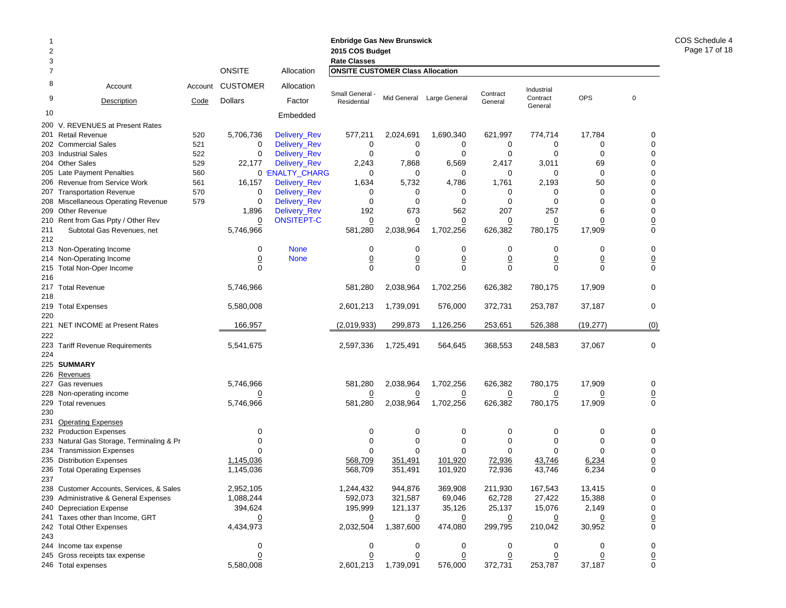| 2<br>3     |                                          |         |                 |                   | <b>Enbridge Gas New Brunswick</b><br>2015 COS Budget<br><b>Rate Classes</b> |                |                           |                |                        |                |                  |
|------------|------------------------------------------|---------|-----------------|-------------------|-----------------------------------------------------------------------------|----------------|---------------------------|----------------|------------------------|----------------|------------------|
| 7          |                                          |         | <b>ONSITE</b>   | Allocation        | <b>ONSITE CUSTOMER Class Allocation</b>                                     |                |                           |                |                        |                |                  |
| 8          | Account                                  | Account | <b>CUSTOMER</b> | Allocation        | Small General -                                                             |                | Mid General Large General | Contract       | Industrial<br>Contract | <b>OPS</b>     | $\mathbf 0$      |
| 9          | Description                              | Code    | Dollars         | Factor            | Residential                                                                 |                |                           | General        | General                |                |                  |
| 10         |                                          |         |                 | Embedded          |                                                                             |                |                           |                |                        |                |                  |
|            | 200 V. REVENUES at Present Rates         |         |                 |                   |                                                                             |                |                           |                |                        |                |                  |
|            | 201 Retail Revenue                       | 520     | 5,706,736       | Delivery_Rev      | 577,211                                                                     | 2,024,691      | 1,690,340                 | 621,997        | 774,714                | 17,784         | 0                |
|            | 202 Commercial Sales                     | 521     | 0               | Delivery_Rev      | 0                                                                           | 0              | 0                         | 0              | 0                      | 0              | 0                |
|            | 203 Industrial Sales                     | 522     | $\mathbf 0$     | Delivery_Rev      | $\mathbf 0$                                                                 | 0              | 0                         | 0              | 0                      | $\mathbf 0$    | $\mathbf 0$      |
|            | 204 Other Sales                          | 529     | 22,177          | Delivery_Rev      | 2,243                                                                       | 7,868          | 6,569                     | 2,417          | 3,011                  | 69             | 0                |
|            | 205 Late Payment Penalties               | 560     |                 | 0 'ENALTY_CHARG   | 0                                                                           | 0              | 0                         | 0              | 0                      | $\mathbf 0$    | 0                |
|            | 206 Revenue from Service Work            | 561     | 16,157          | Delivery_Rev      | 1,634                                                                       | 5,732          | 4,786                     | 1,761          | 2,193                  | 50             | 0                |
| 207        | <b>Transportation Revenue</b>            | 570     | 0               | Delivery_Rev      | 0                                                                           | 0              | 0                         | 0              | 0                      | $\mathbf 0$    | 0                |
|            | 208 Miscellaneous Operating Revenue      | 579     | 0               | Delivery_Rev      | $\mathbf 0$                                                                 | $\mathbf 0$    | 0                         | 0              | 0                      | $\Omega$       | 0                |
|            | 209 Other Revenue                        |         | 1,896           | Delivery_Rev      | 192                                                                         | 673            | 562                       | 207            | 257                    | 6              | 0                |
|            | 210 Rent from Gas Ppty / Other Rev       |         | $\overline{0}$  | <b>ONSITEPT-C</b> | $\overline{0}$                                                              | $\overline{0}$ | $\overline{0}$            | $\overline{0}$ | $\overline{0}$         | $\overline{0}$ | $\overline{0}$   |
| 211<br>212 | Subtotal Gas Revenues, net               |         | 5,746,966       |                   | 581,280                                                                     | 2,038,964      | 1,702,256                 | 626,382        | 780,175                | 17,909         | $\boldsymbol{0}$ |
|            | 213 Non-Operating Income                 |         | 0               | <b>None</b>       | 0                                                                           | 0              | 0                         | 0              | 0                      | 0              | 0                |
|            | 214 Non-Operating Income                 |         | $\overline{0}$  | <b>None</b>       | $\underline{0}$                                                             | $\overline{0}$ | $\pmb{0}$                 | $\overline{0}$ | $\overline{0}$         | $\overline{0}$ | $\underline{0}$  |
| 215        | Total Non-Oper Income                    |         | $\Omega$        |                   | $\Omega$                                                                    | $\Omega$       | $\Omega$                  | 0              | 0                      | $\Omega$       | $\mathbf 0$      |
| 216        |                                          |         |                 |                   |                                                                             |                |                           |                |                        |                |                  |
| 218        | 217 Total Revenue                        |         | 5,746,966       |                   | 581,280                                                                     | 2,038,964      | 1,702,256                 | 626,382        | 780.175                | 17,909         | $\mathbf 0$      |
| 220        | 219 Total Expenses                       |         | 5,580,008       |                   | 2,601,213                                                                   | 1,739,091      | 576,000                   | 372,731        | 253,787                | 37,187         | $\mathbf 0$      |
| 222        | 221 NET INCOME at Present Rates          |         | 166,957         |                   | (2,019,933)                                                                 | 299,873        | 1,126,256                 | 253,651        | 526,388                | (19, 277)      | (0)              |
|            | 223 Tariff Revenue Requirements          |         | 5,541,675       |                   | 2,597,336                                                                   | 1,725,491      | 564,645                   | 368,553        | 248,583                | 37,067         | $\mathbf 0$      |
| 224        |                                          |         |                 |                   |                                                                             |                |                           |                |                        |                |                  |
|            | 225 SUMMARY                              |         |                 |                   |                                                                             |                |                           |                |                        |                |                  |
|            | 226 Revenues                             |         |                 |                   |                                                                             |                |                           |                |                        |                |                  |
| 227        | Gas revenues                             |         | 5,746,966       |                   | 581,280                                                                     | 2,038,964      | 1,702,256                 | 626,382        | 780,175                | 17,909         | 0                |
|            | 228 Non-operating income                 |         | $\overline{0}$  |                   | $\overline{0}$                                                              | $\overline{0}$ | <u>0</u>                  | $\overline{0}$ | $\overline{0}$         | <u>0</u>       | $\underline{0}$  |
| 230        | 229 Total revenues                       |         | 5,746,966       |                   | 581,280                                                                     | 2,038,964      | 1,702,256                 | 626,382        | 780,175                | 17,909         | $\mathbf 0$      |
| 231        | <b>Operating Expenses</b>                |         |                 |                   |                                                                             |                |                           |                |                        |                |                  |
|            | 232 Production Expenses                  |         | 0               |                   | 0                                                                           | 0              | 0                         | 0              | 0                      | 0              | 0                |
| 233        | Natural Gas Storage, Terminaling & Pr    |         | 0               |                   | 0                                                                           | $\mathbf 0$    | 0                         | 0              | 0                      | 0              | $\mathbf 0$      |
|            | 234 Transmission Expenses                |         | $\Omega$        |                   | $\Omega$                                                                    | $\mathbf 0$    | 0                         | $\Omega$       | $\Omega$               | $\Omega$       | $\mathbf 0$      |
|            | 235 Distribution Expenses                |         | 1,145,036       |                   | 568,709                                                                     | 351,491        | 101,920                   | 72,936         | 43,746                 | 6,234          | $\underline{0}$  |
|            | 236 Total Operating Expenses             |         | 1,145,036       |                   | 568,709                                                                     | 351,491        | 101,920                   | 72,936         | 43,746                 | 6,234          | $\mathbf 0$      |
| 237        |                                          |         |                 |                   |                                                                             |                |                           |                |                        |                |                  |
|            | 238 Customer Accounts, Services, & Sales |         | 2,952,105       |                   | 1,244,432                                                                   | 944,876        | 369,908                   | 211,930        | 167,543                | 13,415         | 0                |
|            | 239 Administrative & General Expenses    |         | 1,088,244       |                   | 592,073                                                                     | 321,587        | 69,046                    | 62,728         | 27,422                 | 15,388         | 0                |
|            | 240 Depreciation Expense                 |         | 394,624         |                   | 195,999                                                                     | 121,137        | 35,126                    | 25,137         | 15,076                 | 2,149          | 0                |
|            | 241 Taxes other than Income, GRT         |         |                 |                   | $\overline{0}$                                                              | $\overline{0}$ | <u>0</u>                  | $\overline{0}$ | <u>0</u>               |                | $\underline{0}$  |
|            | 242 Total Other Expenses                 |         | 4,434,973       |                   | 2,032,504                                                                   | 1,387,600      | 474,080                   | 299,795        | 210,042                | 30,952         | $\mathbf 0$      |
| 243        |                                          |         |                 |                   |                                                                             |                |                           |                |                        |                |                  |
|            | 244 Income tax expense                   |         | 0               |                   | 0                                                                           | 0              | 0                         | 0              | 0                      | 0              | 0                |
|            | 245 Gross receipts tax expense           |         | $\overline{0}$  |                   | 0                                                                           | $\overline{0}$ | $\overline{0}$            | $\overline{0}$ | $\overline{0}$         | <u>0</u>       | $\underline{0}$  |
|            | 246 Total expenses                       |         | 5,580,008       |                   | 2,601,213                                                                   | 1,739,091      | 576,000                   | 372,731        | 253,787                | 37,187         | 0                |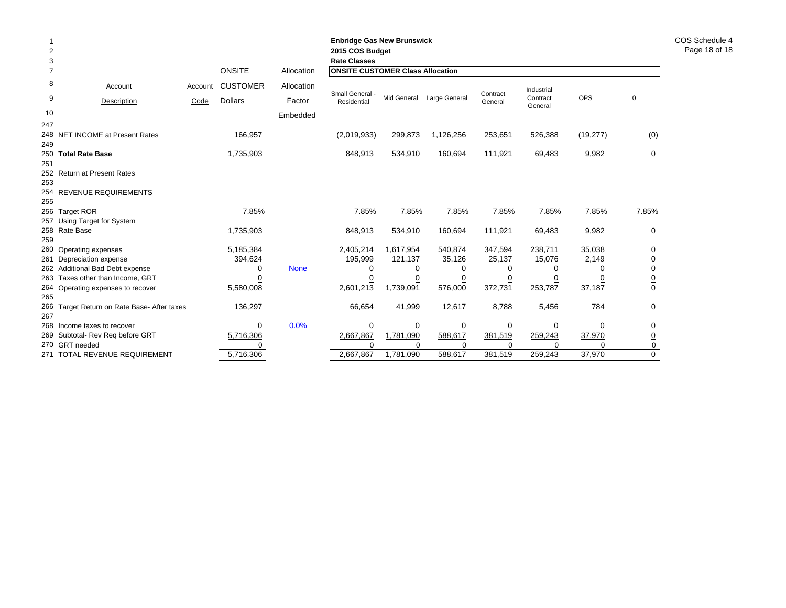|                     |                                                    |         |                 |             | <b>Enbridge Gas New Brunswick</b>       |                       |                     |                     |                     |                    |                  |
|---------------------|----------------------------------------------------|---------|-----------------|-------------|-----------------------------------------|-----------------------|---------------------|---------------------|---------------------|--------------------|------------------|
| $\overline{c}$      |                                                    |         |                 |             | 2015 COS Budget<br><b>Rate Classes</b>  |                       |                     |                     |                     |                    |                  |
| 3<br>$\overline{7}$ |                                                    |         | <b>ONSITE</b>   | Allocation  | <b>ONSITE CUSTOMER Class Allocation</b> |                       |                     |                     |                     |                    |                  |
| 8                   | Account                                            | Account | <b>CUSTOMER</b> | Allocation  |                                         |                       |                     |                     | Industrial          |                    |                  |
| 9                   | Description                                        | Code    | <b>Dollars</b>  | Factor      | Small General<br>Residential            | Mid General           | Large General       | Contract<br>General | Contract<br>General | <b>OPS</b>         | 0                |
| 10                  |                                                    |         |                 | Embedded    |                                         |                       |                     |                     |                     |                    |                  |
| 247                 |                                                    |         |                 |             |                                         |                       |                     |                     |                     |                    |                  |
| 248<br>249          | NET INCOME at Present Rates                        |         | 166,957         |             | (2,019,933)                             | 299,873               | 1,126,256           | 253,651             | 526,388             | (19, 277)          | (0)              |
| 250                 | <b>Total Rate Base</b>                             |         | 1,735,903       |             | 848,913                                 | 534,910               | 160,694             | 111,921             | 69,483              | 9,982              | $\Omega$         |
| 251                 |                                                    |         |                 |             |                                         |                       |                     |                     |                     |                    |                  |
| 252                 | <b>Return at Present Rates</b>                     |         |                 |             |                                         |                       |                     |                     |                     |                    |                  |
| 253                 |                                                    |         |                 |             |                                         |                       |                     |                     |                     |                    |                  |
| 254                 | <b>REVENUE REQUIREMENTS</b>                        |         |                 |             |                                         |                       |                     |                     |                     |                    |                  |
| 255                 |                                                    |         |                 |             |                                         |                       |                     |                     |                     |                    |                  |
| 256                 | <b>Target ROR</b>                                  |         | 7.85%           |             | 7.85%                                   | 7.85%                 | 7.85%               | 7.85%               | 7.85%               | 7.85%              | 7.85%            |
| 257<br>258          | Using Target for System<br>Rate Base               |         | 1,735,903       |             | 848,913                                 | 534,910               | 160,694             | 111,921             | 69,483              | 9,982              | $\mathbf 0$      |
| 259                 |                                                    |         |                 |             |                                         |                       |                     |                     |                     |                    |                  |
| 260                 | Operating expenses                                 |         | 5,185,384       |             | 2,405,214                               | 1,617,954             | 540,874             | 347,594             | 238,711             | 35,038             | $\Omega$         |
| 261                 | Depreciation expense                               |         | 394,624         |             | 195,999                                 | 121,137               | 35,126              | 25,137              | 15,076              | 2,149              | 0                |
| 262                 | Additional Bad Debt expense                        |         | 0               | <b>None</b> | 0                                       | 0                     | 0                   | 0                   | 0                   | 0                  | 0                |
| 263                 | Taxes other than Income, GRT                       |         | 0               |             | 0                                       | <u>0</u>              | $\overline{0}$      | 0                   | <u>0</u>            | 0                  | $\overline{0}$   |
| 264                 | Operating expenses to recover                      |         | 5,580,008       |             | 2,601,213                               | 1,739,091             | 576,000             | 372,731             | 253,787             | 37,187             | $\Omega$         |
| 265                 |                                                    |         |                 |             |                                         |                       |                     |                     |                     |                    |                  |
| 266                 | Target Return on Rate Base- After taxes            |         | 136,297         |             | 66,654                                  | 41,999                | 12,617              | 8,788               | 5,456               | 784                | $\Omega$         |
| 267                 |                                                    |         |                 |             |                                         |                       |                     |                     |                     |                    |                  |
| 268                 | Income taxes to recover                            |         | $\mathbf 0$     | 0.0%        | 0                                       | 0                     | 0                   | $\mathbf 0$         | 0                   | $\Omega$           | 0                |
| 269                 | Subtotal- Rev Reg before GRT                       |         | 5,716,306       |             | 2,667,867<br>$\Omega$                   | 1,781,090             | 588,617             | 381,519<br>$\Omega$ | 259,243             | 37,970<br>$\Omega$ | 0                |
| 270                 | <b>GRT</b> needed<br>271 TOTAL REVENUE REQUIREMENT |         | 5,716,306       |             | 2,667,867                               | $\Omega$<br>1,781,090 | $\Omega$<br>588,617 | 381,519             | $\Omega$<br>259,243 | 37,970             | 0<br>$\mathbf 0$ |
|                     |                                                    |         |                 |             |                                         |                       |                     |                     |                     |                    |                  |

COS Schedule 4 Page 18 of 18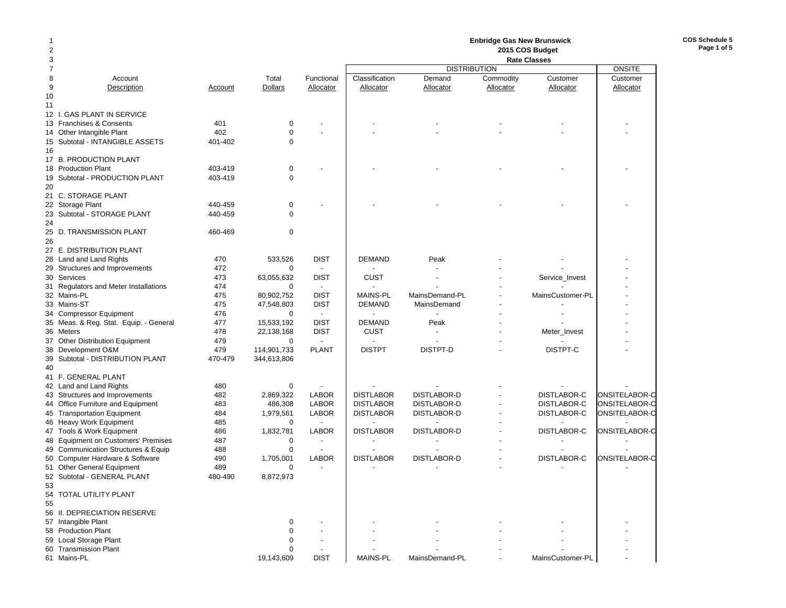# **Enbridge Gas New Brunswick 2015 COS Budget**

**COS Schedule 5Page 1 of 5**

| 3                                      |         |                |                          | <b>Rate Classes</b> |                     |           |                    |               |
|----------------------------------------|---------|----------------|--------------------------|---------------------|---------------------|-----------|--------------------|---------------|
| $\overline{7}$                         |         |                |                          |                     | <b>DISTRIBUTION</b> |           |                    | <b>ONSITE</b> |
| 8<br>Account                           |         | Total          | Functional               | Classification      | Demand              | Commodity | Customer           | Customer      |
| 9<br>Description                       | Account | <b>Dollars</b> | Allocator                | Allocator           | Allocator           | Allocator | Allocator          | Allocator     |
| 10                                     |         |                |                          |                     |                     |           |                    |               |
| 11                                     |         |                |                          |                     |                     |           |                    |               |
| 12 I. GAS PLANT IN SERVICE             |         |                |                          |                     |                     |           |                    |               |
| 13 Franchises & Consents               | 401     | $\mathbf 0$    |                          |                     |                     |           |                    |               |
| 14 Other Intangible Plant              | 402     | $\mathbf 0$    |                          |                     |                     |           |                    |               |
| 15 Subtotal - INTANGIBLE ASSETS        | 401-402 | $\mathbf 0$    |                          |                     |                     |           |                    |               |
| 16                                     |         |                |                          |                     |                     |           |                    |               |
| 17 B. PRODUCTION PLANT                 |         |                |                          |                     |                     |           |                    |               |
| 18 Production Plant                    | 403-419 | $\mathbf 0$    |                          |                     |                     |           |                    |               |
| 19 Subtotal - PRODUCTION PLANT         | 403-419 | $\mathbf 0$    |                          |                     |                     |           |                    |               |
|                                        |         |                |                          |                     |                     |           |                    |               |
| 20                                     |         |                |                          |                     |                     |           |                    |               |
| 21 C. STORAGE PLANT                    |         |                |                          |                     |                     |           |                    |               |
| 22 Storage Plant                       | 440-459 | 0              |                          |                     |                     |           |                    |               |
| 23 Subtotal - STORAGE PLANT            | 440-459 | $\Omega$       |                          |                     |                     |           |                    |               |
| 24                                     |         |                |                          |                     |                     |           |                    |               |
| 25 D. TRANSMISSION PLANT               | 460-469 | 0              |                          |                     |                     |           |                    |               |
| 26                                     |         |                |                          |                     |                     |           |                    |               |
| 27 E. DISTRIBUTION PLANT               |         |                |                          |                     |                     |           |                    |               |
| 28 Land and Land Rights                | 470     | 533,526        | <b>DIST</b>              | <b>DEMAND</b>       | Peak                |           |                    |               |
| 29 Structures and Improvements         | 472     | 0              | $\sim$                   |                     |                     |           |                    |               |
| 30 Services                            | 473     | 63,055,632     | <b>DIST</b>              | <b>CUST</b>         |                     |           | Service_Invest     |               |
| 31 Regulators and Meter Installations  | 474     | $\mathbf 0$    | $\sim$                   |                     |                     |           |                    |               |
| 32 Mains-PL                            | 475     | 80,902,752     | <b>DIST</b>              | <b>MAINS-PL</b>     | MainsDemand-PL      |           | MainsCustomer-PL   |               |
| 33 Mains-ST                            | 475     | 47,548,803     | <b>DIST</b>              | <b>DEMAND</b>       | MainsDemand         |           |                    |               |
| 34 Compressor Equipment                | 476     | $\mathbf 0$    | $\sim$                   |                     |                     |           |                    |               |
| 35 Meas. & Reg. Stat. Equip. - General | 477     | 15,533,192     | <b>DIST</b>              | <b>DEMAND</b>       | Peak                |           |                    |               |
| 36 Meters                              | 478     | 22,138,168     | <b>DIST</b>              | CUST                |                     |           | Meter_Invest       |               |
| 37 Other Distribution Equipment        | 479     | $\mathbf 0$    | $\overline{\phantom{a}}$ |                     |                     |           |                    |               |
| 38 Development O&M                     | 479     | 114,901,733    | <b>PLANT</b>             | <b>DISTPT</b>       | DISTPT-D            |           | DISTPT-C           |               |
| 39 Subtotal - DISTRIBUTION PLANT       | 470-479 | 344,613,806    |                          |                     |                     |           |                    |               |
| 40                                     |         |                |                          |                     |                     |           |                    |               |
| 41 F. GENERAL PLANT                    |         |                |                          |                     |                     |           |                    |               |
|                                        |         |                |                          |                     |                     |           |                    |               |
| 42 Land and Land Rights                | 480     | $\mathbf 0$    |                          |                     |                     |           |                    |               |
| 43 Structures and Improvements         | 482     | 2,869,322      | <b>LABOR</b>             | <b>DISTLABOR</b>    | DISTLABOR-D         |           | <b>DISTLABOR-C</b> | ONSITELABOR-C |
| 44 Office Furniture and Equipment      | 483     | 486,308        | <b>LABOR</b>             | <b>DISTLABOR</b>    | DISTLABOR-D         |           | <b>DISTLABOR-C</b> | ONSITELABOR-C |
| 45 Transportation Equipment            | 484     | 1,979,561      | <b>LABOR</b>             | <b>DISTLABOR</b>    | DISTLABOR-D         |           | DISTLABOR-C        | ONSITELABOR-C |
| 46 Heavy Work Equipment                | 485     | $\mathbf 0$    | $\overline{a}$           |                     |                     |           |                    |               |
| 47 Tools & Work Equipment              | 486     | 1,832,781      | <b>LABOR</b>             | <b>DISTLABOR</b>    | DISTLABOR-D         |           | DISTLABOR-C        | ONSITELABOR-C |
| 48 Equipment on Customers' Premises    | 487     | 0              |                          |                     |                     |           |                    |               |
| 49 Communication Structures & Equip    | 488     | 0              |                          |                     |                     |           |                    |               |
| 50 Computer Hardware & Software        | 490     | 1,705,001      | LABOR                    | <b>DISTLABOR</b>    | DISTLABOR-D         |           | DISTLABOR-C        | ONSITELABOR-C |
| 51 Other General Equipment             | 489     | $\Omega$       |                          |                     |                     |           |                    |               |
| 52 Subtotal - GENERAL PLANT            | 480-490 | 8,872,973      |                          |                     |                     |           |                    |               |
| 53                                     |         |                |                          |                     |                     |           |                    |               |
| 54 TOTAL UTILITY PLANT                 |         |                |                          |                     |                     |           |                    |               |
| 55                                     |         |                |                          |                     |                     |           |                    |               |
| 56 II. DEPRECIATION RESERVE            |         |                |                          |                     |                     |           |                    |               |
| 57 Intangible Plant                    |         | $\mathbf 0$    |                          |                     |                     |           |                    |               |
| 58 Production Plant                    |         | $\mathbf 0$    |                          |                     |                     |           |                    |               |
| 59 Local Storage Plant                 |         | 0              |                          |                     |                     |           |                    |               |
| 60 Transmission Plant                  |         | 0              |                          |                     |                     |           |                    |               |
| 61 Mains-PL                            |         | 19,143,609     | <b>DIST</b>              | <b>MAINS-PL</b>     | MainsDemand-PL      |           | MainsCustomer-PL   |               |
|                                        |         |                |                          |                     |                     |           |                    |               |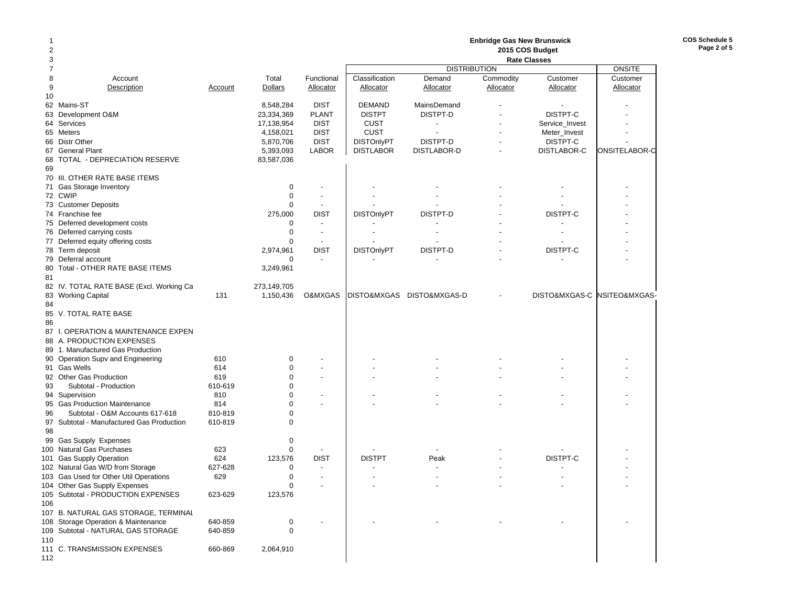| 1<br>2 |                                                 |                    |                            |                          | <b>Enbridge Gas New Brunswick</b><br>2015 COS Budget |                           |           |                     |                             |  |  |
|--------|-------------------------------------------------|--------------------|----------------------------|--------------------------|------------------------------------------------------|---------------------------|-----------|---------------------|-----------------------------|--|--|
| 3      |                                                 |                    |                            |                          |                                                      |                           |           | <b>Rate Classes</b> |                             |  |  |
| 7      |                                                 |                    |                            |                          |                                                      | <b>DISTRIBUTION</b>       |           |                     | ONSITE                      |  |  |
| 8      | Account                                         |                    | Total                      | Functional               | Classification                                       | Demand                    | Commodity | Customer            | Customer                    |  |  |
| 9      | Description                                     | Account            | Dollars                    | Allocator                | <b>Allocator</b>                                     | Allocator                 | Allocator | Allocator           | Allocator                   |  |  |
| 10     |                                                 |                    |                            |                          |                                                      |                           |           |                     |                             |  |  |
|        | 62 Mains-ST                                     |                    | 8,548,284                  | <b>DIST</b>              | <b>DEMAND</b>                                        | MainsDemand               |           |                     |                             |  |  |
| 63     | Development O&M                                 |                    | 23,334,369                 | <b>PLANT</b>             | <b>DISTPT</b>                                        | DISTPT-D                  |           | DISTPT-C            |                             |  |  |
|        | 64 Services                                     |                    | 17,138,954                 | <b>DIST</b>              | <b>CUST</b>                                          | $\overline{\phantom{a}}$  |           | Service_Invest      |                             |  |  |
|        | 65 Meters                                       |                    | 4,158,021                  | <b>DIST</b>              | <b>CUST</b>                                          |                           |           | Meter_Invest        |                             |  |  |
|        | 66 Distr Other                                  |                    | 5,870,706                  | <b>DIST</b>              | <b>DISTOnlyPT</b>                                    | DISTPT-D                  |           | DISTPT-C            |                             |  |  |
|        | 67 General Plant                                |                    | 5,393,093                  | <b>LABOR</b>             | <b>DISTLABOR</b>                                     | DISTLABOR-D               |           | DISTLABOR-C         | ONSITELABOR-C               |  |  |
| 68     | TOTAL - DEPRECIATION RESERVE                    |                    | 83,587,036                 |                          |                                                      |                           |           |                     |                             |  |  |
| 69     |                                                 |                    |                            |                          |                                                      |                           |           |                     |                             |  |  |
|        | 70 III. OTHER RATE BASE ITEMS                   |                    |                            |                          |                                                      |                           |           |                     |                             |  |  |
|        | 71 Gas Storage Inventory                        |                    | 0                          | $\overline{\phantom{a}}$ |                                                      |                           |           |                     |                             |  |  |
|        | 72 CWIP                                         |                    | $\mathbf 0$                | $\overline{\phantom{a}}$ |                                                      |                           |           |                     |                             |  |  |
|        | 73 Customer Deposits                            |                    | $\mathbf 0$                | $\overline{\phantom{a}}$ |                                                      |                           |           |                     |                             |  |  |
|        | 74 Franchise fee                                |                    | 275,000                    | <b>DIST</b>              | <b>DISTOnlyPT</b>                                    | DISTPT-D                  |           | DISTPT-C            |                             |  |  |
|        | 75 Deferred development costs                   |                    | $\mathbf 0$                | $\overline{\phantom{a}}$ |                                                      |                           |           |                     |                             |  |  |
|        | 76 Deferred carrying costs                      |                    | $\mathbf 0$                | $\overline{\phantom{a}}$ |                                                      |                           |           |                     |                             |  |  |
|        | 77 Deferred equity offering costs               |                    | $\Omega$                   | $\overline{\phantom{a}}$ |                                                      |                           |           |                     |                             |  |  |
|        | 78 Term deposit                                 |                    | 2,974,961                  | <b>DIST</b>              | <b>DISTOnlyPT</b>                                    | DISTPT-D                  |           | DISTPT-C            |                             |  |  |
|        | 79 Deferral account                             |                    | $\mathbf 0$                |                          |                                                      |                           |           |                     |                             |  |  |
|        | 80 Total - OTHER RATE BASE ITEMS                |                    | 3,249,961                  |                          |                                                      |                           |           |                     |                             |  |  |
| 81     |                                                 |                    |                            |                          |                                                      |                           |           |                     |                             |  |  |
|        | 82 IV. TOTAL RATE BASE (Excl. Working Ca        |                    | 273,149,705                |                          |                                                      |                           |           |                     |                             |  |  |
|        | 83 Working Capital                              | 131                | 1,150,436                  | O&MXGAS                  |                                                      | DISTO&MXGAS DISTO&MXGAS-D |           |                     | DISTO&MXGAS-C NSITEO&MXGAS- |  |  |
| 84     |                                                 |                    |                            |                          |                                                      |                           |           |                     |                             |  |  |
|        | 85 V. TOTAL RATE BASE                           |                    |                            |                          |                                                      |                           |           |                     |                             |  |  |
| 86     |                                                 |                    |                            |                          |                                                      |                           |           |                     |                             |  |  |
|        | 87 I. OPERATION & MAINTENANCE EXPEN             |                    |                            |                          |                                                      |                           |           |                     |                             |  |  |
|        | 88 A. PRODUCTION EXPENSES                       |                    |                            |                          |                                                      |                           |           |                     |                             |  |  |
|        | 89 1. Manufactured Gas Production               |                    |                            |                          |                                                      |                           |           |                     |                             |  |  |
|        | 90 Operation Supv and Engineering               | 610                | 0                          |                          |                                                      |                           |           |                     |                             |  |  |
|        | 91 Gas Wells                                    | 614                | $\mathbf 0$                |                          |                                                      |                           |           |                     |                             |  |  |
|        | 92 Other Gas Production                         | 619                | $\mathbf 0$                |                          |                                                      |                           |           |                     |                             |  |  |
| 93     | Subtotal - Production                           | 610-619            | $\Omega$<br>$\Omega$       |                          |                                                      |                           |           |                     |                             |  |  |
|        | 94 Supervision<br>95 Gas Production Maintenance | 810                | $\Omega$                   |                          |                                                      |                           |           |                     |                             |  |  |
|        |                                                 | 814                |                            |                          |                                                      |                           |           |                     |                             |  |  |
| 96     | Subtotal - O&M Accounts 617-618                 | 810-819<br>610-819 | $\mathbf 0$<br>$\mathbf 0$ |                          |                                                      |                           |           |                     |                             |  |  |
| 98     | 97 Subtotal - Manufactured Gas Production       |                    |                            |                          |                                                      |                           |           |                     |                             |  |  |
|        | 99 Gas Supply Expenses                          |                    | $\mathbf 0$                |                          |                                                      |                           |           |                     |                             |  |  |
|        | 100 Natural Gas Purchases                       | 623                | $\mathbf 0$                |                          |                                                      |                           |           |                     |                             |  |  |
|        | 101 Gas Supply Operation                        | 624                | 123,576                    | <b>DIST</b>              | <b>DISTPT</b>                                        | Peak                      |           | DISTPT-C            |                             |  |  |
|        | 102 Natural Gas W/D from Storage                | 627-628            | $\mathbf 0$                | $\overline{\phantom{a}}$ |                                                      |                           |           |                     |                             |  |  |
|        | 103 Gas Used for Other Util Operations          | 629                | $\mathbf 0$                | $\overline{\phantom{a}}$ |                                                      |                           |           |                     |                             |  |  |
|        | 104 Other Gas Supply Expenses                   |                    | 0                          |                          |                                                      |                           |           |                     |                             |  |  |
|        | 105 Subtotal - PRODUCTION EXPENSES              | 623-629            | 123,576                    |                          |                                                      |                           |           |                     |                             |  |  |
| 106    |                                                 |                    |                            |                          |                                                      |                           |           |                     |                             |  |  |
|        | 107 B. NATURAL GAS STORAGE, TERMINAL            |                    |                            |                          |                                                      |                           |           |                     |                             |  |  |
|        | 108 Storage Operation & Maintenance             | 640-859            | 0                          |                          |                                                      |                           |           |                     |                             |  |  |
|        | 109 Subtotal - NATURAL GAS STORAGE              | 640-859            | 0                          |                          |                                                      |                           |           |                     |                             |  |  |
| 110    |                                                 |                    |                            |                          |                                                      |                           |           |                     |                             |  |  |
|        | 111 C. TRANSMISSION EXPENSES                    | 660-869            | 2,064,910                  |                          |                                                      |                           |           |                     |                             |  |  |
| 112    |                                                 |                    |                            |                          |                                                      |                           |           |                     |                             |  |  |
|        |                                                 |                    |                            |                          |                                                      |                           |           |                     |                             |  |  |

**COS Schedule 5 Page 2 of 5**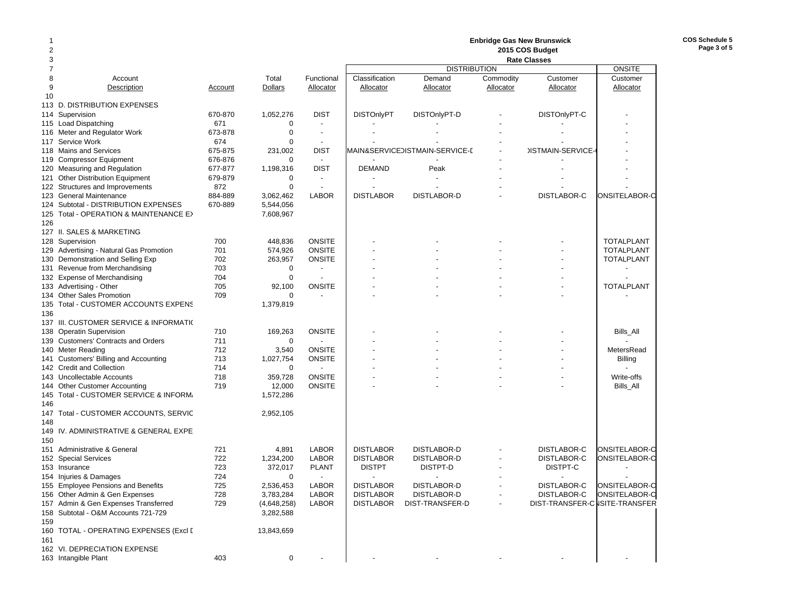|     |                                                                    |                    |                            |                                  |                          |                                |           | <b>Enbridge Gas New Brunswick</b> |                   |
|-----|--------------------------------------------------------------------|--------------------|----------------------------|----------------------------------|--------------------------|--------------------------------|-----------|-----------------------------------|-------------------|
| 2   |                                                                    |                    |                            |                                  |                          |                                |           | 2015 COS Budget                   |                   |
| 3   |                                                                    |                    |                            |                                  |                          |                                |           | <b>Rate Classes</b>               |                   |
|     |                                                                    |                    |                            |                                  |                          | <b>DISTRIBUTION</b>            |           |                                   | <b>ONSITE</b>     |
| 8   | Account                                                            |                    | Total                      | Functional                       | Classification           | Demand                         | Commodity | Customer                          | Customer          |
| 9   | Description                                                        | Account            | Dollars                    | Allocator                        | Allocator                | Allocator                      | Allocator | Allocator                         | Allocator         |
| 10  |                                                                    |                    |                            |                                  |                          |                                |           |                                   |                   |
|     | 113 D. DISTRIBUTION EXPENSES                                       |                    |                            |                                  |                          |                                |           |                                   |                   |
| 114 | Supervision                                                        | 670-870            | 1,052,276                  | <b>DIST</b>                      | <b>DISTOnlyPT</b>        | DISTOnlyPT-D                   |           | DISTOnlyPT-C                      |                   |
| 115 | <b>Load Dispatching</b>                                            | 671                | 0                          |                                  |                          |                                |           |                                   |                   |
|     | 116 Meter and Regulator Work                                       | 673-878            | $\mathbf 0$<br>$\mathbf 0$ | $\blacksquare$<br>$\blacksquare$ |                          |                                |           |                                   |                   |
| 117 | Service Work<br>118 Mains and Services                             | 674                |                            | <b>DIST</b>                      |                          | MAIN&SERVICE)ISTMAIN-SERVICE-E |           | <b>JISTMAIN-SERVICE-</b>          |                   |
| 119 | <b>Compressor Equipment</b>                                        | 675-875<br>676-876 | 231,002<br>$\mathbf 0$     | $\blacksquare$                   |                          |                                |           |                                   |                   |
|     | 120 Measuring and Regulation                                       | 677-877            | 1,198,316                  | <b>DIST</b>                      | <b>DEMAND</b>            | Peak                           |           |                                   |                   |
| 121 | Other Distribution Equipment                                       | 679-879            | 0                          | $\blacksquare$                   |                          |                                |           |                                   |                   |
|     | 122 Structures and Improvements                                    | 872                | $\mathbf 0$                | $\overline{\phantom{a}}$         |                          |                                |           |                                   |                   |
| 123 | <b>General Maintenance</b>                                         | 884-889            | 3,062,462                  | <b>LABOR</b>                     | <b>DISTLABOR</b>         | DISTLABOR-D                    |           | DISTLABOR-C                       | ONSITELABOR-C     |
|     | 124 Subtotal - DISTRIBUTION EXPENSES                               | 670-889            | 5,544,056                  |                                  |                          |                                |           |                                   |                   |
| 125 | Total - OPERATION & MAINTENANCE EX                                 |                    | 7,608,967                  |                                  |                          |                                |           |                                   |                   |
| 126 |                                                                    |                    |                            |                                  |                          |                                |           |                                   |                   |
|     | 127 II. SALES & MARKETING                                          |                    |                            |                                  |                          |                                |           |                                   |                   |
|     | 128 Supervision                                                    | 700                | 448,836                    | <b>ONSITE</b>                    |                          |                                |           |                                   | <b>TOTALPLANT</b> |
|     | 129 Advertising - Natural Gas Promotion                            | 701                | 574,926                    | <b>ONSITE</b>                    |                          |                                |           |                                   | <b>TOTALPLANT</b> |
|     | 130 Demonstration and Selling Exp                                  | 702                | 263,957                    | <b>ONSITE</b>                    |                          |                                |           |                                   | <b>TOTALPLANT</b> |
|     | 131 Revenue from Merchandising                                     | 703                | 0                          |                                  |                          |                                |           |                                   |                   |
|     | 132 Expense of Merchandising                                       | 704                | 0                          | $\overline{\phantom{a}}$         |                          |                                |           |                                   |                   |
|     | 133 Advertising - Other                                            | 705                | 92,100                     | <b>ONSITE</b>                    |                          |                                |           |                                   | <b>TOTALPLANT</b> |
|     | 134 Other Sales Promotion                                          | 709                | 0                          |                                  |                          |                                |           |                                   |                   |
|     | 135 Total - CUSTOMER ACCOUNTS EXPENS                               |                    | 1,379,819                  |                                  |                          |                                |           |                                   |                   |
| 136 |                                                                    |                    |                            |                                  |                          |                                |           |                                   |                   |
|     | 137 III. CUSTOMER SERVICE & INFORMATIO                             |                    |                            |                                  |                          |                                |           |                                   |                   |
| 138 | <b>Operatin Supervision</b>                                        | 710                | 169,263                    | <b>ONSITE</b>                    |                          |                                |           |                                   | Bills_All         |
|     | 139 Customers' Contracts and Orders                                | 711                | $\mathbf 0$                |                                  |                          |                                |           |                                   |                   |
|     | 140 Meter Reading                                                  | 712                | 3,540                      | <b>ONSITE</b>                    |                          |                                |           |                                   | MetersRead        |
|     | 141 Customers' Billing and Accounting<br>142 Credit and Collection | 713<br>714         | 1,027,754<br>0             | <b>ONSITE</b>                    |                          |                                |           |                                   | Billing           |
|     | 143 Uncollectable Accounts                                         | 718                | 359,728                    | <b>ONSITE</b>                    |                          |                                |           |                                   | Write-offs        |
| 144 | <b>Other Customer Accounting</b>                                   | 719                | 12,000                     | <b>ONSITE</b>                    |                          |                                |           |                                   | Bills_All         |
|     | 145 Total - CUSTOMER SERVICE & INFORM.                             |                    | 1,572,286                  |                                  |                          |                                |           |                                   |                   |
| 146 |                                                                    |                    |                            |                                  |                          |                                |           |                                   |                   |
|     | 147 Total - CUSTOMER ACCOUNTS, SERVIC                              |                    | 2,952,105                  |                                  |                          |                                |           |                                   |                   |
| 148 |                                                                    |                    |                            |                                  |                          |                                |           |                                   |                   |
|     | 149 IV. ADMINISTRATIVE & GENERAL EXPE                              |                    |                            |                                  |                          |                                |           |                                   |                   |
| 150 |                                                                    |                    |                            |                                  |                          |                                |           |                                   |                   |
|     | 151 Administrative & General                                       | 721                | 4,891                      | <b>LABOR</b>                     | <b>DISTLABOR</b>         | <b>DISTLABOR-D</b>             |           | DISTLABOR-C                       | ONSITELABOR-C     |
|     | 152 Special Services                                               | 722                | 1,234,200                  | <b>LABOR</b>                     | <b>DISTLABOR</b>         | <b>DISTLABOR-D</b>             |           | DISTLABOR-C                       | ONSITELABOR-C     |
|     | 153 Insurance                                                      | 723                | 372,017                    | <b>PLANT</b>                     | <b>DISTPT</b>            | DISTPT-D                       |           | DISTPT-C                          |                   |
|     | 154 Injuries & Damages                                             | 724                | $\mathbf 0$                |                                  | $\overline{\phantom{a}}$ | $\overline{\phantom{a}}$       |           | $\overline{\phantom{a}}$          |                   |
|     | 155 Employee Pensions and Benefits                                 | 725                | 2,536,453                  | LABOR                            | <b>DISTLABOR</b>         | DISTLABOR-D                    |           | DISTLABOR-C                       | ONSITELABOR-C     |
|     | 156 Other Admin & Gen Expenses                                     | 728                | 3,783,284                  | <b>LABOR</b>                     | <b>DISTLABOR</b>         | DISTLABOR-D                    |           | DISTLABOR-C                       | ONSITELABOR-C     |
|     | 157 Admin & Gen Expenses Transferred                               | 729                | (4,648,258)                | <b>LABOR</b>                     | <b>DISTLABOR</b>         | DIST-TRANSFER-D                |           | DIST-TRANSFER-C ISITE-TRANSFER    |                   |
|     | 158 Subtotal - O&M Accounts 721-729                                |                    | 3,282,588                  |                                  |                          |                                |           |                                   |                   |
| 159 |                                                                    |                    |                            |                                  |                          |                                |           |                                   |                   |
|     | 160 TOTAL - OPERATING EXPENSES (Excl [                             |                    | 13,843,659                 |                                  |                          |                                |           |                                   |                   |
| 161 |                                                                    |                    |                            |                                  |                          |                                |           |                                   |                   |
|     | 162 VI. DEPRECIATION EXPENSE                                       |                    |                            |                                  |                          |                                |           |                                   |                   |
|     | 163 Intangible Plant                                               | 403                | $\pmb{0}$                  |                                  |                          |                                |           |                                   |                   |

**COS Schedule 5 Page 3 of 5**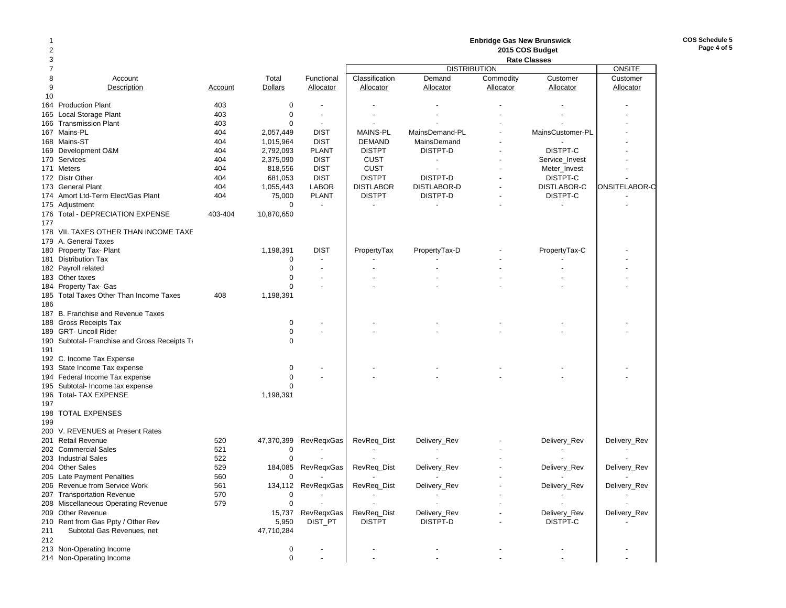| 1                       |                                               |         |                |                          |                          |                          | <b>Enbridge Gas New Brunswick</b> |                          |                |
|-------------------------|-----------------------------------------------|---------|----------------|--------------------------|--------------------------|--------------------------|-----------------------------------|--------------------------|----------------|
| $\overline{\mathbf{c}}$ |                                               |         |                |                          |                          |                          |                                   | 2015 COS Budget          |                |
| 3                       |                                               |         |                |                          |                          |                          |                                   | <b>Rate Classes</b>      |                |
| $\overline{7}$          |                                               |         |                |                          |                          | <b>DISTRIBUTION</b>      |                                   |                          | <b>ONSITE</b>  |
| 8                       | Account                                       |         | Total          | Functional               | Classification           | Demand                   | Commodity                         | Customer                 | Customer       |
| 9                       | Description                                   | Account | <b>Dollars</b> | Allocator                | Allocator                | <b>Allocator</b>         | Allocator                         | Allocator                | Allocator      |
| 10                      |                                               |         |                |                          |                          |                          |                                   |                          |                |
| 164                     | <b>Production Plant</b>                       | 403     | $\mathbf 0$    |                          |                          |                          |                                   |                          |                |
| 165                     | Local Storage Plant                           | 403     | $\mathbf 0$    | $\overline{\phantom{a}}$ |                          |                          |                                   |                          |                |
| 166                     | <b>Transmission Plant</b>                     | 403     | 0              | $\overline{\phantom{a}}$ |                          |                          |                                   |                          |                |
| 167                     | Mains-PL                                      | 404     | 2,057,449      | <b>DIST</b>              | <b>MAINS-PL</b>          | MainsDemand-PL           |                                   | MainsCustomer-PL         |                |
|                         | 168 Mains-ST                                  | 404     | 1,015,964      | <b>DIST</b>              | <b>DEMAND</b>            | MainsDemand              |                                   |                          |                |
| 169                     | Development O&M                               | 404     | 2,792,093      | <b>PLANT</b>             | <b>DISTPT</b>            | DISTPT-D                 |                                   | DISTPT-C                 |                |
| 170                     | Services                                      | 404     | 2,375,090      | <b>DIST</b>              | <b>CUST</b>              | $\overline{\phantom{a}}$ |                                   | Service_Invest           |                |
| 171                     | Meters                                        | 404     | 818,556        | <b>DIST</b>              | <b>CUST</b>              |                          |                                   | Meter_Invest             |                |
|                         | 172 Distr Other                               | 404     | 681,053        | <b>DIST</b>              | <b>DISTPT</b>            | DISTPT-D                 |                                   | DISTPT-C                 |                |
| 173                     | <b>General Plant</b>                          | 404     | 1,055,443      | <b>LABOR</b>             | <b>DISTLABOR</b>         | DISTLABOR-D              |                                   | DISTLABOR-C              | ONSITELABOR-C  |
| 174                     | Amort Ltd-Term Elect/Gas Plant                | 404     | 75,000         | <b>PLANT</b>             | <b>DISTPT</b>            | DISTPT-D                 |                                   | DISTPT-C                 |                |
|                         | 175 Adjustment                                |         | $\mathbf 0$    | $\blacksquare$           |                          |                          |                                   |                          |                |
| 176                     | Total - DEPRECIATION EXPENSE                  | 403-404 | 10,870,650     |                          |                          |                          |                                   |                          |                |
| 177                     |                                               |         |                |                          |                          |                          |                                   |                          |                |
| 178                     | VII. TAXES OTHER THAN INCOME TAXE             |         |                |                          |                          |                          |                                   |                          |                |
|                         | 179 A. General Taxes                          |         |                |                          |                          |                          |                                   |                          |                |
| 180                     | Property Tax- Plant                           |         | 1,198,391      | <b>DIST</b>              | PropertyTax              | PropertyTax-D            |                                   | PropertyTax-C            |                |
| 181                     | <b>Distribution Tax</b>                       |         | 0              | $\overline{\phantom{a}}$ |                          |                          |                                   |                          |                |
|                         | 182 Payroll related                           |         | $\mathbf 0$    |                          |                          |                          |                                   |                          |                |
|                         | 183 Other taxes                               |         | $\mathbf 0$    | $\overline{\phantom{a}}$ |                          |                          |                                   |                          |                |
| 184                     | Property Tax- Gas                             |         | $\mathbf 0$    |                          |                          |                          |                                   |                          |                |
|                         | 185 Total Taxes Other Than Income Taxes       | 408     | 1,198,391      |                          |                          |                          |                                   |                          |                |
| 186                     |                                               |         |                |                          |                          |                          |                                   |                          |                |
| 187                     | B. Franchise and Revenue Taxes                |         |                |                          |                          |                          |                                   |                          |                |
|                         | 188 Gross Receipts Tax                        |         | 0              |                          |                          |                          |                                   |                          |                |
|                         | 189 GRT- Uncoll Rider                         |         | $\mathbf 0$    | $\blacksquare$           |                          |                          |                                   |                          |                |
|                         | 190 Subtotal- Franchise and Gross Receipts Ta |         | $\mathbf 0$    |                          |                          |                          |                                   |                          |                |
| 191                     |                                               |         |                |                          |                          |                          |                                   |                          |                |
|                         | 192 C. Income Tax Expense                     |         |                |                          |                          |                          |                                   |                          |                |
| 193                     | State Income Tax expense                      |         | 0              |                          |                          |                          |                                   |                          |                |
| 194                     | Federal Income Tax expense                    |         | $\mathbf 0$    |                          |                          |                          |                                   |                          |                |
| 195                     | Subtotal- Income tax expense                  |         | $\mathbf 0$    |                          |                          |                          |                                   |                          |                |
| 197                     | 196 Total- TAX EXPENSE                        |         | 1,198,391      |                          |                          |                          |                                   |                          |                |
|                         |                                               |         |                |                          |                          |                          |                                   |                          |                |
| 199                     | 198 TOTAL EXPENSES                            |         |                |                          |                          |                          |                                   |                          |                |
| 200                     | V. REVENUES at Present Rates                  |         |                |                          |                          |                          |                                   |                          |                |
| 201                     | <b>Retail Revenue</b>                         | 520     | 47,370,399     | RevRegxGas               | RevReq_Dist              | Delivery_Rev             |                                   | Delivery_Rev             | Delivery_Rev   |
|                         | 202 Commercial Sales                          | 521     | 0              |                          |                          |                          |                                   |                          |                |
| 203                     | <b>Industrial Sales</b>                       | 522     | $\pmb{0}$      |                          |                          |                          |                                   |                          |                |
|                         | 204 Other Sales                               | 529     | 184,085        | RevRegxGas               | RevReq_Dist              | Delivery_Rev             |                                   | Delivery_Rev             | Delivery_Rev   |
|                         | 205 Late Payment Penalties                    | 560     | 0              | $\overline{\phantom{a}}$ | $\overline{\phantom{a}}$ | $\overline{\phantom{a}}$ |                                   | $\overline{\phantom{a}}$ | $\blacksquare$ |
|                         | 206 Revenue from Service Work                 | 561     |                | 134,112 RevReqxGas       | RevReq_Dist              | Delivery_Rev             |                                   | Delivery_Rev             | Delivery_Rev   |
|                         | 207 Transportation Revenue                    | 570     | 0              |                          |                          |                          |                                   |                          |                |
|                         | 208 Miscellaneous Operating Revenue           | 579     | 0              |                          |                          |                          |                                   |                          |                |
|                         | 209 Other Revenue                             |         |                | 15,737 RevReqxGas        | RevReq_Dist              | Delivery_Rev             |                                   | Delivery_Rev             | Delivery_Rev   |
|                         | 210 Rent from Gas Ppty / Other Rev            |         | 5,950          | DIST_PT                  | <b>DISTPT</b>            | DISTPT-D                 |                                   | DISTPT-C                 |                |
| 211                     | Subtotal Gas Revenues, net                    |         | 47,710,284     |                          |                          |                          |                                   |                          |                |
| 212                     |                                               |         |                |                          |                          |                          |                                   |                          |                |
|                         | 213 Non-Operating Income                      |         | 0              |                          |                          |                          |                                   |                          |                |
|                         | 214 Non-Operating Income                      |         | $\mathsf 0$    |                          |                          |                          |                                   |                          |                |
|                         |                                               |         |                |                          |                          |                          |                                   |                          |                |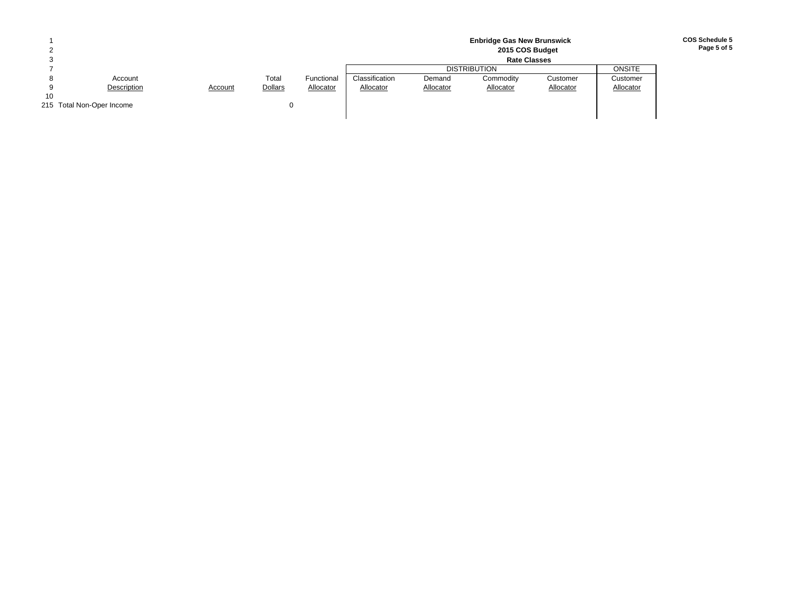|    |                           |         |                |            |                | <b>Enbridge Gas New Brunswick</b><br>2015 COS Budget |           |           |           |  |  |  |
|----|---------------------------|---------|----------------|------------|----------------|------------------------------------------------------|-----------|-----------|-----------|--|--|--|
|    |                           |         |                |            |                | <b>Rate Classes</b>                                  |           |           |           |  |  |  |
|    |                           |         |                |            |                | <b>DISTRIBUTION</b>                                  |           |           |           |  |  |  |
|    | Account                   |         | Total          | Functional | Classification | Demand                                               | Commodity | Customer  | Customer  |  |  |  |
|    | Description               | Account | <b>Dollars</b> | Allocator  | Allocator      | Allocator                                            | Allocator | Allocator | Allocator |  |  |  |
| 10 |                           |         |                |            |                |                                                      |           |           |           |  |  |  |
|    | 215 Total Non-Oper Income |         |                |            |                |                                                      |           |           |           |  |  |  |
|    |                           |         |                |            |                |                                                      |           |           |           |  |  |  |